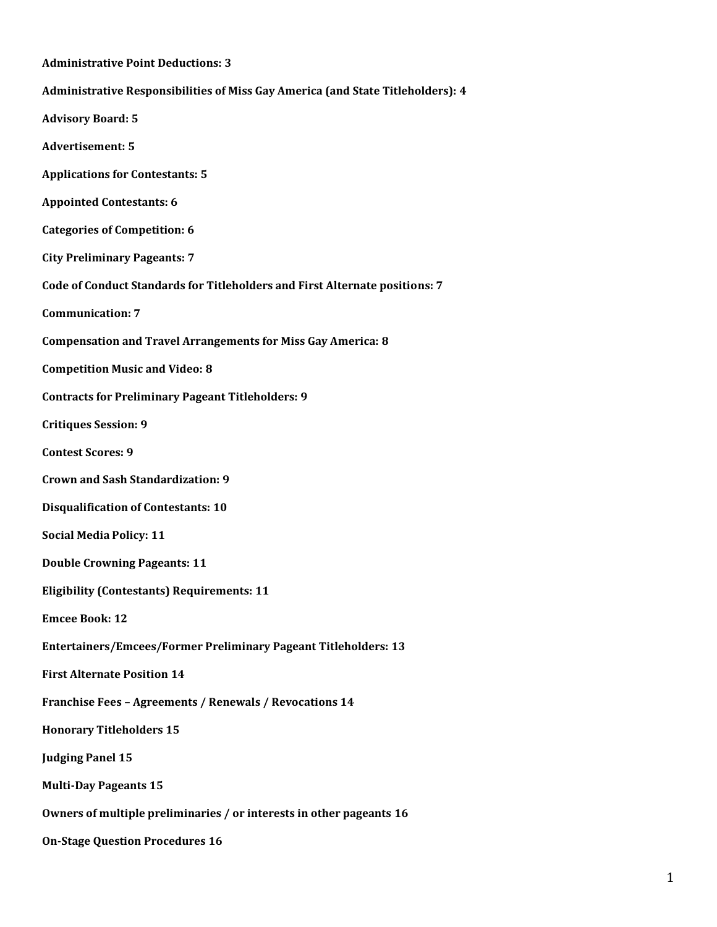| <b>Administrative Point Deductions: 3</b>                                       |
|---------------------------------------------------------------------------------|
| Administrative Responsibilities of Miss Gay America (and State Titleholders): 4 |
| <b>Advisory Board: 5</b>                                                        |
| <b>Advertisement: 5</b>                                                         |
| <b>Applications for Contestants: 5</b>                                          |
| <b>Appointed Contestants: 6</b>                                                 |
| <b>Categories of Competition: 6</b>                                             |
| <b>City Preliminary Pageants: 7</b>                                             |
| Code of Conduct Standards for Titleholders and First Alternate positions: 7     |
| <b>Communication: 7</b>                                                         |
| <b>Compensation and Travel Arrangements for Miss Gay America: 8</b>             |
| <b>Competition Music and Video: 8</b>                                           |
| <b>Contracts for Preliminary Pageant Titleholders: 9</b>                        |
| <b>Critiques Session: 9</b>                                                     |
| <b>Contest Scores: 9</b>                                                        |
| <b>Crown and Sash Standardization: 9</b>                                        |
| <b>Disqualification of Contestants: 10</b>                                      |
| <b>Social Media Policy: 11</b>                                                  |
| <b>Double Crowning Pageants: 11</b>                                             |
| <b>Eligibility (Contestants) Requirements: 11</b>                               |
| <b>Emcee Book: 12</b>                                                           |
| <b>Entertainers/Emcees/Former Preliminary Pageant Titleholders: 13</b>          |
| <b>First Alternate Position 14</b>                                              |
| Franchise Fees - Agreements / Renewals / Revocations 14                         |
| <b>Honorary Titleholders 15</b>                                                 |
| <b>Judging Panel 15</b>                                                         |
| <b>Multi-Day Pageants 15</b>                                                    |
| Owners of multiple preliminaries / or interests in other pageants 16            |
| <b>On-Stage Question Procedures 16</b>                                          |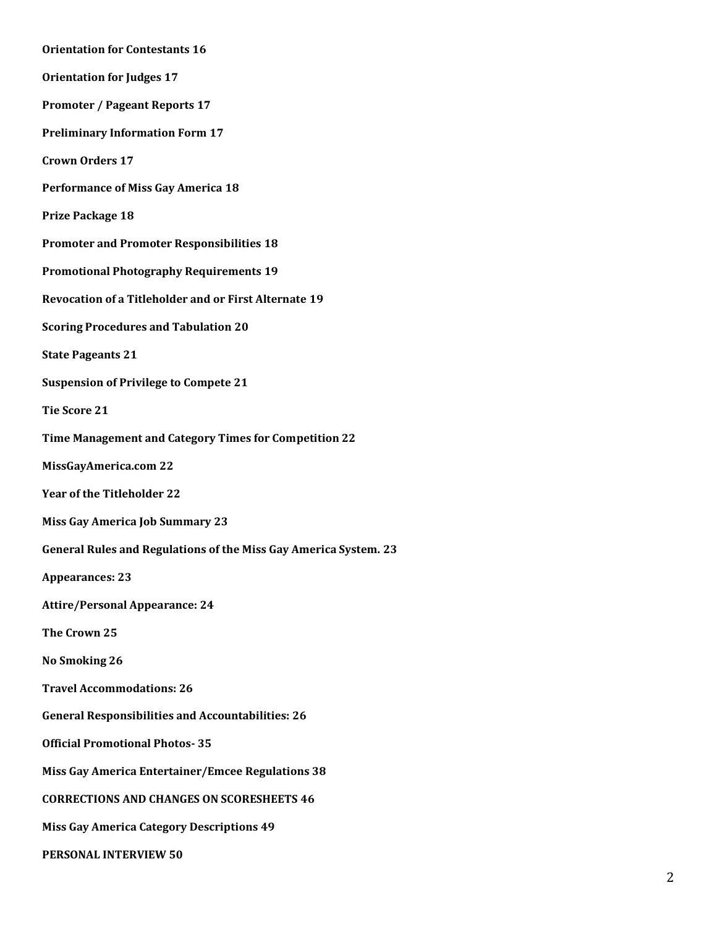**[Orientation for Contestants](#page-15-2) 16 [Orientation for Judges](#page-16-0) 17 [Promoter / Pageant Reports](#page-16-1) 17 [Preliminary Information Form](#page-16-2) 17 [Crown Orders](#page-16-3) 17 [Performance of Miss Gay America](#page-17-0) 18 [Prize Package](#page-17-1) 18 [Promoter and Promoter Responsibilities](#page-17-2) 18 [Promotional Photography Requirements](#page-18-0) 19 [Revocation of a Titleholder and or First Alternate](#page-18-1) 19 [Scoring Procedures and Tabulation](#page-19-0) 20 [State Pageants](#page-20-0) 21 [Suspension of Privilege to Compete](#page-20-1) 21 [Tie Score](#page-20-2) 21 [Time Management and Category Times for Competition](#page-21-0) 22 [MissGayAmerica.com](#page-21-1) 22 [Year of the Titleholder](#page-21-2) 22 [Miss Gay America Job Summary](#page-22-0) 23 [General Rules and Regulations of the Miss Gay America System.](#page-22-1) 23 [Appearances:](#page-22-2) 23 [Attire/Personal Appearance:](#page-23-0) 24 [The Crown](#page-24-0) 25 [No Smoking](#page-25-0) 26 [Travel Accommodations:](#page-25-1) 26 [General Responsibilities and Accountabilities:](#page-25-2) 26 [Official Promotional Photos-](#page-34-0) 35 [Miss Gay America Entertainer/Emcee Regulations](#page-37-0) 38 [CORRECTIONS AND CHANGES ON SCORESHEETS](#page-45-0) 46 [Miss Gay America Category Descriptions](#page-48-0) 49 [PERSONAL INTERVIEW](#page-49-0) 50**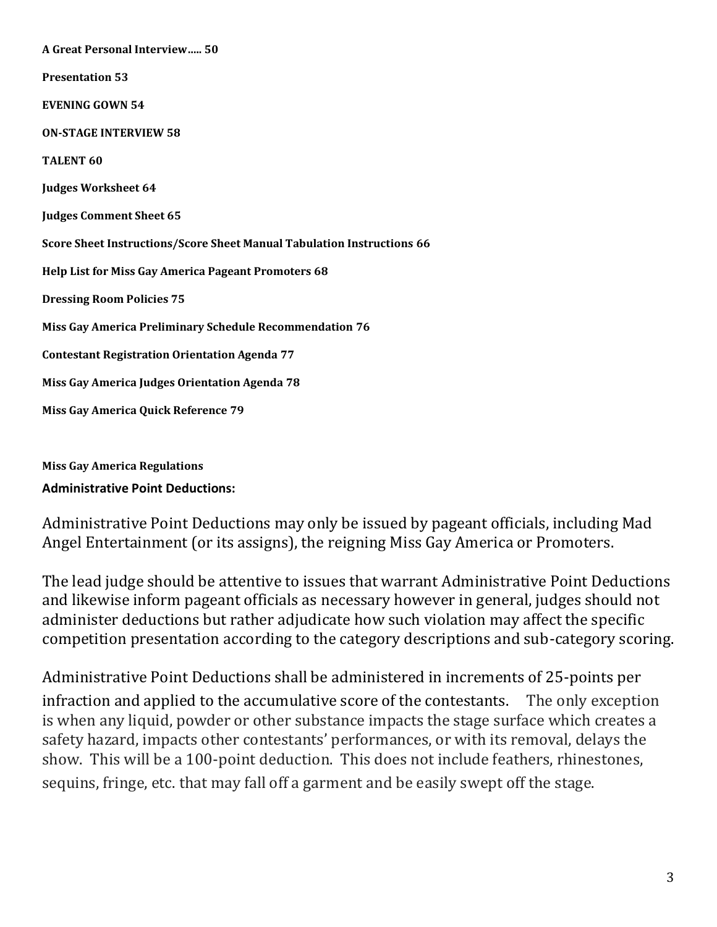| <b>A Great Personal Interview 50</b>                                   |
|------------------------------------------------------------------------|
| <b>Presentation 53</b>                                                 |
| <b>EVENING GOWN 54</b>                                                 |
| <b>ON-STAGE INTERVIEW 58</b>                                           |
| <b>TALENT 60</b>                                                       |
| <b>Judges Worksheet 64</b>                                             |
| <b>Judges Comment Sheet 65</b>                                         |
| Score Sheet Instructions/Score Sheet Manual Tabulation Instructions 66 |
| Help List for Miss Gay America Pageant Promoters 68                    |
| <b>Dressing Room Policies 75</b>                                       |
| Miss Gay America Preliminary Schedule Recommendation 76                |
| <b>Contestant Registration Orientation Agenda 77</b>                   |
| Miss Gay America Judges Orientation Agenda 78                          |
| Miss Gay America Quick Reference 79                                    |

<span id="page-2-0"></span>**Miss Gay America Regulations Administrative Point Deductions:**

Administrative Point Deductions may only be issued by pageant officials, including Mad Angel Entertainment (or its assigns), the reigning Miss Gay America or Promoters.

The lead judge should be attentive to issues that warrant Administrative Point Deductions and likewise inform pageant officials as necessary however in general, judges should not administer deductions but rather adjudicate how such violation may affect the specific competition presentation according to the category descriptions and sub-category scoring.

Administrative Point Deductions shall be administered in increments of 25-points per infraction and applied to the accumulative score of the contestants. The only exception is when any liquid, powder or other substance impacts the stage surface which creates a safety hazard, impacts other contestants' performances, or with its removal, delays the show. This will be a 100-point deduction. This does not include feathers, rhinestones, sequins, fringe, etc. that may fall off a garment and be easily swept off the stage.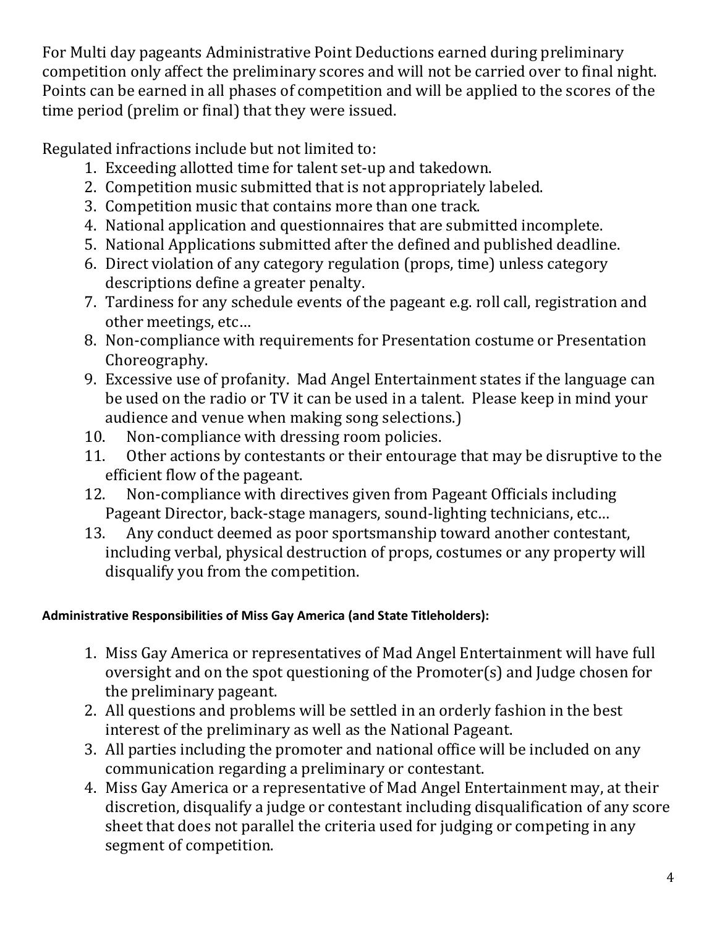For Multi day pageants Administrative Point Deductions earned during preliminary competition only affect the preliminary scores and will not be carried over to final night. Points can be earned in all phases of competition and will be applied to the scores of the time period (prelim or final) that they were issued.

Regulated infractions include but not limited to:

- 1. Exceeding allotted time for talent set-up and takedown.
- 2. Competition music submitted that is not appropriately labeled.
- 3. Competition music that contains more than one track.
- 4. National application and questionnaires that are submitted incomplete.
- 5. National Applications submitted after the defined and published deadline.
- 6. Direct violation of any category regulation (props, time) unless category descriptions define a greater penalty.
- 7. Tardiness for any schedule events of the pageant e.g. roll call, registration and other meetings, etc…
- 8. Non-compliance with requirements for Presentation costume or Presentation Choreography.
- 9. Excessive use of profanity. Mad Angel Entertainment states if the language can be used on the radio or TV it can be used in a talent. Please keep in mind your audience and venue when making song selections.)
- 10. Non-compliance with dressing room policies.
- 11. Other actions by contestants or their entourage that may be disruptive to the efficient flow of the pageant.
- 12. Non-compliance with directives given from Pageant Officials including Pageant Director, back-stage managers, sound-lighting technicians, etc…
- 13. Any conduct deemed as poor sportsmanship toward another contestant, including verbal, physical destruction of props, costumes or any property will disqualify you from the competition.

# <span id="page-3-0"></span>**Administrative Responsibilities of Miss Gay America (and State Titleholders):**

- 1. Miss Gay America or representatives of Mad Angel Entertainment will have full oversight and on the spot questioning of the Promoter(s) and Judge chosen for the preliminary pageant.
- 2. All questions and problems will be settled in an orderly fashion in the best interest of the preliminary as well as the National Pageant.
- 3. All parties including the promoter and national office will be included on any communication regarding a preliminary or contestant.
- 4. Miss Gay America or a representative of Mad Angel Entertainment may, at their discretion, disqualify a judge or contestant including disqualification of any score sheet that does not parallel the criteria used for judging or competing in any segment of competition.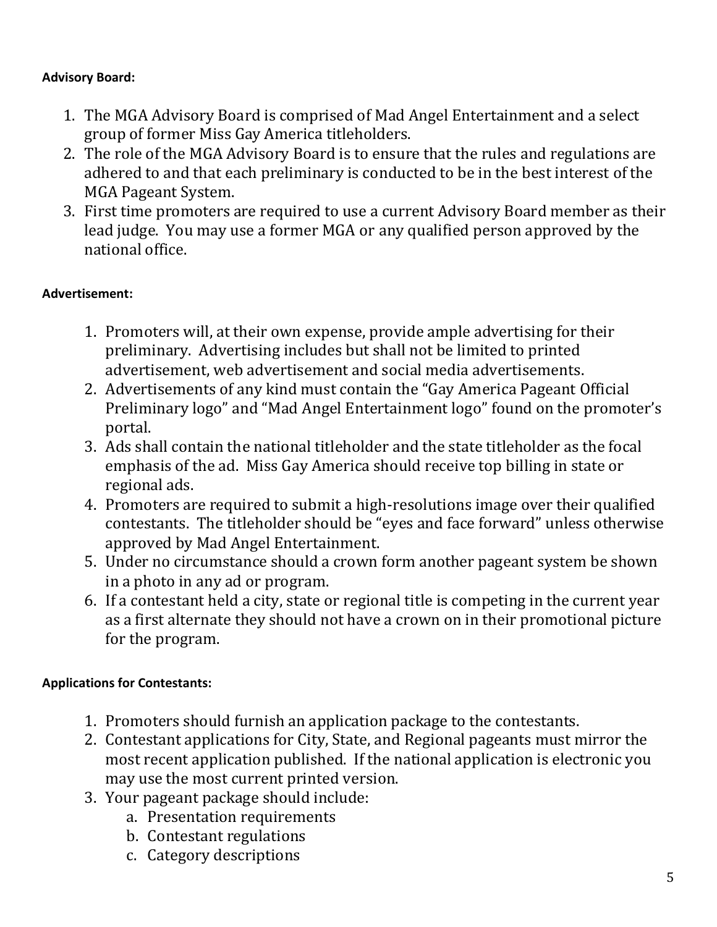### <span id="page-4-0"></span>**Advisory Board:**

- 1. The MGA Advisory Board is comprised of Mad Angel Entertainment and a select group of former Miss Gay America titleholders.
- 2. The role of the MGA Advisory Board is to ensure that the rules and regulations are adhered to and that each preliminary is conducted to be in the best interest of the MGA Pageant System.
- 3. First time promoters are required to use a current Advisory Board member as their lead judge. You may use a former MGA or any qualified person approved by the national office.

# <span id="page-4-1"></span>**Advertisement:**

- 1. Promoters will, at their own expense, provide ample advertising for their preliminary. Advertising includes but shall not be limited to printed advertisement, web advertisement and social media advertisements.
- 2. Advertisements of any kind must contain the "Gay America Pageant Official Preliminary logo" and "Mad Angel Entertainment logo" found on the promoter's portal.
- 3. Ads shall contain the national titleholder and the state titleholder as the focal emphasis of the ad. Miss Gay America should receive top billing in state or regional ads.
- 4. Promoters are required to submit a high-resolutions image over their qualified contestants. The titleholder should be "eyes and face forward" unless otherwise approved by Mad Angel Entertainment.
- 5. Under no circumstance should a crown form another pageant system be shown in a photo in any ad or program.
- 6. If a contestant held a city, state or regional title is competing in the current year as a first alternate they should not have a crown on in their promotional picture for the program.

# <span id="page-4-2"></span>**Applications for Contestants:**

- 1. Promoters should furnish an application package to the contestants.
- 2. Contestant applications for City, State, and Regional pageants must mirror the most recent application published. If the national application is electronic you may use the most current printed version.
- 3. Your pageant package should include:
	- a. Presentation requirements
	- b. Contestant regulations
	- c. Category descriptions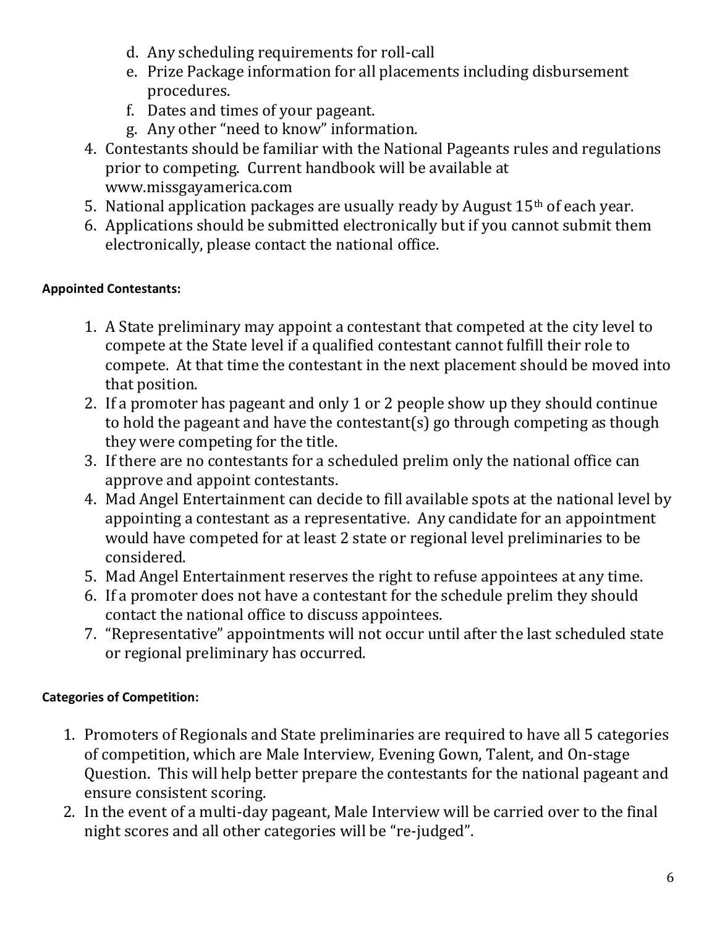- d. Any scheduling requirements for roll-call
- e. Prize Package information for all placements including disbursement procedures.
- f. Dates and times of your pageant.
- g. Any other "need to know" information.
- 4. Contestants should be familiar with the National Pageants rules and regulations prior to competing. Current handbook will be available at [www.missgayamerica.com](http://www.missgayamerica.com/)
- 5. National application packages are usually ready by August  $15<sup>th</sup>$  of each year.
- 6. Applications should be submitted electronically but if you cannot submit them electronically, please contact the national office.

# <span id="page-5-0"></span>**Appointed Contestants:**

- 1. A State preliminary may appoint a contestant that competed at the city level to compete at the State level if a qualified contestant cannot fulfill their role to compete. At that time the contestant in the next placement should be moved into that position.
- 2. If a promoter has pageant and only 1 or 2 people show up they should continue to hold the pageant and have the contestant(s) go through competing as though they were competing for the title.
- 3. If there are no contestants for a scheduled prelim only the national office can approve and appoint contestants.
- 4. Mad Angel Entertainment can decide to fill available spots at the national level by appointing a contestant as a representative. Any candidate for an appointment would have competed for at least 2 state or regional level preliminaries to be considered.
- 5. Mad Angel Entertainment reserves the right to refuse appointees at any time.
- 6. If a promoter does not have a contestant for the schedule prelim they should contact the national office to discuss appointees.
- 7. "Representative" appointments will not occur until after the last scheduled state or regional preliminary has occurred.

# <span id="page-5-1"></span>**Categories of Competition:**

- 1. Promoters of Regionals and State preliminaries are required to have all 5 categories of competition, which are Male Interview, Evening Gown, Talent, and On-stage Question. This will help better prepare the contestants for the national pageant and ensure consistent scoring.
- 2. In the event of a multi-day pageant, Male Interview will be carried over to the final night scores and all other categories will be "re-judged".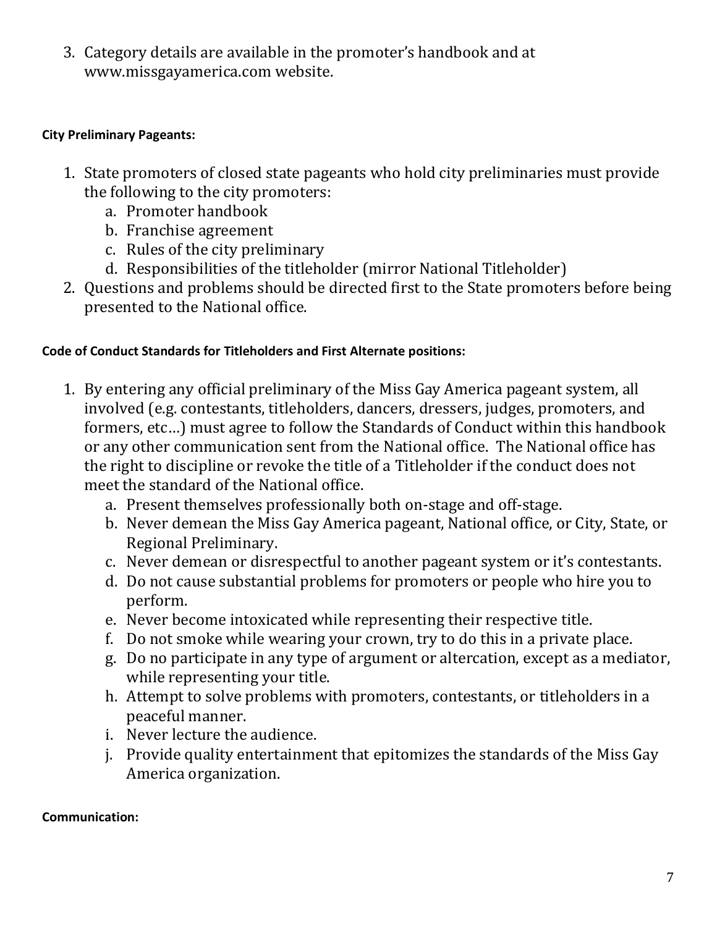3. Category details are available in the promoter's handbook and at [www.missgayamerica.com](http://www.missgayamerica.com/) website.

#### <span id="page-6-0"></span>**City Preliminary Pageants:**

- 1. State promoters of closed state pageants who hold city preliminaries must provide the following to the city promoters:
	- a. Promoter handbook
	- b. Franchise agreement
	- c. Rules of the city preliminary
	- d. Responsibilities of the titleholder (mirror National Titleholder)
- 2. Questions and problems should be directed first to the State promoters before being presented to the National office.

#### <span id="page-6-1"></span>**Code of Conduct Standards for Titleholders and First Alternate positions:**

- 1. By entering any official preliminary of the Miss Gay America pageant system, all involved (e.g. contestants, titleholders, dancers, dressers, judges, promoters, and formers, etc…) must agree to follow the Standards of Conduct within this handbook or any other communication sent from the National office. The National office has the right to discipline or revoke the title of a Titleholder if the conduct does not meet the standard of the National office.
	- a. Present themselves professionally both on-stage and off-stage.
	- b. Never demean the Miss Gay America pageant, National office, or City, State, or Regional Preliminary.
	- c. Never demean or disrespectful to another pageant system or it's contestants.
	- d. Do not cause substantial problems for promoters or people who hire you to perform.
	- e. Never become intoxicated while representing their respective title.
	- f. Do not smoke while wearing your crown, try to do this in a private place.
	- g. Do no participate in any type of argument or altercation, except as a mediator, while representing your title.
	- h. Attempt to solve problems with promoters, contestants, or titleholders in a peaceful manner.
	- i. Never lecture the audience.
	- j. Provide quality entertainment that epitomizes the standards of the Miss Gay America organization.

#### <span id="page-6-2"></span>**Communication:**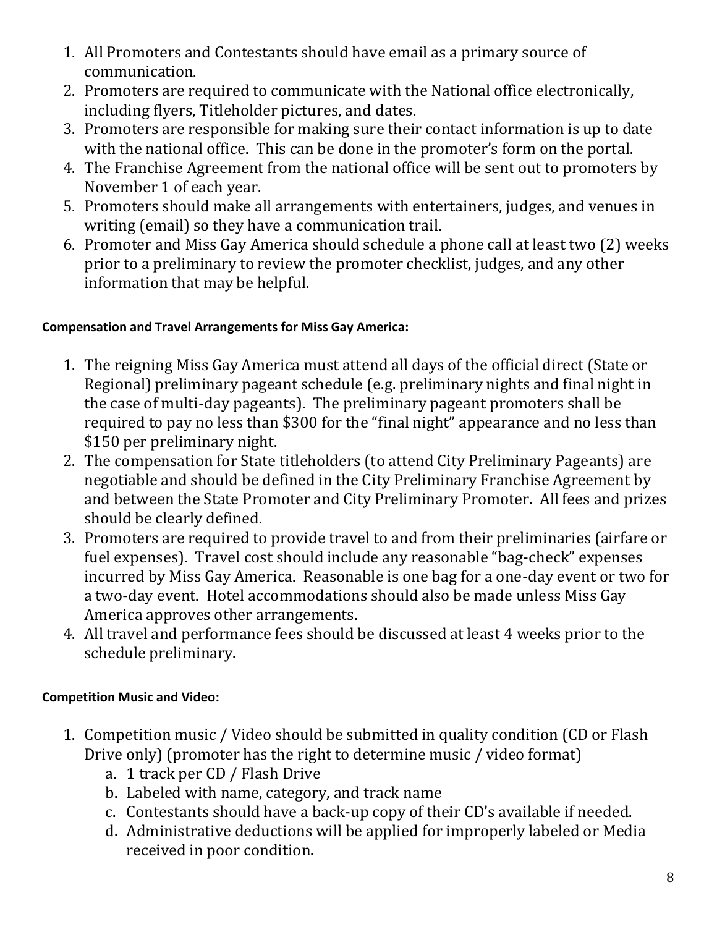- 1. All Promoters and Contestants should have email as a primary source of communication.
- 2. Promoters are required to communicate with the National office electronically, including flyers, Titleholder pictures, and dates.
- 3. Promoters are responsible for making sure their contact information is up to date with the national office. This can be done in the promoter's form on the portal.
- 4. The Franchise Agreement from the national office will be sent out to promoters by November 1 of each year.
- 5. Promoters should make all arrangements with entertainers, judges, and venues in writing (email) so they have a communication trail.
- 6. Promoter and Miss Gay America should schedule a phone call at least two (2) weeks prior to a preliminary to review the promoter checklist, judges, and any other information that may be helpful.

# <span id="page-7-0"></span>**Compensation and Travel Arrangements for Miss Gay America:**

- 1. The reigning Miss Gay America must attend all days of the official direct (State or Regional) preliminary pageant schedule (e.g. preliminary nights and final night in the case of multi-day pageants). The preliminary pageant promoters shall be required to pay no less than \$300 for the "final night" appearance and no less than \$150 per preliminary night.
- 2. The compensation for State titleholders (to attend City Preliminary Pageants) are negotiable and should be defined in the City Preliminary Franchise Agreement by and between the State Promoter and City Preliminary Promoter. All fees and prizes should be clearly defined.
- 3. Promoters are required to provide travel to and from their preliminaries (airfare or fuel expenses). Travel cost should include any reasonable "bag-check" expenses incurred by Miss Gay America. Reasonable is one bag for a one-day event or two for a two-day event. Hotel accommodations should also be made unless Miss Gay America approves other arrangements.
- 4. All travel and performance fees should be discussed at least 4 weeks prior to the schedule preliminary.

# <span id="page-7-1"></span>**Competition Music and Video:**

- 1. Competition music / Video should be submitted in quality condition (CD or Flash Drive only) (promoter has the right to determine music / video format)
	- a. 1 track per CD / Flash Drive
	- b. Labeled with name, category, and track name
	- c. Contestants should have a back-up copy of their CD's available if needed.
	- d. Administrative deductions will be applied for improperly labeled or Media received in poor condition.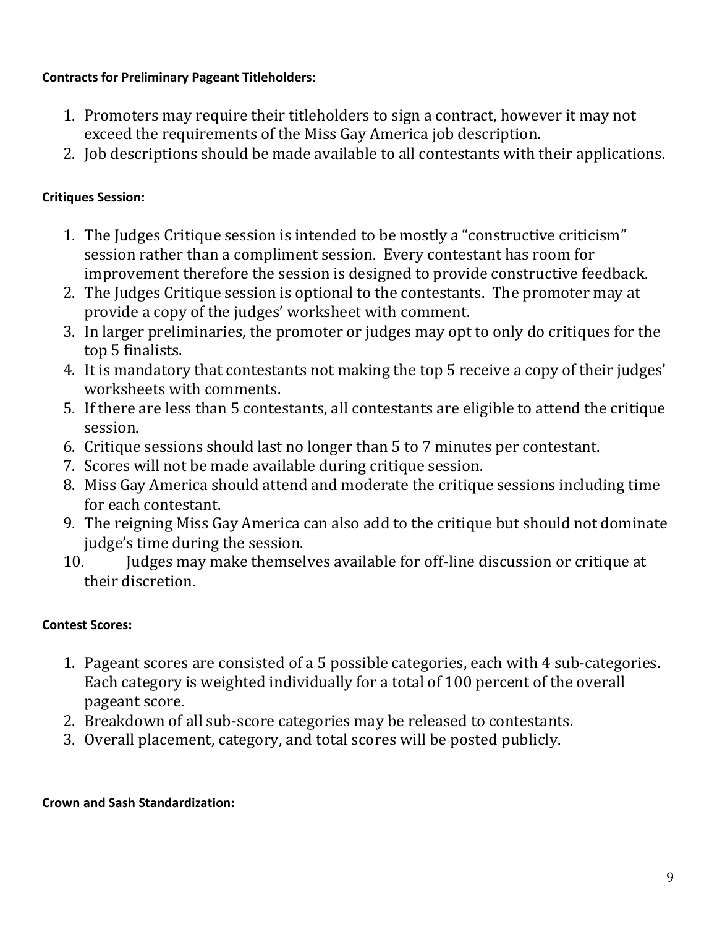### <span id="page-8-0"></span>**Contracts for Preliminary Pageant Titleholders:**

- 1. Promoters may require their titleholders to sign a contract, however it may not exceed the requirements of the Miss Gay America job description.
- 2. Job descriptions should be made available to all contestants with their applications.

### <span id="page-8-1"></span>**Critiques Session:**

- 1. The Judges Critique session is intended to be mostly a "constructive criticism" session rather than a compliment session. Every contestant has room for improvement therefore the session is designed to provide constructive feedback.
- 2. The Judges Critique session is optional to the contestants. The promoter may at provide a copy of the judges' worksheet with comment.
- 3. In larger preliminaries, the promoter or judges may opt to only do critiques for the top 5 finalists.
- 4. It is mandatory that contestants not making the top 5 receive a copy of their judges' worksheets with comments.
- 5. If there are less than 5 contestants, all contestants are eligible to attend the critique session.
- 6. Critique sessions should last no longer than 5 to 7 minutes per contestant.
- 7. Scores will not be made available during critique session.
- 8. Miss Gay America should attend and moderate the critique sessions including time for each contestant.
- 9. The reigning Miss Gay America can also add to the critique but should not dominate judge's time during the session.
- 10. Judges may make themselves available for off-line discussion or critique at their discretion.

# <span id="page-8-2"></span>**Contest Scores:**

- 1. Pageant scores are consisted of a 5 possible categories, each with 4 sub-categories. Each category is weighted individually for a total of 100 percent of the overall pageant score.
- 2. Breakdown of all sub-score categories may be released to contestants.
- 3. Overall placement, category, and total scores will be posted publicly.

### <span id="page-8-3"></span>**Crown and Sash Standardization:**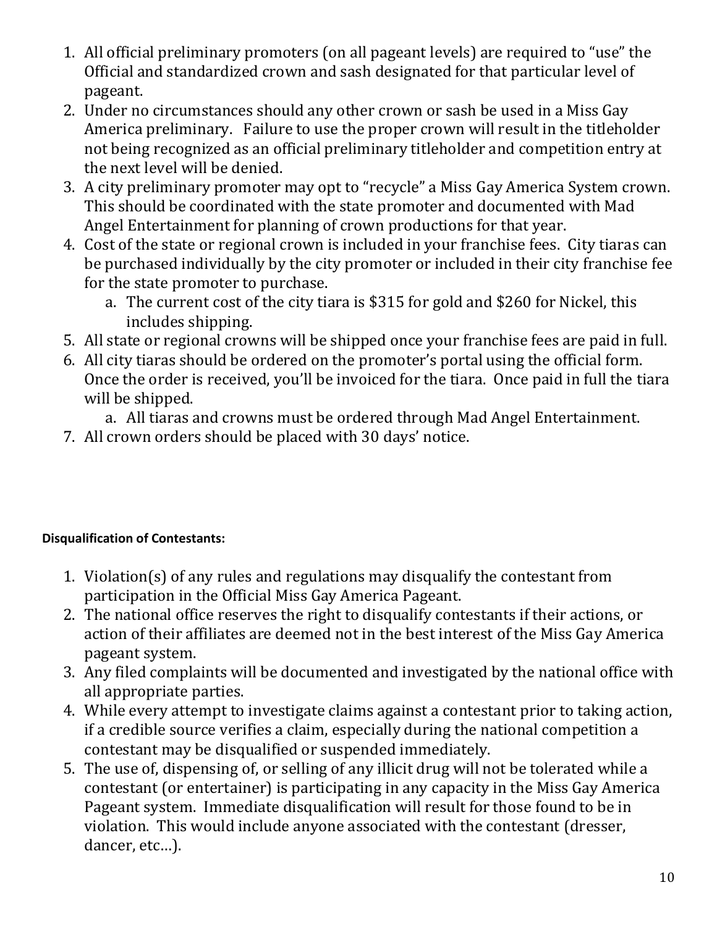- 1. All official preliminary promoters (on all pageant levels) are required to "use" the Official and standardized crown and sash designated for that particular level of pageant.
- 2. Under no circumstances should any other crown or sash be used in a Miss Gay America preliminary. Failure to use the proper crown will result in the titleholder not being recognized as an official preliminary titleholder and competition entry at the next level will be denied.
- 3. A city preliminary promoter may opt to "recycle" a Miss Gay America System crown. This should be coordinated with the state promoter and documented with Mad Angel Entertainment for planning of crown productions for that year.
- 4. Cost of the state or regional crown is included in your franchise fees. City tiaras can be purchased individually by the city promoter or included in their city franchise fee for the state promoter to purchase.
	- a. The current cost of the city tiara is \$315 for gold and \$260 for Nickel, this includes shipping.
- 5. All state or regional crowns will be shipped once your franchise fees are paid in full.
- 6. All city tiaras should be ordered on the promoter's portal using the official form. Once the order is received, you'll be invoiced for the tiara. Once paid in full the tiara will be shipped.
	- a. All tiaras and crowns must be ordered through Mad Angel Entertainment.
- 7. All crown orders should be placed with 30 days' notice.

# <span id="page-9-0"></span>**Disqualification of Contestants:**

- 1. Violation(s) of any rules and regulations may disqualify the contestant from participation in the Official Miss Gay America Pageant.
- 2. The national office reserves the right to disqualify contestants if their actions, or action of their affiliates are deemed not in the best interest of the Miss Gay America pageant system.
- 3. Any filed complaints will be documented and investigated by the national office with all appropriate parties.
- 4. While every attempt to investigate claims against a contestant prior to taking action, if a credible source verifies a claim, especially during the national competition a contestant may be disqualified or suspended immediately.
- 5. The use of, dispensing of, or selling of any illicit drug will not be tolerated while a contestant (or entertainer) is participating in any capacity in the Miss Gay America Pageant system. Immediate disqualification will result for those found to be in violation. This would include anyone associated with the contestant (dresser, dancer, etc…).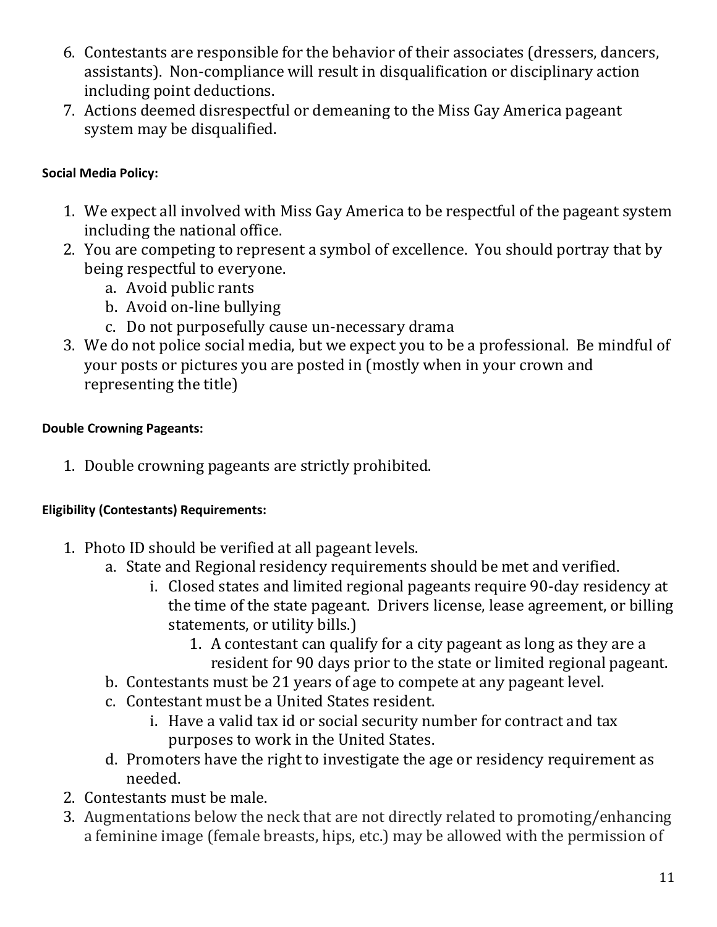- 6. Contestants are responsible for the behavior of their associates (dressers, dancers, assistants). Non-compliance will result in disqualification or disciplinary action including point deductions.
- 7. Actions deemed disrespectful or demeaning to the Miss Gay America pageant system may be disqualified.

# <span id="page-10-0"></span>**Social Media Policy:**

- 1. We expect all involved with Miss Gay America to be respectful of the pageant system including the national office.
- 2. You are competing to represent a symbol of excellence. You should portray that by being respectful to everyone.
	- a. Avoid public rants
	- b. Avoid on-line bullying
	- c. Do not purposefully cause un-necessary drama
- 3. We do not police social media, but we expect you to be a professional. Be mindful of your posts or pictures you are posted in (mostly when in your crown and representing the title)

# <span id="page-10-1"></span>**Double Crowning Pageants:**

1. Double crowning pageants are strictly prohibited.

# <span id="page-10-2"></span>**Eligibility (Contestants) Requirements:**

- 1. Photo ID should be verified at all pageant levels.
	- a. State and Regional residency requirements should be met and verified.
		- i. Closed states and limited regional pageants require 90-day residency at the time of the state pageant. Drivers license, lease agreement, or billing statements, or utility bills.)
			- 1. A contestant can qualify for a city pageant as long as they are a resident for 90 days prior to the state or limited regional pageant.
	- b. Contestants must be 21 years of age to compete at any pageant level.
	- c. Contestant must be a United States resident.
		- i. Have a valid tax id or social security number for contract and tax purposes to work in the United States.
	- d. Promoters have the right to investigate the age or residency requirement as needed.
- 2. Contestants must be male.
- 3. Augmentations below the neck that are not directly related to promoting/enhancing a feminine image (female breasts, hips, etc.) may be allowed with the permission of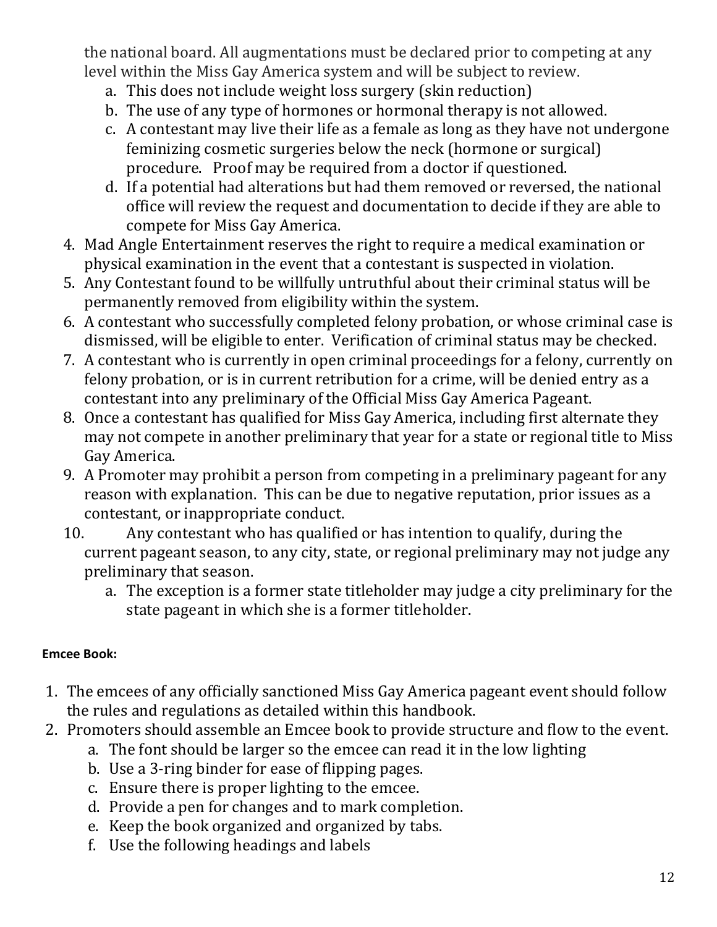the national board. All augmentations must be declared prior to competing at any level within the Miss Gay America system and will be subject to review.

- a. This does not include weight loss surgery (skin reduction)
- b. The use of any type of hormones or hormonal therapy is not allowed.
- c. A contestant may live their life as a female as long as they have not undergone feminizing cosmetic surgeries below the neck (hormone or surgical) procedure. Proof may be required from a doctor if questioned.
- d. If a potential had alterations but had them removed or reversed, the national office will review the request and documentation to decide if they are able to compete for Miss Gay America.
- 4. Mad Angle Entertainment reserves the right to require a medical examination or physical examination in the event that a contestant is suspected in violation.
- 5. Any Contestant found to be willfully untruthful about their criminal status will be permanently removed from eligibility within the system.
- 6. A contestant who successfully completed felony probation, or whose criminal case is dismissed, will be eligible to enter. Verification of criminal status may be checked.
- 7. A contestant who is currently in open criminal proceedings for a felony, currently on felony probation, or is in current retribution for a crime, will be denied entry as a contestant into any preliminary of the Official Miss Gay America Pageant.
- 8. Once a contestant has qualified for Miss Gay America, including first alternate they may not compete in another preliminary that year for a state or regional title to Miss Gay America.
- 9. A Promoter may prohibit a person from competing in a preliminary pageant for any reason with explanation. This can be due to negative reputation, prior issues as a contestant, or inappropriate conduct.
- 10. Any contestant who has qualified or has intention to qualify, during the current pageant season, to any city, state, or regional preliminary may not judge any preliminary that season.
	- a. The exception is a former state titleholder may judge a city preliminary for the state pageant in which she is a former titleholder.

# <span id="page-11-0"></span>**Emcee Book:**

- 1. The emcees of any officially sanctioned Miss Gay America pageant event should follow the rules and regulations as detailed within this handbook.
- 2. Promoters should assemble an Emcee book to provide structure and flow to the event.
	- a. The font should be larger so the emcee can read it in the low lighting
		- b. Use a 3-ring binder for ease of flipping pages.
		- c. Ensure there is proper lighting to the emcee.
		- d. Provide a pen for changes and to mark completion.
		- e. Keep the book organized and organized by tabs.
	- f. Use the following headings and labels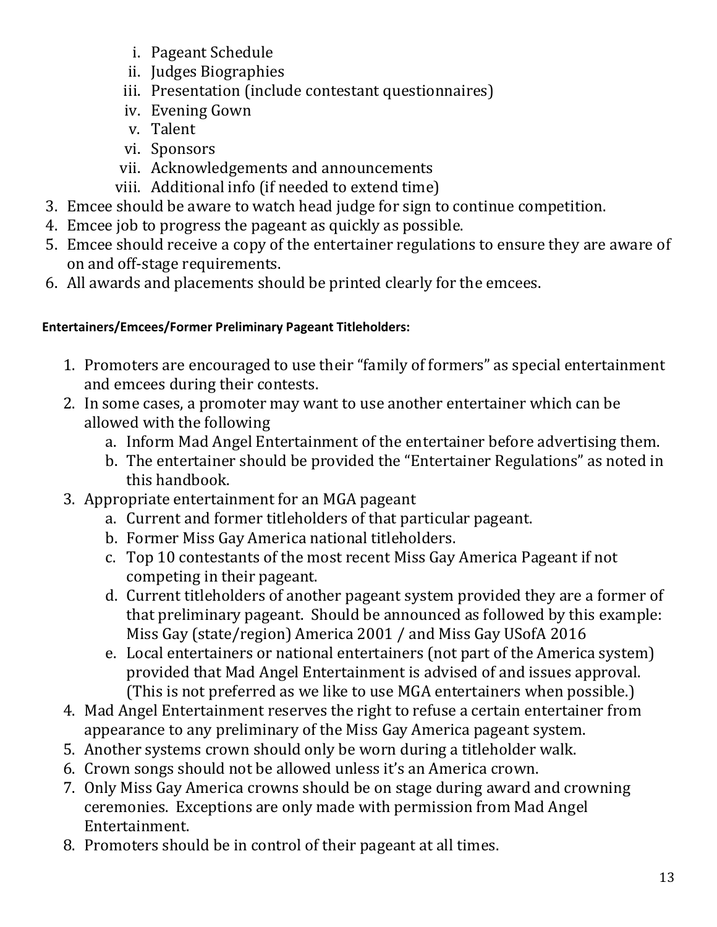- i. Pageant Schedule
- ii. Judges Biographies
- iii. Presentation (include contestant questionnaires)
- iv. Evening Gown
- v. Talent
- vi. Sponsors
- vii. Acknowledgements and announcements
- viii. Additional info (if needed to extend time)
- 3. Emcee should be aware to watch head judge for sign to continue competition.
- 4. Emcee job to progress the pageant as quickly as possible.
- 5. Emcee should receive a copy of the entertainer regulations to ensure they are aware of on and off-stage requirements.
- 6. All awards and placements should be printed clearly for the emcees.

### <span id="page-12-0"></span>**Entertainers/Emcees/Former Preliminary Pageant Titleholders:**

- 1. Promoters are encouraged to use their "family of formers" as special entertainment and emcees during their contests.
- 2. In some cases, a promoter may want to use another entertainer which can be allowed with the following
	- a. Inform Mad Angel Entertainment of the entertainer before advertising them.
	- b. The entertainer should be provided the "Entertainer Regulations" as noted in this handbook.
- 3. Appropriate entertainment for an MGA pageant
	- a. Current and former titleholders of that particular pageant.
	- b. Former Miss Gay America national titleholders.
	- c. Top 10 contestants of the most recent Miss Gay America Pageant if not competing in their pageant.
	- d. Current titleholders of another pageant system provided they are a former of that preliminary pageant. Should be announced as followed by this example: Miss Gay (state/region) America 2001 / and Miss Gay USofA 2016
	- e. Local entertainers or national entertainers (not part of the America system) provided that Mad Angel Entertainment is advised of and issues approval. (This is not preferred as we like to use MGA entertainers when possible.)
- 4. Mad Angel Entertainment reserves the right to refuse a certain entertainer from appearance to any preliminary of the Miss Gay America pageant system.
- 5. Another systems crown should only be worn during a titleholder walk.
- 6. Crown songs should not be allowed unless it's an America crown.
- 7. Only Miss Gay America crowns should be on stage during award and crowning ceremonies. Exceptions are only made with permission from Mad Angel Entertainment.
- 8. Promoters should be in control of their pageant at all times.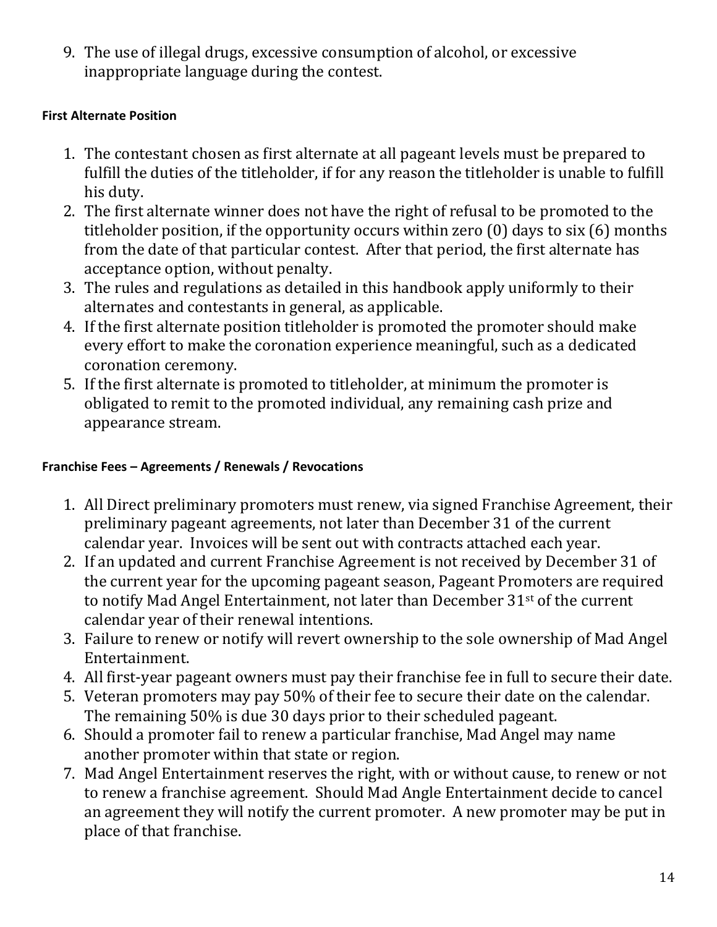9. The use of illegal drugs, excessive consumption of alcohol, or excessive inappropriate language during the contest.

### <span id="page-13-0"></span>**First Alternate Position**

- 1. The contestant chosen as first alternate at all pageant levels must be prepared to fulfill the duties of the titleholder, if for any reason the titleholder is unable to fulfill his duty.
- 2. The first alternate winner does not have the right of refusal to be promoted to the titleholder position, if the opportunity occurs within zero (0) days to six (6) months from the date of that particular contest. After that period, the first alternate has acceptance option, without penalty.
- 3. The rules and regulations as detailed in this handbook apply uniformly to their alternates and contestants in general, as applicable.
- 4. If the first alternate position titleholder is promoted the promoter should make every effort to make the coronation experience meaningful, such as a dedicated coronation ceremony.
- 5. If the first alternate is promoted to titleholder, at minimum the promoter is obligated to remit to the promoted individual, any remaining cash prize and appearance stream.

### <span id="page-13-1"></span>**Franchise Fees – Agreements / Renewals / Revocations**

- 1. All Direct preliminary promoters must renew, via signed Franchise Agreement, their preliminary pageant agreements, not later than December 31 of the current calendar year. Invoices will be sent out with contracts attached each year.
- 2. If an updated and current Franchise Agreement is not received by December 31 of the current year for the upcoming pageant season, Pageant Promoters are required to notify Mad Angel Entertainment, not later than December 31st of the current calendar year of their renewal intentions.
- 3. Failure to renew or notify will revert ownership to the sole ownership of Mad Angel Entertainment.
- 4. All first-year pageant owners must pay their franchise fee in full to secure their date.
- 5. Veteran promoters may pay 50% of their fee to secure their date on the calendar. The remaining 50% is due 30 days prior to their scheduled pageant.
- 6. Should a promoter fail to renew a particular franchise, Mad Angel may name another promoter within that state or region.
- 7. Mad Angel Entertainment reserves the right, with or without cause, to renew or not to renew a franchise agreement. Should Mad Angle Entertainment decide to cancel an agreement they will notify the current promoter. A new promoter may be put in place of that franchise.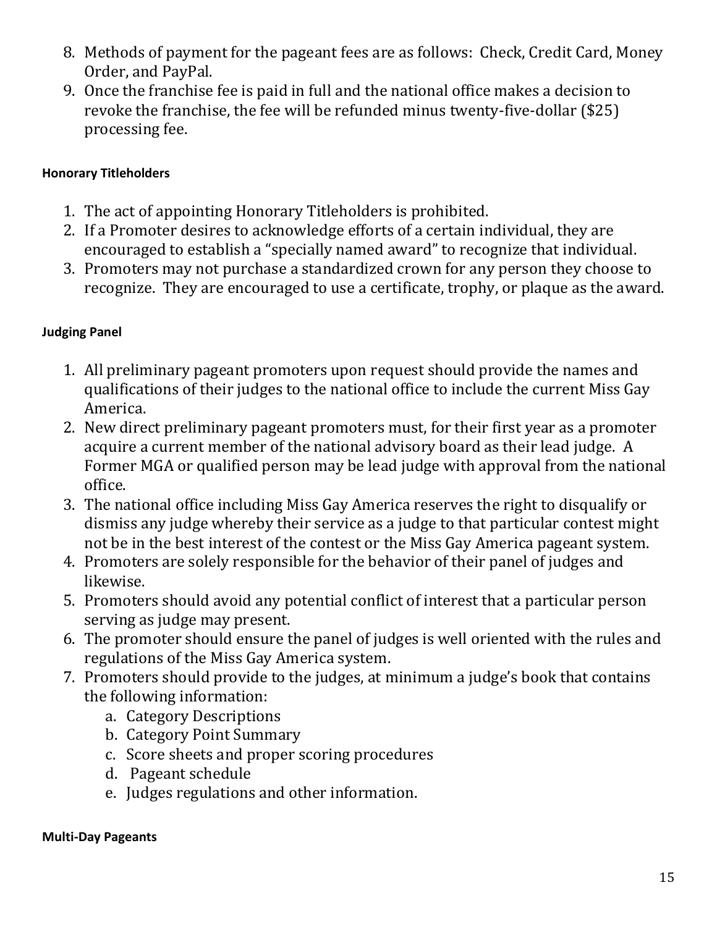- 8. Methods of payment for the pageant fees are as follows: Check, Credit Card, Money Order, and PayPal.
- 9. Once the franchise fee is paid in full and the national office makes a decision to revoke the franchise, the fee will be refunded minus twenty-five-dollar (\$25) processing fee.

### <span id="page-14-0"></span>**Honorary Titleholders**

- 1. The act of appointing Honorary Titleholders is prohibited.
- 2. If a Promoter desires to acknowledge efforts of a certain individual, they are encouraged to establish a "specially named award" to recognize that individual.
- 3. Promoters may not purchase a standardized crown for any person they choose to recognize. They are encouraged to use a certificate, trophy, or plaque as the award.

# <span id="page-14-1"></span>**Judging Panel**

- 1. All preliminary pageant promoters upon request should provide the names and qualifications of their judges to the national office to include the current Miss Gay America.
- 2. New direct preliminary pageant promoters must, for their first year as a promoter acquire a current member of the national advisory board as their lead judge. A Former MGA or qualified person may be lead judge with approval from the national office.
- 3. The national office including Miss Gay America reserves the right to disqualify or dismiss any judge whereby their service as a judge to that particular contest might not be in the best interest of the contest or the Miss Gay America pageant system.
- 4. Promoters are solely responsible for the behavior of their panel of judges and likewise.
- 5. Promoters should avoid any potential conflict of interest that a particular person serving as judge may present.
- 6. The promoter should ensure the panel of judges is well oriented with the rules and regulations of the Miss Gay America system.
- 7. Promoters should provide to the judges, at minimum a judge's book that contains the following information:
	- a. Category Descriptions
	- b. Category Point Summary
	- c. Score sheets and proper scoring procedures
	- d. Pageant schedule
	- e. Judges regulations and other information.

#### <span id="page-14-2"></span>**Multi-Day Pageants**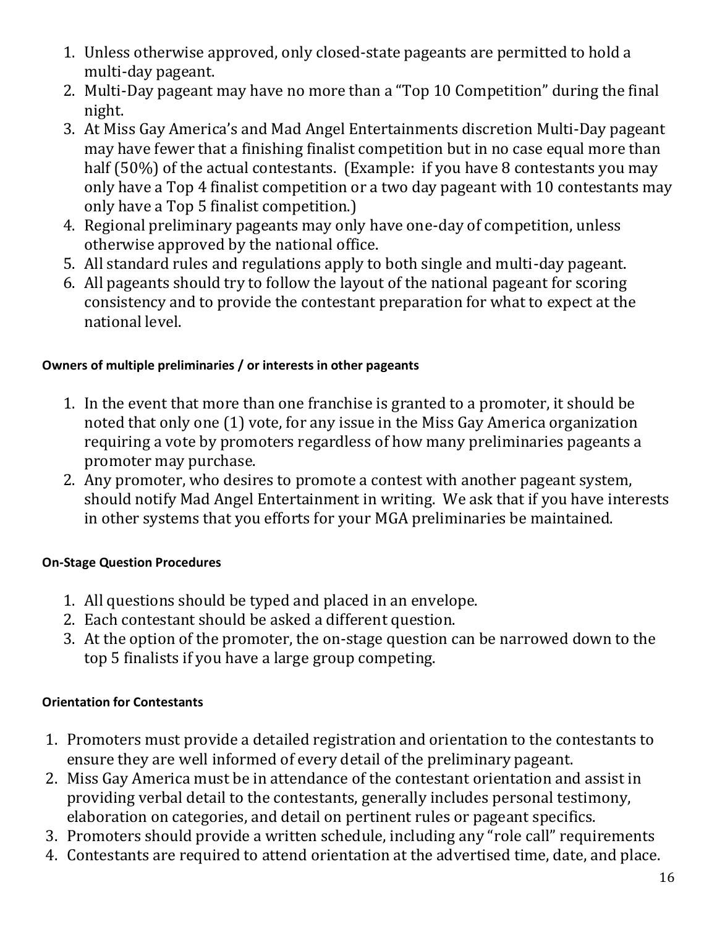- 1. Unless otherwise approved, only closed-state pageants are permitted to hold a multi-day pageant.
- 2. Multi-Day pageant may have no more than a "Top 10 Competition" during the final night.
- 3. At Miss Gay America's and Mad Angel Entertainments discretion Multi-Day pageant may have fewer that a finishing finalist competition but in no case equal more than half (50%) of the actual contestants. (Example: if you have 8 contestants you may only have a Top 4 finalist competition or a two day pageant with 10 contestants may only have a Top 5 finalist competition.)
- 4. Regional preliminary pageants may only have one-day of competition, unless otherwise approved by the national office.
- 5. All standard rules and regulations apply to both single and multi-day pageant.
- 6. All pageants should try to follow the layout of the national pageant for scoring consistency and to provide the contestant preparation for what to expect at the national level.

# <span id="page-15-0"></span>**Owners of multiple preliminaries / or interests in other pageants**

- 1. In the event that more than one franchise is granted to a promoter, it should be noted that only one (1) vote, for any issue in the Miss Gay America organization requiring a vote by promoters regardless of how many preliminaries pageants a promoter may purchase.
- 2. Any promoter, who desires to promote a contest with another pageant system, should notify Mad Angel Entertainment in writing. We ask that if you have interests in other systems that you efforts for your MGA preliminaries be maintained.

# <span id="page-15-1"></span>**On-Stage Question Procedures**

- 1. All questions should be typed and placed in an envelope.
- 2. Each contestant should be asked a different question.
- 3. At the option of the promoter, the on-stage question can be narrowed down to the top 5 finalists if you have a large group competing.

# <span id="page-15-2"></span>**Orientation for Contestants**

- 1. Promoters must provide a detailed registration and orientation to the contestants to ensure they are well informed of every detail of the preliminary pageant.
- 2. Miss Gay America must be in attendance of the contestant orientation and assist in providing verbal detail to the contestants, generally includes personal testimony, elaboration on categories, and detail on pertinent rules or pageant specifics.
- 3. Promoters should provide a written schedule, including any "role call" requirements
- 4. Contestants are required to attend orientation at the advertised time, date, and place.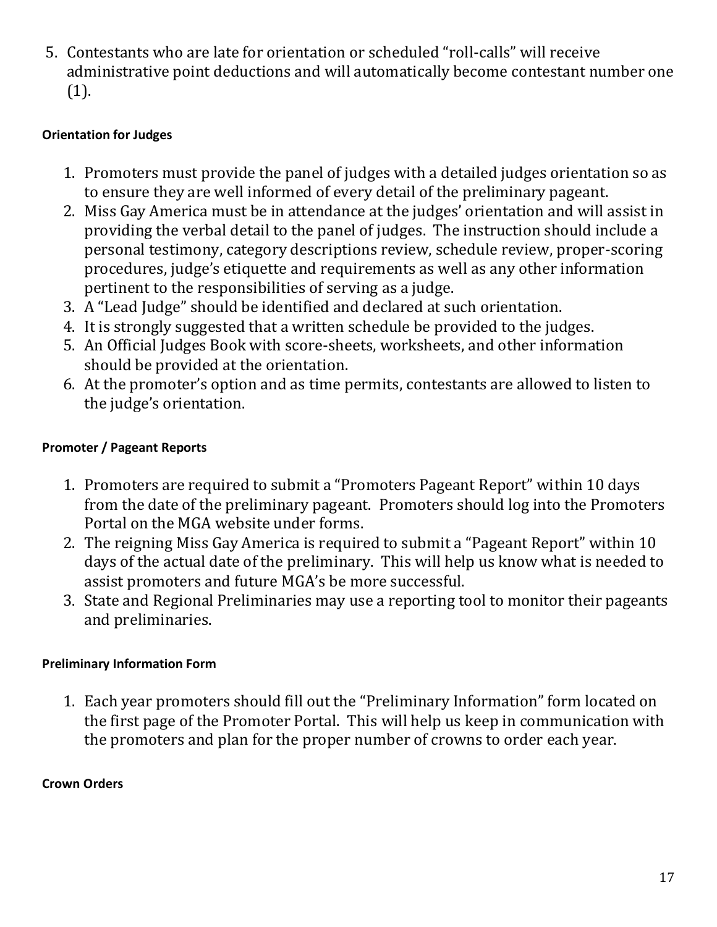5. Contestants who are late for orientation or scheduled "roll-calls" will receive administrative point deductions and will automatically become contestant number one (1).

# <span id="page-16-0"></span>**Orientation for Judges**

- 1. Promoters must provide the panel of judges with a detailed judges orientation so as to ensure they are well informed of every detail of the preliminary pageant.
- 2. Miss Gay America must be in attendance at the judges' orientation and will assist in providing the verbal detail to the panel of judges. The instruction should include a personal testimony, category descriptions review, schedule review, proper-scoring procedures, judge's etiquette and requirements as well as any other information pertinent to the responsibilities of serving as a judge.
- 3. A "Lead Judge" should be identified and declared at such orientation.
- 4. It is strongly suggested that a written schedule be provided to the judges.
- 5. An Official Judges Book with score-sheets, worksheets, and other information should be provided at the orientation.
- 6. At the promoter's option and as time permits, contestants are allowed to listen to the judge's orientation.

### <span id="page-16-1"></span>**Promoter / Pageant Reports**

- 1. Promoters are required to submit a "Promoters Pageant Report" within 10 days from the date of the preliminary pageant. Promoters should log into the Promoters Portal on the MGA website under forms.
- 2. The reigning Miss Gay America is required to submit a "Pageant Report" within 10 days of the actual date of the preliminary. This will help us know what is needed to assist promoters and future MGA's be more successful.
- 3. State and Regional Preliminaries may use a reporting tool to monitor their pageants and preliminaries.

### <span id="page-16-2"></span>**Preliminary Information Form**

1. Each year promoters should fill out the "Preliminary Information" form located on the first page of the Promoter Portal. This will help us keep in communication with the promoters and plan for the proper number of crowns to order each year.

### <span id="page-16-3"></span>**Crown Orders**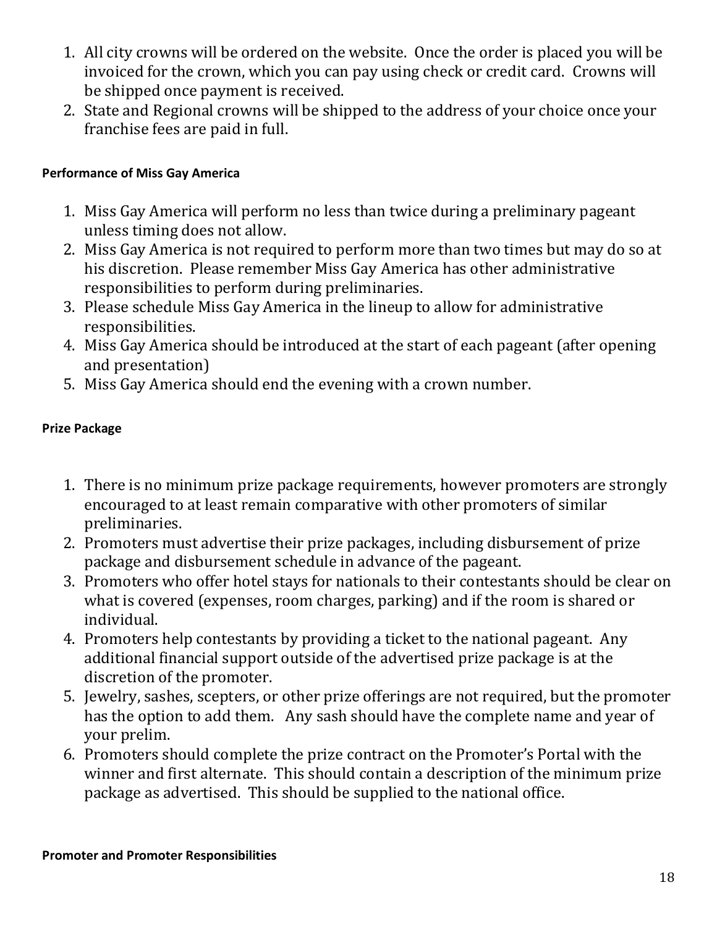- 1. All city crowns will be ordered on the website. Once the order is placed you will be invoiced for the crown, which you can pay using check or credit card. Crowns will be shipped once payment is received.
- 2. State and Regional crowns will be shipped to the address of your choice once your franchise fees are paid in full.

#### <span id="page-17-0"></span>**Performance of Miss Gay America**

- 1. Miss Gay America will perform no less than twice during a preliminary pageant unless timing does not allow.
- 2. Miss Gay America is not required to perform more than two times but may do so at his discretion. Please remember Miss Gay America has other administrative responsibilities to perform during preliminaries.
- 3. Please schedule Miss Gay America in the lineup to allow for administrative responsibilities.
- 4. Miss Gay America should be introduced at the start of each pageant (after opening and presentation)
- 5. Miss Gay America should end the evening with a crown number.

#### <span id="page-17-1"></span>**Prize Package**

- 1. There is no minimum prize package requirements, however promoters are strongly encouraged to at least remain comparative with other promoters of similar preliminaries.
- 2. Promoters must advertise their prize packages, including disbursement of prize package and disbursement schedule in advance of the pageant.
- 3. Promoters who offer hotel stays for nationals to their contestants should be clear on what is covered (expenses, room charges, parking) and if the room is shared or individual.
- 4. Promoters help contestants by providing a ticket to the national pageant. Any additional financial support outside of the advertised prize package is at the discretion of the promoter.
- 5. Jewelry, sashes, scepters, or other prize offerings are not required, but the promoter has the option to add them. Any sash should have the complete name and year of your prelim.
- <span id="page-17-2"></span>6. Promoters should complete the prize contract on the Promoter's Portal with the winner and first alternate. This should contain a description of the minimum prize package as advertised. This should be supplied to the national office.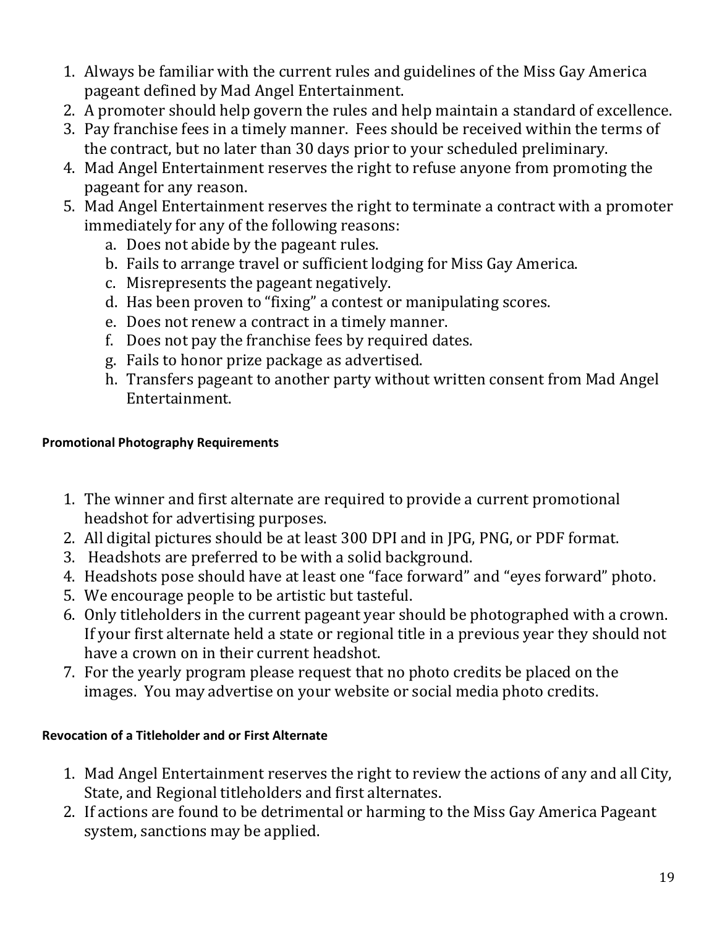- 1. Always be familiar with the current rules and guidelines of the Miss Gay America pageant defined by Mad Angel Entertainment.
- 2. A promoter should help govern the rules and help maintain a standard of excellence.
- 3. Pay franchise fees in a timely manner. Fees should be received within the terms of the contract, but no later than 30 days prior to your scheduled preliminary.
- 4. Mad Angel Entertainment reserves the right to refuse anyone from promoting the pageant for any reason.
- 5. Mad Angel Entertainment reserves the right to terminate a contract with a promoter immediately for any of the following reasons:
	- a. Does not abide by the pageant rules.
	- b. Fails to arrange travel or sufficient lodging for Miss Gay America.
	- c. Misrepresents the pageant negatively.
	- d. Has been proven to "fixing" a contest or manipulating scores.
	- e. Does not renew a contract in a timely manner.
	- f. Does not pay the franchise fees by required dates.
	- g. Fails to honor prize package as advertised.
	- h. Transfers pageant to another party without written consent from Mad Angel Entertainment.

### <span id="page-18-0"></span>**Promotional Photography Requirements**

- 1. The winner and first alternate are required to provide a current promotional headshot for advertising purposes.
- 2. All digital pictures should be at least 300 DPI and in JPG, PNG, or PDF format.
- 3. Headshots are preferred to be with a solid background.
- 4. Headshots pose should have at least one "face forward" and "eyes forward" photo.
- 5. We encourage people to be artistic but tasteful.
- 6. Only titleholders in the current pageant year should be photographed with a crown. If your first alternate held a state or regional title in a previous year they should not have a crown on in their current headshot.
- 7. For the yearly program please request that no photo credits be placed on the images. You may advertise on your website or social media photo credits.

# <span id="page-18-1"></span>**Revocation of a Titleholder and or First Alternate**

- 1. Mad Angel Entertainment reserves the right to review the actions of any and all City, State, and Regional titleholders and first alternates.
- 2. If actions are found to be detrimental or harming to the Miss Gay America Pageant system, sanctions may be applied.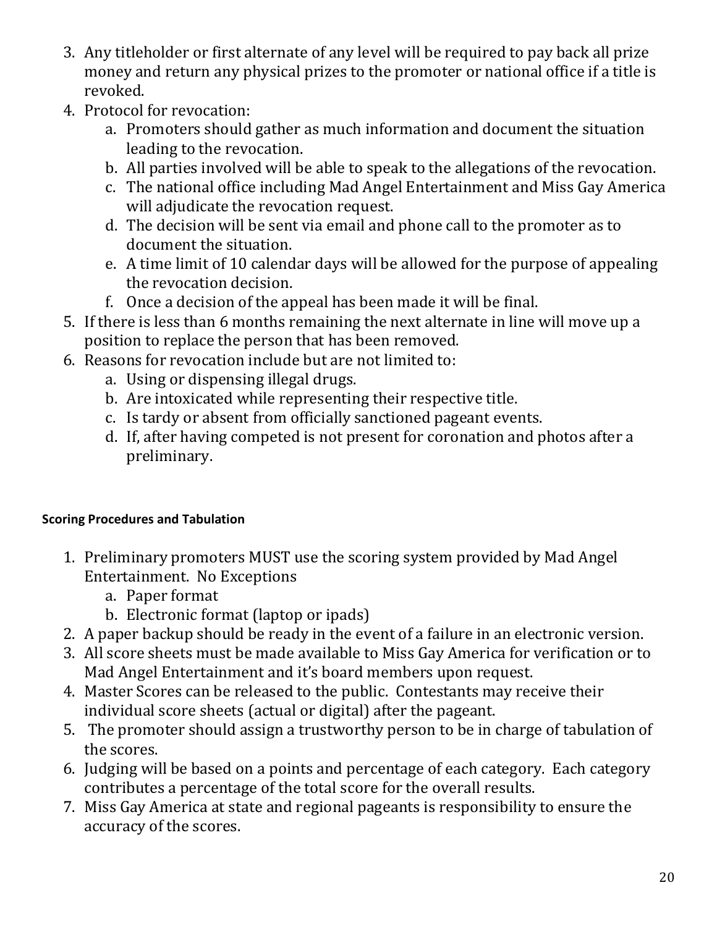- 3. Any titleholder or first alternate of any level will be required to pay back all prize money and return any physical prizes to the promoter or national office if a title is revoked.
- 4. Protocol for revocation:
	- a. Promoters should gather as much information and document the situation leading to the revocation.
	- b. All parties involved will be able to speak to the allegations of the revocation.
	- c. The national office including Mad Angel Entertainment and Miss Gay America will adjudicate the revocation request.
	- d. The decision will be sent via email and phone call to the promoter as to document the situation.
	- e. A time limit of 10 calendar days will be allowed for the purpose of appealing the revocation decision.
	- f. Once a decision of the appeal has been made it will be final.
- 5. If there is less than 6 months remaining the next alternate in line will move up a position to replace the person that has been removed.
- 6. Reasons for revocation include but are not limited to:
	- a. Using or dispensing illegal drugs.
	- b. Are intoxicated while representing their respective title.
	- c. Is tardy or absent from officially sanctioned pageant events.
	- d. If, after having competed is not present for coronation and photos after a preliminary.

# <span id="page-19-0"></span>**Scoring Procedures and Tabulation**

- 1. Preliminary promoters MUST use the scoring system provided by Mad Angel Entertainment. No Exceptions
	- a. Paper format
	- b. Electronic format (laptop or ipads)
- 2. A paper backup should be ready in the event of a failure in an electronic version.
- 3. All score sheets must be made available to Miss Gay America for verification or to Mad Angel Entertainment and it's board members upon request.
- 4. Master Scores can be released to the public. Contestants may receive their individual score sheets (actual or digital) after the pageant.
- 5. The promoter should assign a trustworthy person to be in charge of tabulation of the scores.
- 6. Judging will be based on a points and percentage of each category. Each category contributes a percentage of the total score for the overall results.
- 7. Miss Gay America at state and regional pageants is responsibility to ensure the accuracy of the scores.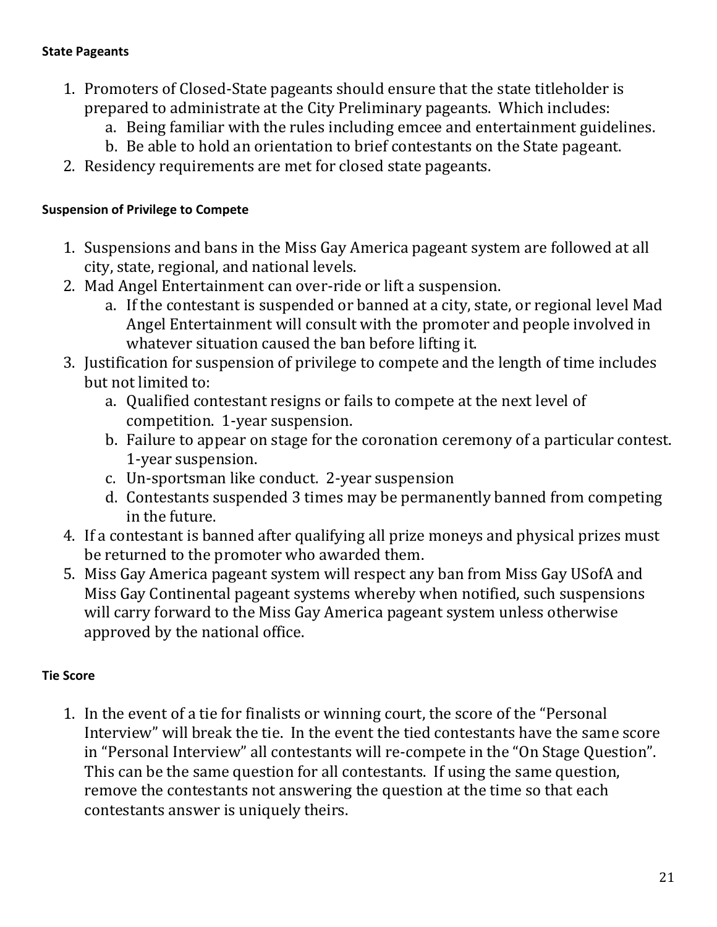#### <span id="page-20-0"></span>**State Pageants**

- 1. Promoters of Closed-State pageants should ensure that the state titleholder is prepared to administrate at the City Preliminary pageants. Which includes:
	- a. Being familiar with the rules including emcee and entertainment guidelines.
	- b. Be able to hold an orientation to brief contestants on the State pageant.
- 2. Residency requirements are met for closed state pageants.

### <span id="page-20-1"></span>**Suspension of Privilege to Compete**

- 1. Suspensions and bans in the Miss Gay America pageant system are followed at all city, state, regional, and national levels.
- 2. Mad Angel Entertainment can over-ride or lift a suspension.
	- a. If the contestant is suspended or banned at a city, state, or regional level Mad Angel Entertainment will consult with the promoter and people involved in whatever situation caused the ban before lifting it.
- 3. Justification for suspension of privilege to compete and the length of time includes but not limited to:
	- a. Qualified contestant resigns or fails to compete at the next level of competition. 1-year suspension.
	- b. Failure to appear on stage for the coronation ceremony of a particular contest. 1-year suspension.
	- c. Un-sportsman like conduct. 2-year suspension
	- d. Contestants suspended 3 times may be permanently banned from competing in the future.
- 4. If a contestant is banned after qualifying all prize moneys and physical prizes must be returned to the promoter who awarded them.
- 5. Miss Gay America pageant system will respect any ban from Miss Gay USofA and Miss Gay Continental pageant systems whereby when notified, such suspensions will carry forward to the Miss Gay America pageant system unless otherwise approved by the national office.

# <span id="page-20-2"></span>**Tie Score**

1. In the event of a tie for finalists or winning court, the score of the "Personal Interview" will break the tie. In the event the tied contestants have the same score in "Personal Interview" all contestants will re-compete in the "On Stage Question". This can be the same question for all contestants. If using the same question, remove the contestants not answering the question at the time so that each contestants answer is uniquely theirs.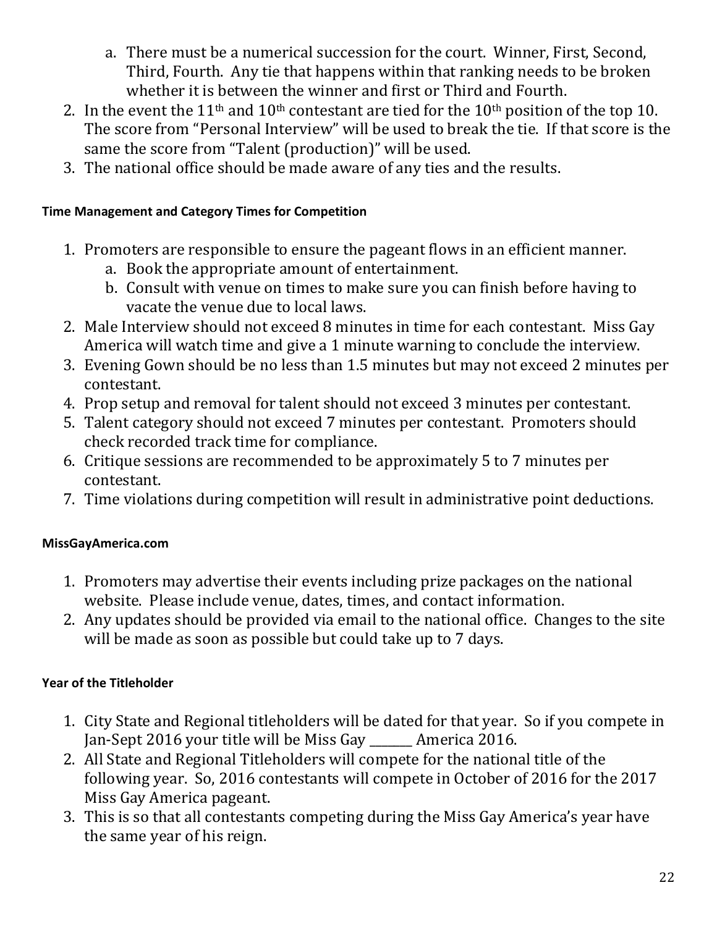- a. There must be a numerical succession for the court. Winner, First, Second, Third, Fourth. Any tie that happens within that ranking needs to be broken whether it is between the winner and first or Third and Fourth.
- 2. In the event the 11<sup>th</sup> and 10<sup>th</sup> contestant are tied for the 10<sup>th</sup> position of the top 10. The score from "Personal Interview" will be used to break the tie. If that score is the same the score from "Talent (production)" will be used.
- 3. The national office should be made aware of any ties and the results.

# <span id="page-21-0"></span>**Time Management and Category Times for Competition**

- 1. Promoters are responsible to ensure the pageant flows in an efficient manner.
	- a. Book the appropriate amount of entertainment.
	- b. Consult with venue on times to make sure you can finish before having to vacate the venue due to local laws.
- 2. Male Interview should not exceed 8 minutes in time for each contestant. Miss Gay America will watch time and give a 1 minute warning to conclude the interview.
- 3. Evening Gown should be no less than 1.5 minutes but may not exceed 2 minutes per contestant.
- 4. Prop setup and removal for talent should not exceed 3 minutes per contestant.
- 5. Talent category should not exceed 7 minutes per contestant. Promoters should check recorded track time for compliance.
- 6. Critique sessions are recommended to be approximately 5 to 7 minutes per contestant.
- 7. Time violations during competition will result in administrative point deductions.

# <span id="page-21-1"></span>**MissGayAmerica.com**

- 1. Promoters may advertise their events including prize packages on the national website. Please include venue, dates, times, and contact information.
- 2. Any updates should be provided via email to the national office. Changes to the site will be made as soon as possible but could take up to 7 days.

# <span id="page-21-2"></span>**Year of the Titleholder**

- 1. City State and Regional titleholders will be dated for that year. So if you compete in Jan-Sept 2016 your title will be Miss Gay \_\_\_\_\_\_\_ America 2016.
- 2. All State and Regional Titleholders will compete for the national title of the following year. So, 2016 contestants will compete in October of 2016 for the 2017 Miss Gay America pageant.
- 3. This is so that all contestants competing during the Miss Gay America's year have the same year of his reign.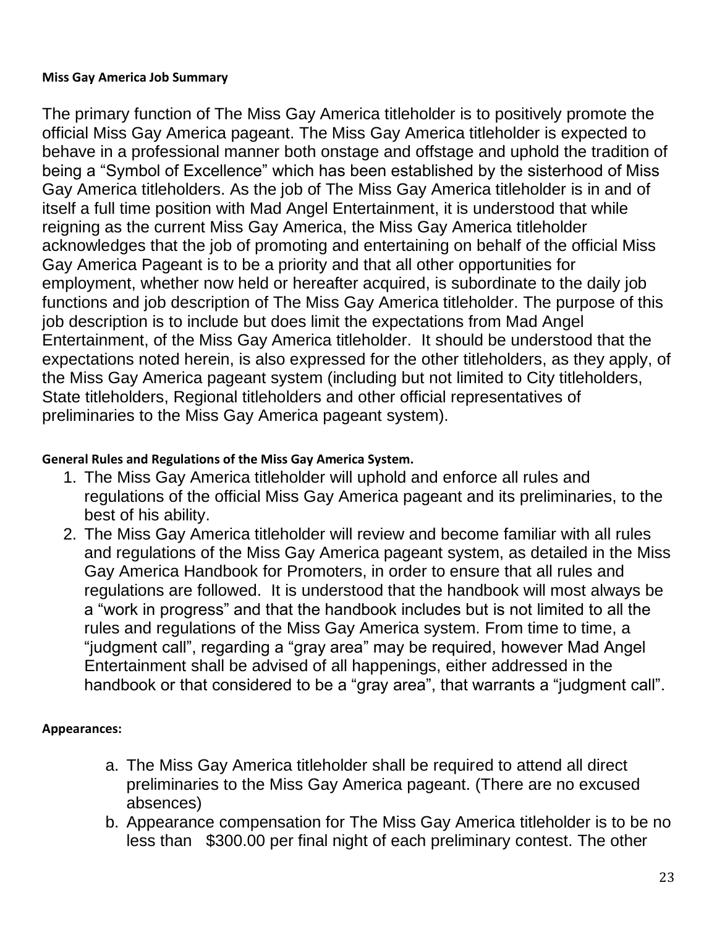#### <span id="page-22-0"></span>**Miss Gay America Job Summary**

The primary function of The Miss Gay America titleholder is to positively promote the official Miss Gay America pageant. The Miss Gay America titleholder is expected to behave in a professional manner both onstage and offstage and uphold the tradition of being a "Symbol of Excellence" which has been established by the sisterhood of Miss Gay America titleholders. As the job of The Miss Gay America titleholder is in and of itself a full time position with Mad Angel Entertainment, it is understood that while reigning as the current Miss Gay America, the Miss Gay America titleholder acknowledges that the job of promoting and entertaining on behalf of the official Miss Gay America Pageant is to be a priority and that all other opportunities for employment, whether now held or hereafter acquired, is subordinate to the daily job functions and job description of The Miss Gay America titleholder. The purpose of this job description is to include but does limit the expectations from Mad Angel Entertainment, of the Miss Gay America titleholder. It should be understood that the expectations noted herein, is also expressed for the other titleholders, as they apply, of the Miss Gay America pageant system (including but not limited to City titleholders, State titleholders, Regional titleholders and other official representatives of preliminaries to the Miss Gay America pageant system).

#### <span id="page-22-1"></span>**General Rules and Regulations of the Miss Gay America System.**

- 1. The Miss Gay America titleholder will uphold and enforce all rules and regulations of the official Miss Gay America pageant and its preliminaries, to the best of his ability.
- 2. The Miss Gay America titleholder will review and become familiar with all rules and regulations of the Miss Gay America pageant system, as detailed in the Miss Gay America Handbook for Promoters, in order to ensure that all rules and regulations are followed. It is understood that the handbook will most always be a "work in progress" and that the handbook includes but is not limited to all the rules and regulations of the Miss Gay America system. From time to time, a "judgment call", regarding a "gray area" may be required, however Mad Angel Entertainment shall be advised of all happenings, either addressed in the handbook or that considered to be a "gray area", that warrants a "judgment call".

#### <span id="page-22-2"></span>**Appearances:**

- a. The Miss Gay America titleholder shall be required to attend all direct preliminaries to the Miss Gay America pageant. (There are no excused absences)
- b. Appearance compensation for The Miss Gay America titleholder is to be no less than \$300.00 per final night of each preliminary contest. The other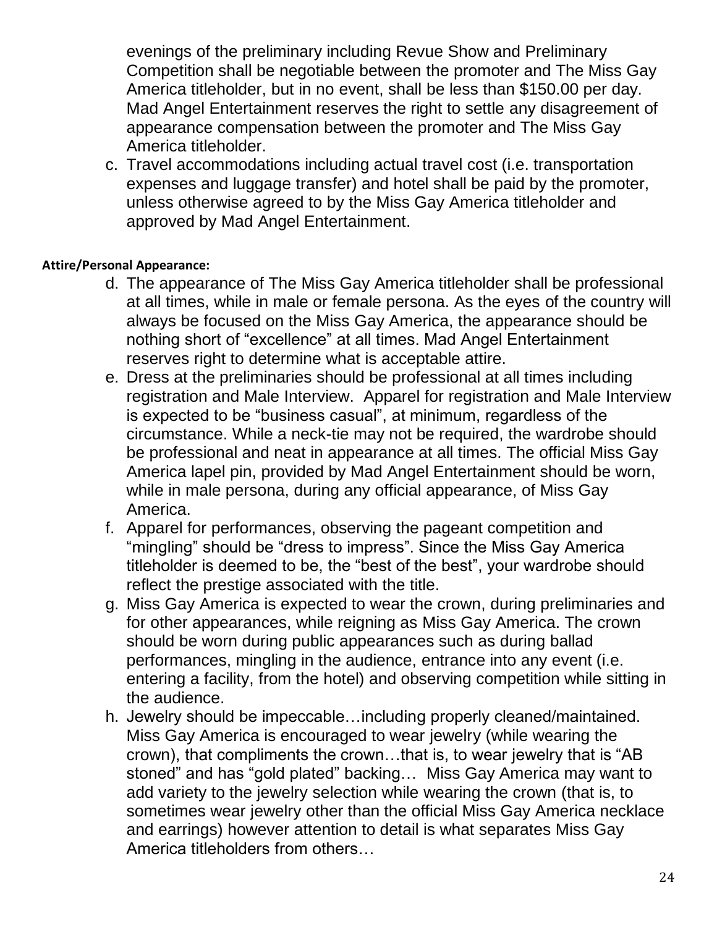evenings of the preliminary including Revue Show and Preliminary Competition shall be negotiable between the promoter and The Miss Gay America titleholder, but in no event, shall be less than \$150.00 per day. Mad Angel Entertainment reserves the right to settle any disagreement of appearance compensation between the promoter and The Miss Gay America titleholder.

c. Travel accommodations including actual travel cost (i.e. transportation expenses and luggage transfer) and hotel shall be paid by the promoter, unless otherwise agreed to by the Miss Gay America titleholder and approved by Mad Angel Entertainment.

### <span id="page-23-0"></span>**Attire/Personal Appearance:**

- d. The appearance of The Miss Gay America titleholder shall be professional at all times, while in male or female persona. As the eyes of the country will always be focused on the Miss Gay America, the appearance should be nothing short of "excellence" at all times. Mad Angel Entertainment reserves right to determine what is acceptable attire.
- e. Dress at the preliminaries should be professional at all times including registration and Male Interview. Apparel for registration and Male Interview is expected to be "business casual", at minimum, regardless of the circumstance. While a neck-tie may not be required, the wardrobe should be professional and neat in appearance at all times. The official Miss Gay America lapel pin, provided by Mad Angel Entertainment should be worn, while in male persona, during any official appearance, of Miss Gay America.
- f. Apparel for performances, observing the pageant competition and "mingling" should be "dress to impress". Since the Miss Gay America titleholder is deemed to be, the "best of the best", your wardrobe should reflect the prestige associated with the title.
- g. Miss Gay America is expected to wear the crown, during preliminaries and for other appearances, while reigning as Miss Gay America. The crown should be worn during public appearances such as during ballad performances, mingling in the audience, entrance into any event (i.e. entering a facility, from the hotel) and observing competition while sitting in the audience.
- h. Jewelry should be impeccable…including properly cleaned/maintained. Miss Gay America is encouraged to wear jewelry (while wearing the crown), that compliments the crown…that is, to wear jewelry that is "AB stoned" and has "gold plated" backing… Miss Gay America may want to add variety to the jewelry selection while wearing the crown (that is, to sometimes wear jewelry other than the official Miss Gay America necklace and earrings) however attention to detail is what separates Miss Gay America titleholders from others…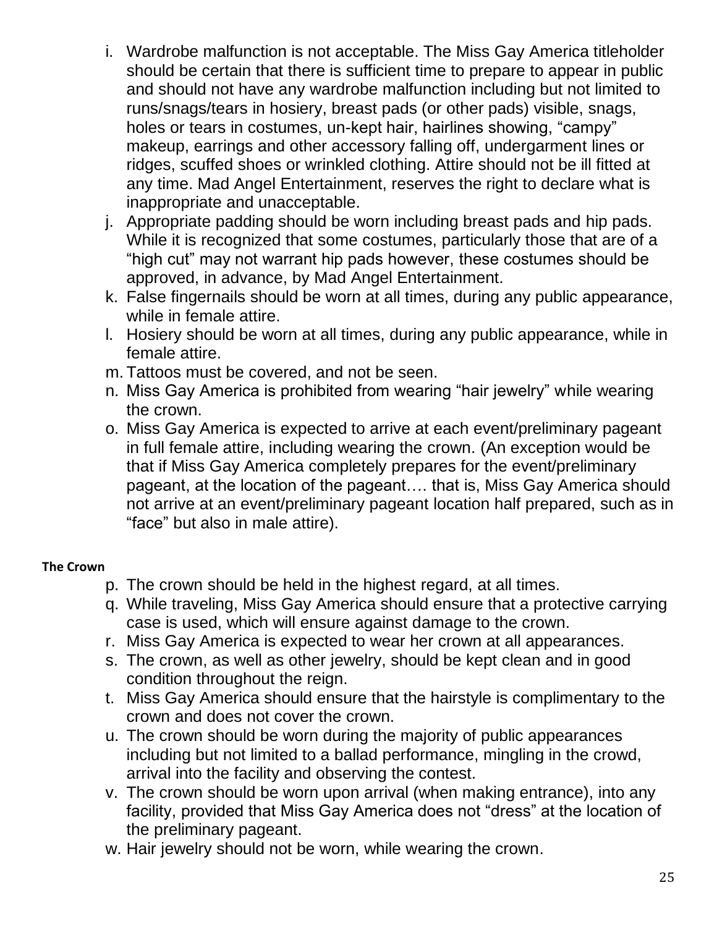- i. Wardrobe malfunction is not acceptable. The Miss Gay America titleholder should be certain that there is sufficient time to prepare to appear in public and should not have any wardrobe malfunction including but not limited to runs/snags/tears in hosiery, breast pads (or other pads) visible, snags, holes or tears in costumes, un-kept hair, hairlines showing, "campy" makeup, earrings and other accessory falling off, undergarment lines or ridges, scuffed shoes or wrinkled clothing. Attire should not be ill fitted at any time. Mad Angel Entertainment, reserves the right to declare what is inappropriate and unacceptable.
- j. Appropriate padding should be worn including breast pads and hip pads. While it is recognized that some costumes, particularly those that are of a "high cut" may not warrant hip pads however, these costumes should be approved, in advance, by Mad Angel Entertainment.
- k. False fingernails should be worn at all times, during any public appearance, while in female attire.
- l. Hosiery should be worn at all times, during any public appearance, while in female attire.
- m. Tattoos must be covered, and not be seen.
- n. Miss Gay America is prohibited from wearing "hair jewelry" while wearing the crown.
- o. Miss Gay America is expected to arrive at each event/preliminary pageant in full female attire, including wearing the crown. (An exception would be that if Miss Gay America completely prepares for the event/preliminary pageant, at the location of the pageant…. that is, Miss Gay America should not arrive at an event/preliminary pageant location half prepared, such as in "face" but also in male attire).

### <span id="page-24-0"></span>**The Crown**

- p. The crown should be held in the highest regard, at all times.
- q. While traveling, Miss Gay America should ensure that a protective carrying case is used, which will ensure against damage to the crown.
- r. Miss Gay America is expected to wear her crown at all appearances.
- s. The crown, as well as other jewelry, should be kept clean and in good condition throughout the reign.
- t. Miss Gay America should ensure that the hairstyle is complimentary to the crown and does not cover the crown.
- u. The crown should be worn during the majority of public appearances including but not limited to a ballad performance, mingling in the crowd, arrival into the facility and observing the contest.
- v. The crown should be worn upon arrival (when making entrance), into any facility, provided that Miss Gay America does not "dress" at the location of the preliminary pageant.
- w. Hair jewelry should not be worn, while wearing the crown.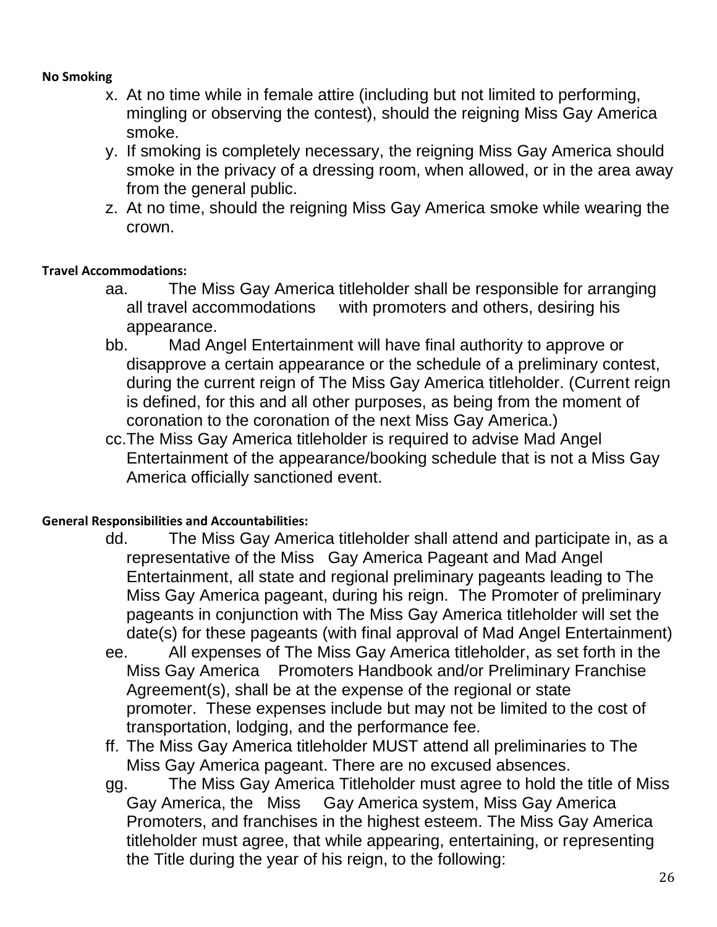#### <span id="page-25-0"></span>**No Smoking**

- x. At no time while in female attire (including but not limited to performing, mingling or observing the contest), should the reigning Miss Gay America smoke.
- y. If smoking is completely necessary, the reigning Miss Gay America should smoke in the privacy of a dressing room, when allowed, or in the area away from the general public.
- z. At no time, should the reigning Miss Gay America smoke while wearing the crown.

#### <span id="page-25-1"></span>**Travel Accommodations:**

- aa. The Miss Gay America titleholder shall be responsible for arranging all travel accommodations with promoters and others, desiring his appearance.
- bb. Mad Angel Entertainment will have final authority to approve or disapprove a certain appearance or the schedule of a preliminary contest, during the current reign of The Miss Gay America titleholder. (Current reign is defined, for this and all other purposes, as being from the moment of coronation to the coronation of the next Miss Gay America.)
- cc.The Miss Gay America titleholder is required to advise Mad Angel Entertainment of the appearance/booking schedule that is not a Miss Gay America officially sanctioned event.

#### <span id="page-25-2"></span>**General Responsibilities and Accountabilities:**

- dd. The Miss Gay America titleholder shall attend and participate in, as a representative of the Miss Gay America Pageant and Mad Angel Entertainment, all state and regional preliminary pageants leading to The Miss Gay America pageant, during his reign. The Promoter of preliminary pageants in conjunction with The Miss Gay America titleholder will set the date(s) for these pageants (with final approval of Mad Angel Entertainment)
- ee. All expenses of The Miss Gay America titleholder, as set forth in the Miss Gay America Promoters Handbook and/or Preliminary Franchise Agreement(s), shall be at the expense of the regional or state promoter. These expenses include but may not be limited to the cost of transportation, lodging, and the performance fee.
- ff. The Miss Gay America titleholder MUST attend all preliminaries to The Miss Gay America pageant. There are no excused absences.
- gg. The Miss Gay America Titleholder must agree to hold the title of Miss Gay America, the Miss Gay America system, Miss Gay America Promoters, and franchises in the highest esteem. The Miss Gay America titleholder must agree, that while appearing, entertaining, or representing the Title during the year of his reign, to the following: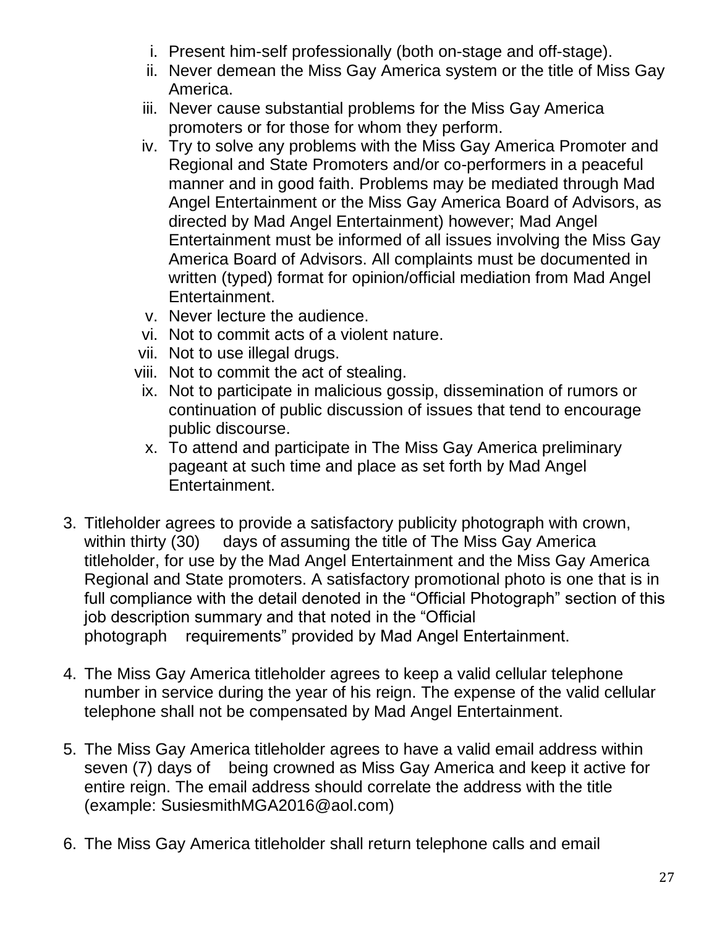- i. Present him-self professionally (both on-stage and off-stage).
- ii. Never demean the Miss Gay America system or the title of Miss Gay America.
- iii. Never cause substantial problems for the Miss Gay America promoters or for those for whom they perform.
- iv. Try to solve any problems with the Miss Gay America Promoter and Regional and State Promoters and/or co-performers in a peaceful manner and in good faith. Problems may be mediated through Mad Angel Entertainment or the Miss Gay America Board of Advisors, as directed by Mad Angel Entertainment) however; Mad Angel Entertainment must be informed of all issues involving the Miss Gay America Board of Advisors. All complaints must be documented in written (typed) format for opinion/official mediation from Mad Angel Entertainment.
- v. Never lecture the audience.
- vi. Not to commit acts of a violent nature.
- vii. Not to use illegal drugs.
- viii. Not to commit the act of stealing.
	- ix. Not to participate in malicious gossip, dissemination of rumors or continuation of public discussion of issues that tend to encourage public discourse.
	- x. To attend and participate in The Miss Gay America preliminary pageant at such time and place as set forth by Mad Angel Entertainment.
- 3. Titleholder agrees to provide a satisfactory publicity photograph with crown, within thirty (30) days of assuming the title of The Miss Gay America titleholder, for use by the Mad Angel Entertainment and the Miss Gay America Regional and State promoters. A satisfactory promotional photo is one that is in full compliance with the detail denoted in the "Official Photograph" section of this job description summary and that noted in the "Official photograph requirements" provided by Mad Angel Entertainment.
- 4. The Miss Gay America titleholder agrees to keep a valid cellular telephone number in service during the year of his reign. The expense of the valid cellular telephone shall not be compensated by Mad Angel Entertainment.
- 5. The Miss Gay America titleholder agrees to have a valid email address within seven (7) days of being crowned as Miss Gay America and keep it active for entire reign. The email address should correlate the address with the title (example: [SusiesmithMGA2016@aol.com\)](mailto:SusiesmithMGA2016@aol.com))
- 6. The Miss Gay America titleholder shall return telephone calls and email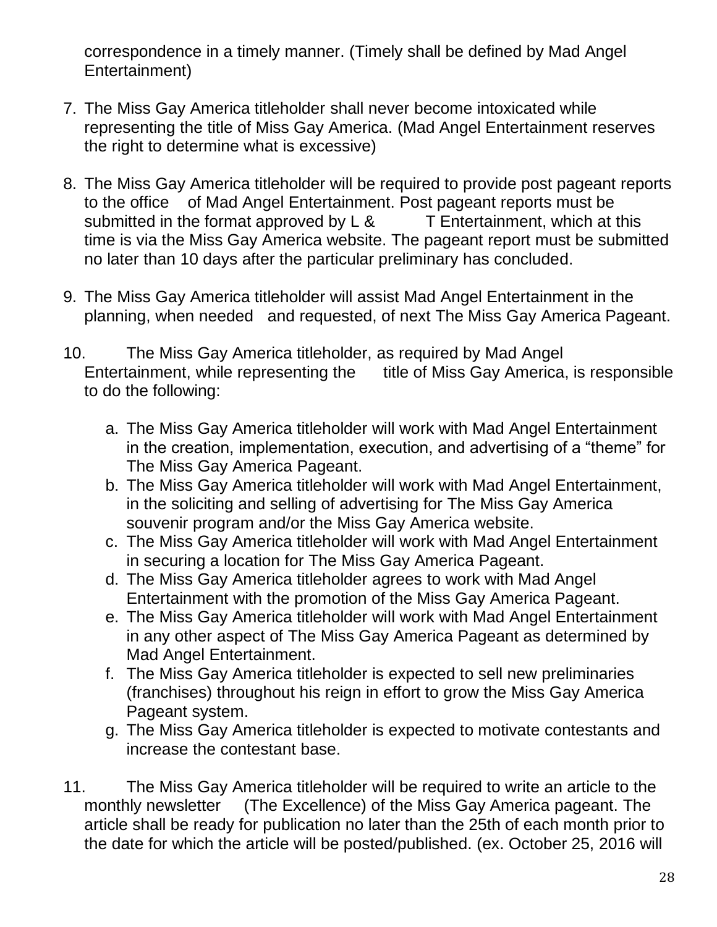correspondence in a timely manner. (Timely shall be defined by Mad Angel Entertainment)

- 7. The Miss Gay America titleholder shall never become intoxicated while representing the title of Miss Gay America. (Mad Angel Entertainment reserves the right to determine what is excessive)
- 8. The Miss Gay America titleholder will be required to provide post pageant reports to the office of Mad Angel Entertainment. Post pageant reports must be submitted in the format approved by  $L 8$  T Entertainment, which at this time is via the Miss Gay America website. The pageant report must be submitted no later than 10 days after the particular preliminary has concluded.
- 9. The Miss Gay America titleholder will assist Mad Angel Entertainment in the planning, when needed and requested, of next The Miss Gay America Pageant.
- 10. The Miss Gay America titleholder, as required by Mad Angel Entertainment, while representing the title of Miss Gay America, is responsible to do the following:
	- a. The Miss Gay America titleholder will work with Mad Angel Entertainment in the creation, implementation, execution, and advertising of a "theme" for The Miss Gay America Pageant.
	- b. The Miss Gay America titleholder will work with Mad Angel Entertainment, in the soliciting and selling of advertising for The Miss Gay America souvenir program and/or the Miss Gay America website.
	- c. The Miss Gay America titleholder will work with Mad Angel Entertainment in securing a location for The Miss Gay America Pageant.
	- d. The Miss Gay America titleholder agrees to work with Mad Angel Entertainment with the promotion of the Miss Gay America Pageant.
	- e. The Miss Gay America titleholder will work with Mad Angel Entertainment in any other aspect of The Miss Gay America Pageant as determined by Mad Angel Entertainment.
	- f. The Miss Gay America titleholder is expected to sell new preliminaries (franchises) throughout his reign in effort to grow the Miss Gay America Pageant system.
	- g. The Miss Gay America titleholder is expected to motivate contestants and increase the contestant base.
- 11. The Miss Gay America titleholder will be required to write an article to the monthly newsletter (The Excellence) of the Miss Gay America pageant. The article shall be ready for publication no later than the 25th of each month prior to the date for which the article will be posted/published. (ex. October 25, 2016 will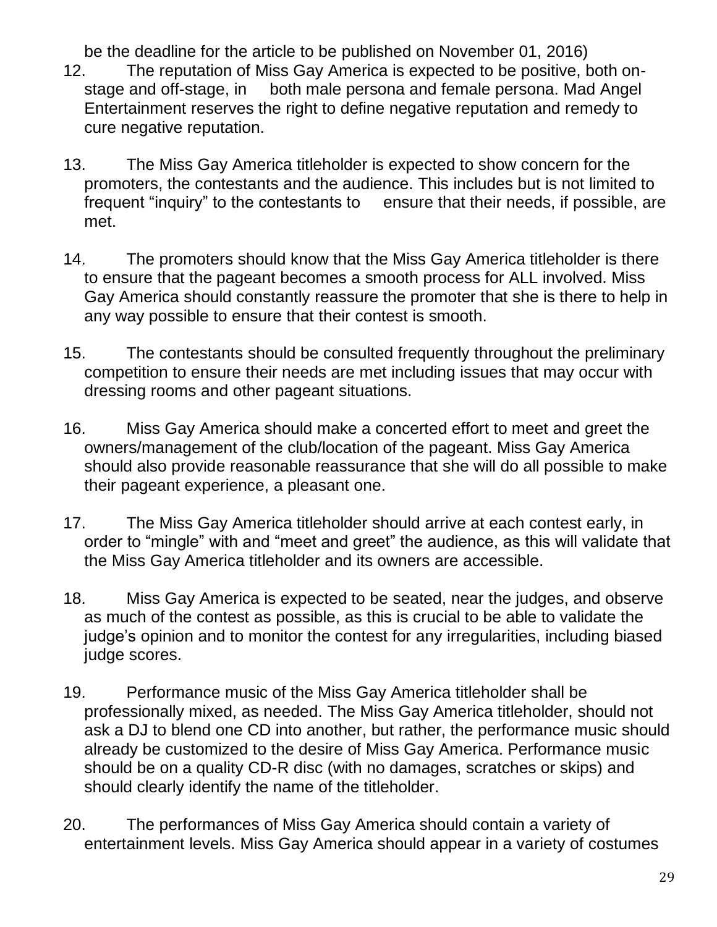be the deadline for the article to be published on November 01, 2016)

- 12. The reputation of Miss Gay America is expected to be positive, both onstage and off-stage, in both male persona and female persona. Mad Angel Entertainment reserves the right to define negative reputation and remedy to cure negative reputation.
- 13. The Miss Gay America titleholder is expected to show concern for the promoters, the contestants and the audience. This includes but is not limited to frequent "inquiry" to the contestants to ensure that their needs, if possible, are met.
- 14. The promoters should know that the Miss Gay America titleholder is there to ensure that the pageant becomes a smooth process for ALL involved. Miss Gay America should constantly reassure the promoter that she is there to help in any way possible to ensure that their contest is smooth.
- 15. The contestants should be consulted frequently throughout the preliminary competition to ensure their needs are met including issues that may occur with dressing rooms and other pageant situations.
- 16. Miss Gay America should make a concerted effort to meet and greet the owners/management of the club/location of the pageant. Miss Gay America should also provide reasonable reassurance that she will do all possible to make their pageant experience, a pleasant one.
- 17. The Miss Gay America titleholder should arrive at each contest early, in order to "mingle" with and "meet and greet" the audience, as this will validate that the Miss Gay America titleholder and its owners are accessible.
- 18. Miss Gay America is expected to be seated, near the judges, and observe as much of the contest as possible, as this is crucial to be able to validate the judge's opinion and to monitor the contest for any irregularities, including biased judge scores.
- 19. Performance music of the Miss Gay America titleholder shall be professionally mixed, as needed. The Miss Gay America titleholder, should not ask a DJ to blend one CD into another, but rather, the performance music should already be customized to the desire of Miss Gay America. Performance music should be on a quality CD-R disc (with no damages, scratches or skips) and should clearly identify the name of the titleholder.
- 20. The performances of Miss Gay America should contain a variety of entertainment levels. Miss Gay America should appear in a variety of costumes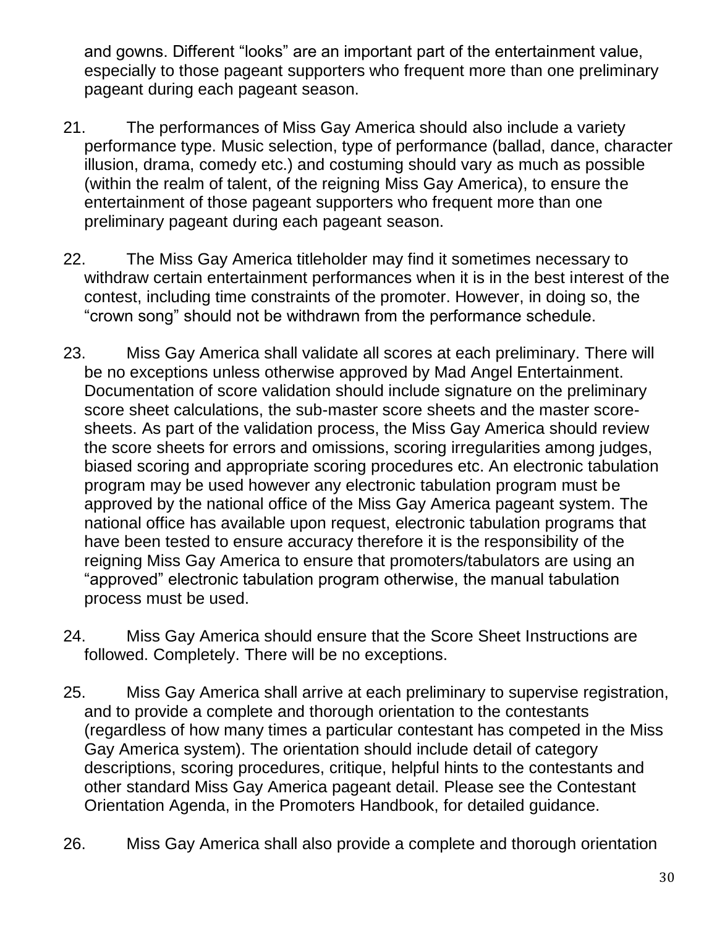and gowns. Different "looks" are an important part of the entertainment value, especially to those pageant supporters who frequent more than one preliminary pageant during each pageant season.

- 21. The performances of Miss Gay America should also include a variety performance type. Music selection, type of performance (ballad, dance, character illusion, drama, comedy etc.) and costuming should vary as much as possible (within the realm of talent, of the reigning Miss Gay America), to ensure the entertainment of those pageant supporters who frequent more than one preliminary pageant during each pageant season.
- 22. The Miss Gay America titleholder may find it sometimes necessary to withdraw certain entertainment performances when it is in the best interest of the contest, including time constraints of the promoter. However, in doing so, the "crown song" should not be withdrawn from the performance schedule.
- 23. Miss Gay America shall validate all scores at each preliminary. There will be no exceptions unless otherwise approved by Mad Angel Entertainment. Documentation of score validation should include signature on the preliminary score sheet calculations, the sub-master score sheets and the master scoresheets. As part of the validation process, the Miss Gay America should review the score sheets for errors and omissions, scoring irregularities among judges, biased scoring and appropriate scoring procedures etc. An electronic tabulation program may be used however any electronic tabulation program must be approved by the national office of the Miss Gay America pageant system. The national office has available upon request, electronic tabulation programs that have been tested to ensure accuracy therefore it is the responsibility of the reigning Miss Gay America to ensure that promoters/tabulators are using an "approved" electronic tabulation program otherwise, the manual tabulation process must be used.
- 24. Miss Gay America should ensure that the Score Sheet Instructions are followed. Completely. There will be no exceptions.
- 25. Miss Gay America shall arrive at each preliminary to supervise registration, and to provide a complete and thorough orientation to the contestants (regardless of how many times a particular contestant has competed in the Miss Gay America system). The orientation should include detail of category descriptions, scoring procedures, critique, helpful hints to the contestants and other standard Miss Gay America pageant detail. Please see the Contestant Orientation Agenda, in the Promoters Handbook, for detailed guidance.
- 26. Miss Gay America shall also provide a complete and thorough orientation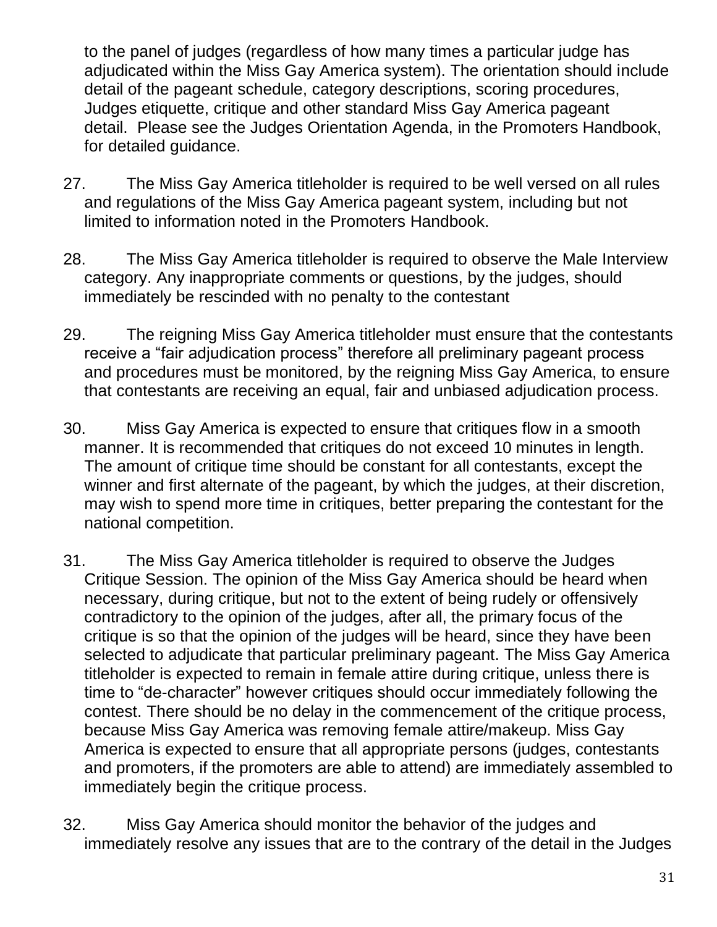to the panel of judges (regardless of how many times a particular judge has adjudicated within the Miss Gay America system). The orientation should include detail of the pageant schedule, category descriptions, scoring procedures, Judges etiquette, critique and other standard Miss Gay America pageant detail. Please see the Judges Orientation Agenda, in the Promoters Handbook, for detailed guidance.

- 27. The Miss Gay America titleholder is required to be well versed on all rules and regulations of the Miss Gay America pageant system, including but not limited to information noted in the Promoters Handbook.
- 28. The Miss Gay America titleholder is required to observe the Male Interview category. Any inappropriate comments or questions, by the judges, should immediately be rescinded with no penalty to the contestant
- 29. The reigning Miss Gay America titleholder must ensure that the contestants receive a "fair adjudication process" therefore all preliminary pageant process and procedures must be monitored, by the reigning Miss Gay America, to ensure that contestants are receiving an equal, fair and unbiased adjudication process.
- 30. Miss Gay America is expected to ensure that critiques flow in a smooth manner. It is recommended that critiques do not exceed 10 minutes in length. The amount of critique time should be constant for all contestants, except the winner and first alternate of the pageant, by which the judges, at their discretion, may wish to spend more time in critiques, better preparing the contestant for the national competition.
- 31. The Miss Gay America titleholder is required to observe the Judges Critique Session. The opinion of the Miss Gay America should be heard when necessary, during critique, but not to the extent of being rudely or offensively contradictory to the opinion of the judges, after all, the primary focus of the critique is so that the opinion of the judges will be heard, since they have been selected to adjudicate that particular preliminary pageant. The Miss Gay America titleholder is expected to remain in female attire during critique, unless there is time to "de-character" however critiques should occur immediately following the contest. There should be no delay in the commencement of the critique process, because Miss Gay America was removing female attire/makeup. Miss Gay America is expected to ensure that all appropriate persons (judges, contestants and promoters, if the promoters are able to attend) are immediately assembled to immediately begin the critique process.
- 32. Miss Gay America should monitor the behavior of the judges and immediately resolve any issues that are to the contrary of the detail in the Judges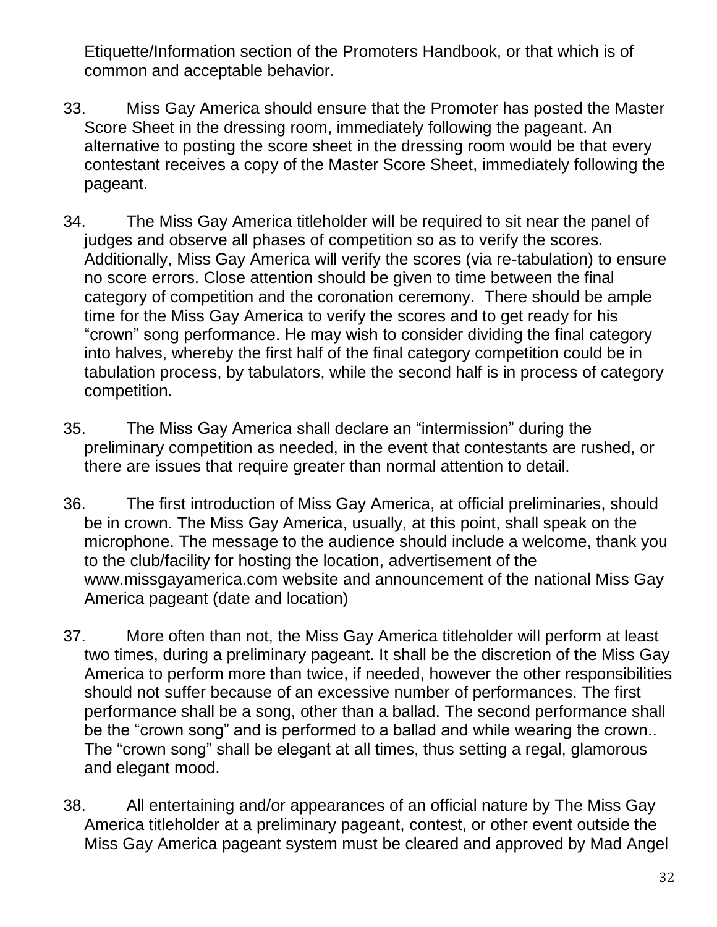Etiquette/Information section of the Promoters Handbook, or that which is of common and acceptable behavior.

- 33. Miss Gay America should ensure that the Promoter has posted the Master Score Sheet in the dressing room, immediately following the pageant. An alternative to posting the score sheet in the dressing room would be that every contestant receives a copy of the Master Score Sheet, immediately following the pageant.
- 34. The Miss Gay America titleholder will be required to sit near the panel of judges and observe all phases of competition so as to verify the scores. Additionally, Miss Gay America will verify the scores (via re-tabulation) to ensure no score errors. Close attention should be given to time between the final category of competition and the coronation ceremony. There should be ample time for the Miss Gay America to verify the scores and to get ready for his "crown" song performance. He may wish to consider dividing the final category into halves, whereby the first half of the final category competition could be in tabulation process, by tabulators, while the second half is in process of category competition.
- 35. The Miss Gay America shall declare an "intermission" during the preliminary competition as needed, in the event that contestants are rushed, or there are issues that require greater than normal attention to detail.
- 36. The first introduction of Miss Gay America, at official preliminaries, should be in crown. The Miss Gay America, usually, at this point, shall speak on the microphone. The message to the audience should include a welcome, thank you to the club/facility for hosting the location, advertisement of the [www.missgayamerica.com](http://www.missgayamerica.com/) website and announcement of the national Miss Gay America pageant (date and location)
- 37. More often than not, the Miss Gay America titleholder will perform at least two times, during a preliminary pageant. It shall be the discretion of the Miss Gay America to perform more than twice, if needed, however the other responsibilities should not suffer because of an excessive number of performances. The first performance shall be a song, other than a ballad. The second performance shall be the "crown song" and is performed to a ballad and while wearing the crown.. The "crown song" shall be elegant at all times, thus setting a regal, glamorous and elegant mood.
- 38. All entertaining and/or appearances of an official nature by The Miss Gay America titleholder at a preliminary pageant, contest, or other event outside the Miss Gay America pageant system must be cleared and approved by Mad Angel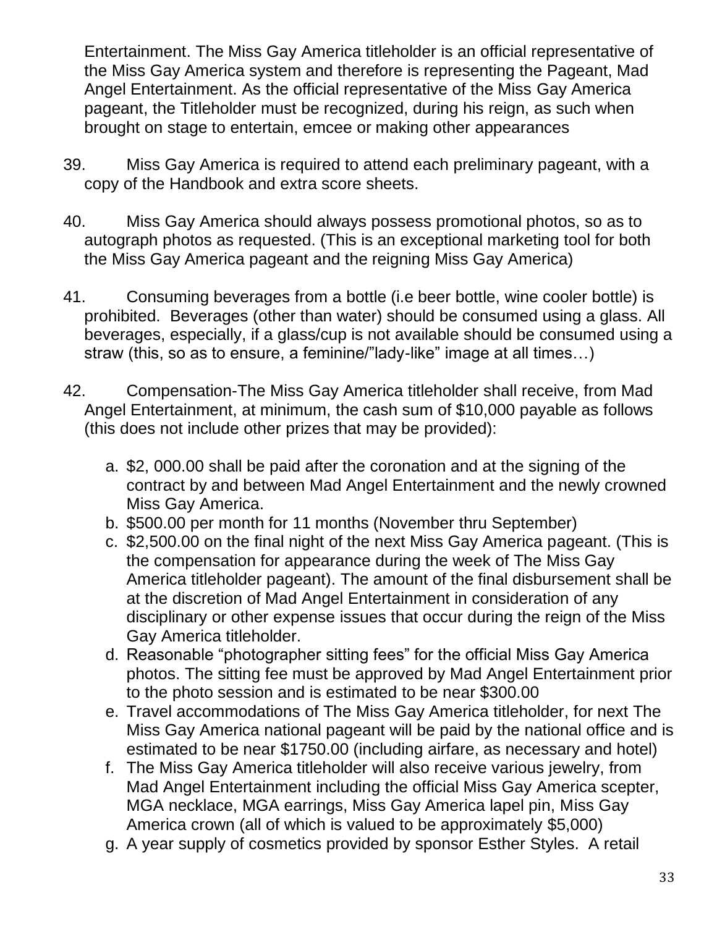Entertainment. The Miss Gay America titleholder is an official representative of the Miss Gay America system and therefore is representing the Pageant, Mad Angel Entertainment. As the official representative of the Miss Gay America pageant, the Titleholder must be recognized, during his reign, as such when brought on stage to entertain, emcee or making other appearances

- 39. Miss Gay America is required to attend each preliminary pageant, with a copy of the Handbook and extra score sheets.
- 40. Miss Gay America should always possess promotional photos, so as to autograph photos as requested. (This is an exceptional marketing tool for both the Miss Gay America pageant and the reigning Miss Gay America)
- 41. Consuming beverages from a bottle (i.e beer bottle, wine cooler bottle) is prohibited. Beverages (other than water) should be consumed using a glass. All beverages, especially, if a glass/cup is not available should be consumed using a straw (this, so as to ensure, a feminine/"lady-like" image at all times…)
- 42. Compensation-The Miss Gay America titleholder shall receive, from Mad Angel Entertainment, at minimum, the cash sum of \$10,000 payable as follows (this does not include other prizes that may be provided):
	- a. \$2, 000.00 shall be paid after the coronation and at the signing of the contract by and between Mad Angel Entertainment and the newly crowned Miss Gay America.
	- b. \$500.00 per month for 11 months (November thru September)
	- c. \$2,500.00 on the final night of the next Miss Gay America pageant. (This is the compensation for appearance during the week of The Miss Gay America titleholder pageant). The amount of the final disbursement shall be at the discretion of Mad Angel Entertainment in consideration of any disciplinary or other expense issues that occur during the reign of the Miss Gay America titleholder.
	- d. Reasonable "photographer sitting fees" for the official Miss Gay America photos. The sitting fee must be approved by Mad Angel Entertainment prior to the photo session and is estimated to be near \$300.00
	- e. Travel accommodations of The Miss Gay America titleholder, for next The Miss Gay America national pageant will be paid by the national office and is estimated to be near \$1750.00 (including airfare, as necessary and hotel)
	- f. The Miss Gay America titleholder will also receive various jewelry, from Mad Angel Entertainment including the official Miss Gay America scepter, MGA necklace, MGA earrings, Miss Gay America lapel pin, Miss Gay America crown (all of which is valued to be approximately \$5,000)
	- g. A year supply of cosmetics provided by sponsor Esther Styles. A retail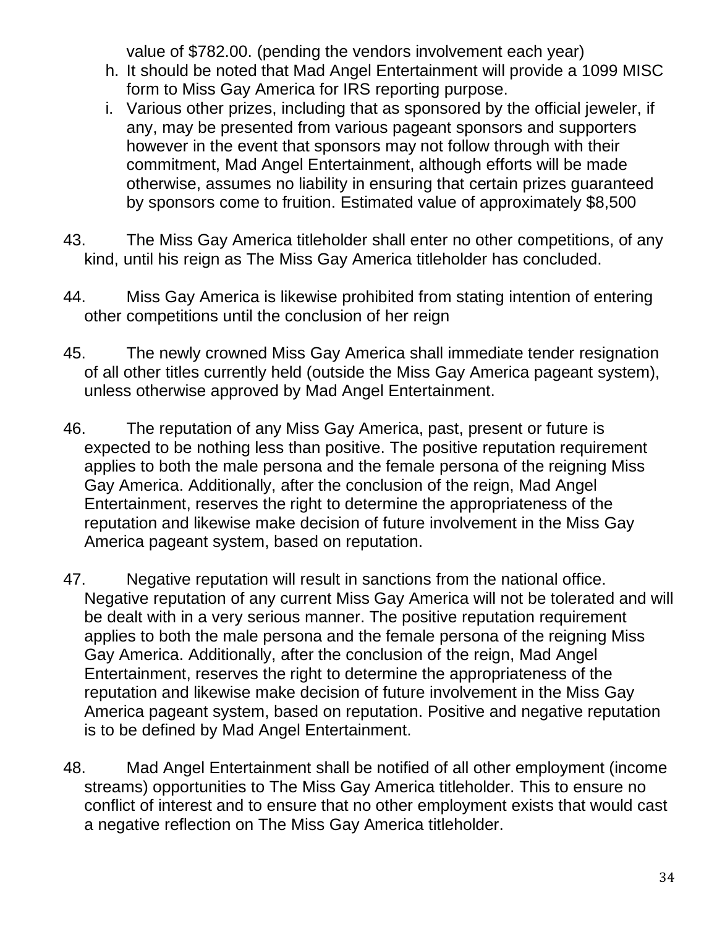value of \$782.00. (pending the vendors involvement each year)

- h. It should be noted that Mad Angel Entertainment will provide a 1099 MISC form to Miss Gay America for IRS reporting purpose.
- i. Various other prizes, including that as sponsored by the official jeweler, if any, may be presented from various pageant sponsors and supporters however in the event that sponsors may not follow through with their commitment, Mad Angel Entertainment, although efforts will be made otherwise, assumes no liability in ensuring that certain prizes guaranteed by sponsors come to fruition. Estimated value of approximately \$8,500
- 43. The Miss Gay America titleholder shall enter no other competitions, of any kind, until his reign as The Miss Gay America titleholder has concluded.
- 44. Miss Gay America is likewise prohibited from stating intention of entering other competitions until the conclusion of her reign
- 45. The newly crowned Miss Gay America shall immediate tender resignation of all other titles currently held (outside the Miss Gay America pageant system), unless otherwise approved by Mad Angel Entertainment.
- 46. The reputation of any Miss Gay America, past, present or future is expected to be nothing less than positive. The positive reputation requirement applies to both the male persona and the female persona of the reigning Miss Gay America. Additionally, after the conclusion of the reign, Mad Angel Entertainment, reserves the right to determine the appropriateness of the reputation and likewise make decision of future involvement in the Miss Gay America pageant system, based on reputation.
- 47. Negative reputation will result in sanctions from the national office. Negative reputation of any current Miss Gay America will not be tolerated and will be dealt with in a very serious manner. The positive reputation requirement applies to both the male persona and the female persona of the reigning Miss Gay America. Additionally, after the conclusion of the reign, Mad Angel Entertainment, reserves the right to determine the appropriateness of the reputation and likewise make decision of future involvement in the Miss Gay America pageant system, based on reputation. Positive and negative reputation is to be defined by Mad Angel Entertainment.
- 48. Mad Angel Entertainment shall be notified of all other employment (income streams) opportunities to The Miss Gay America titleholder. This to ensure no conflict of interest and to ensure that no other employment exists that would cast a negative reflection on The Miss Gay America titleholder.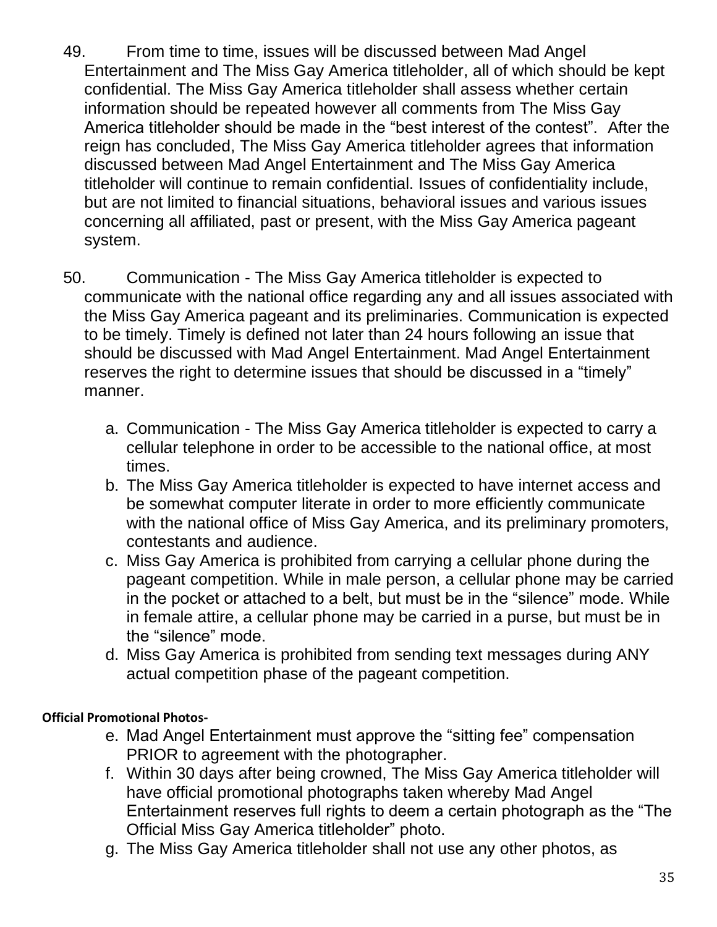- 49. From time to time, issues will be discussed between Mad Angel Entertainment and The Miss Gay America titleholder, all of which should be kept confidential. The Miss Gay America titleholder shall assess whether certain information should be repeated however all comments from The Miss Gay America titleholder should be made in the "best interest of the contest". After the reign has concluded, The Miss Gay America titleholder agrees that information discussed between Mad Angel Entertainment and The Miss Gay America titleholder will continue to remain confidential. Issues of confidentiality include, but are not limited to financial situations, behavioral issues and various issues concerning all affiliated, past or present, with the Miss Gay America pageant system.
- 50. Communication The Miss Gay America titleholder is expected to communicate with the national office regarding any and all issues associated with the Miss Gay America pageant and its preliminaries. Communication is expected to be timely. Timely is defined not later than 24 hours following an issue that should be discussed with Mad Angel Entertainment. Mad Angel Entertainment reserves the right to determine issues that should be discussed in a "timely" manner.
	- a. Communication The Miss Gay America titleholder is expected to carry a cellular telephone in order to be accessible to the national office, at most times.
	- b. The Miss Gay America titleholder is expected to have internet access and be somewhat computer literate in order to more efficiently communicate with the national office of Miss Gay America, and its preliminary promoters, contestants and audience.
	- c. Miss Gay America is prohibited from carrying a cellular phone during the pageant competition. While in male person, a cellular phone may be carried in the pocket or attached to a belt, but must be in the "silence" mode. While in female attire, a cellular phone may be carried in a purse, but must be in the "silence" mode.
	- d. Miss Gay America is prohibited from sending text messages during ANY actual competition phase of the pageant competition.

# <span id="page-34-0"></span>**Official Promotional Photos-**

- e. Mad Angel Entertainment must approve the "sitting fee" compensation PRIOR to agreement with the photographer.
- f. Within 30 days after being crowned, The Miss Gay America titleholder will have official promotional photographs taken whereby Mad Angel Entertainment reserves full rights to deem a certain photograph as the "The Official Miss Gay America titleholder" photo.
- g. The Miss Gay America titleholder shall not use any other photos, as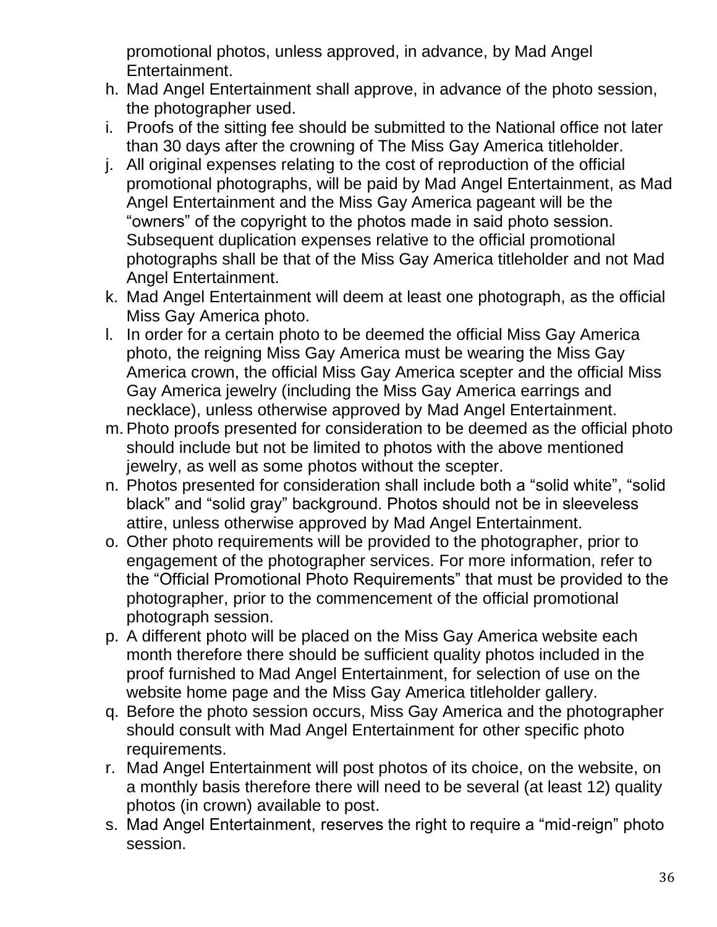promotional photos, unless approved, in advance, by Mad Angel Entertainment.

- h. Mad Angel Entertainment shall approve, in advance of the photo session, the photographer used.
- i. Proofs of the sitting fee should be submitted to the National office not later than 30 days after the crowning of The Miss Gay America titleholder.
- j. All original expenses relating to the cost of reproduction of the official promotional photographs, will be paid by Mad Angel Entertainment, as Mad Angel Entertainment and the Miss Gay America pageant will be the "owners" of the copyright to the photos made in said photo session. Subsequent duplication expenses relative to the official promotional photographs shall be that of the Miss Gay America titleholder and not Mad Angel Entertainment.
- k. Mad Angel Entertainment will deem at least one photograph, as the official Miss Gay America photo.
- l. In order for a certain photo to be deemed the official Miss Gay America photo, the reigning Miss Gay America must be wearing the Miss Gay America crown, the official Miss Gay America scepter and the official Miss Gay America jewelry (including the Miss Gay America earrings and necklace), unless otherwise approved by Mad Angel Entertainment.
- m. Photo proofs presented for consideration to be deemed as the official photo should include but not be limited to photos with the above mentioned jewelry, as well as some photos without the scepter.
- n. Photos presented for consideration shall include both a "solid white", "solid black" and "solid gray" background. Photos should not be in sleeveless attire, unless otherwise approved by Mad Angel Entertainment.
- o. Other photo requirements will be provided to the photographer, prior to engagement of the photographer services. For more information, refer to the "Official Promotional Photo Requirements" that must be provided to the photographer, prior to the commencement of the official promotional photograph session.
- p. A different photo will be placed on the Miss Gay America website each month therefore there should be sufficient quality photos included in the proof furnished to Mad Angel Entertainment, for selection of use on the website home page and the Miss Gay America titleholder gallery.
- q. Before the photo session occurs, Miss Gay America and the photographer should consult with Mad Angel Entertainment for other specific photo requirements.
- r. Mad Angel Entertainment will post photos of its choice, on the website, on a monthly basis therefore there will need to be several (at least 12) quality photos (in crown) available to post.
- s. Mad Angel Entertainment, reserves the right to require a "mid-reign" photo session.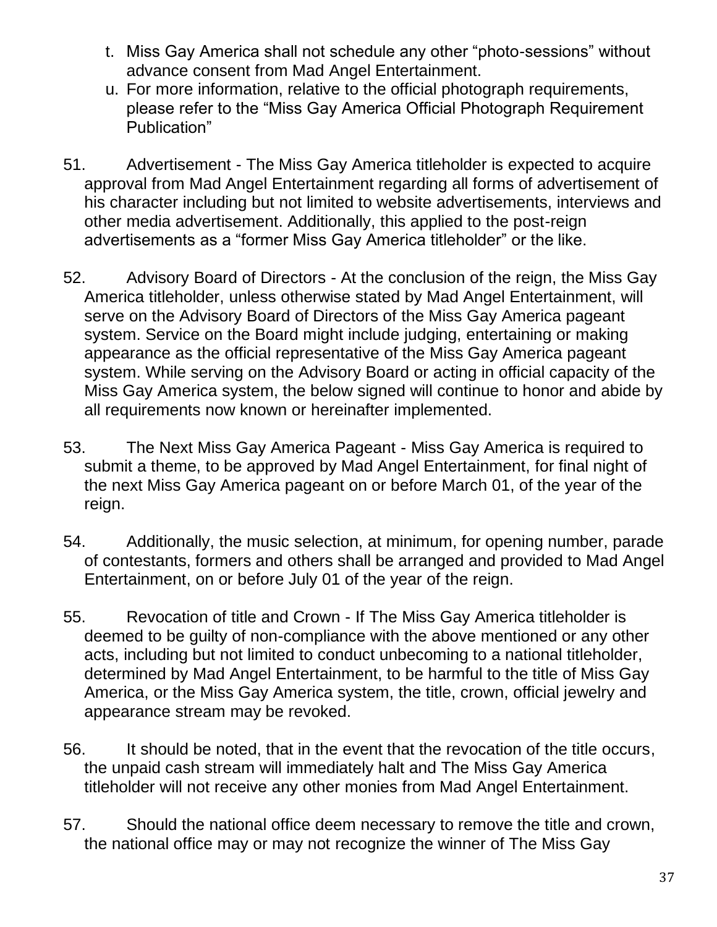- t. Miss Gay America shall not schedule any other "photo-sessions" without advance consent from Mad Angel Entertainment.
- u. For more information, relative to the official photograph requirements, please refer to the "Miss Gay America Official Photograph Requirement Publication"
- 51. Advertisement The Miss Gay America titleholder is expected to acquire approval from Mad Angel Entertainment regarding all forms of advertisement of his character including but not limited to website advertisements, interviews and other media advertisement. Additionally, this applied to the post-reign advertisements as a "former Miss Gay America titleholder" or the like.
- 52. Advisory Board of Directors At the conclusion of the reign, the Miss Gay America titleholder, unless otherwise stated by Mad Angel Entertainment, will serve on the Advisory Board of Directors of the Miss Gay America pageant system. Service on the Board might include judging, entertaining or making appearance as the official representative of the Miss Gay America pageant system. While serving on the Advisory Board or acting in official capacity of the Miss Gay America system, the below signed will continue to honor and abide by all requirements now known or hereinafter implemented.
- 53. The Next Miss Gay America Pageant Miss Gay America is required to submit a theme, to be approved by Mad Angel Entertainment, for final night of the next Miss Gay America pageant on or before March 01, of the year of the reign.
- 54. Additionally, the music selection, at minimum, for opening number, parade of contestants, formers and others shall be arranged and provided to Mad Angel Entertainment, on or before July 01 of the year of the reign.
- 55. Revocation of title and Crown If The Miss Gay America titleholder is deemed to be guilty of non-compliance with the above mentioned or any other acts, including but not limited to conduct unbecoming to a national titleholder, determined by Mad Angel Entertainment, to be harmful to the title of Miss Gay America, or the Miss Gay America system, the title, crown, official jewelry and appearance stream may be revoked.
- 56. It should be noted, that in the event that the revocation of the title occurs, the unpaid cash stream will immediately halt and The Miss Gay America titleholder will not receive any other monies from Mad Angel Entertainment.
- 57. Should the national office deem necessary to remove the title and crown, the national office may or may not recognize the winner of The Miss Gay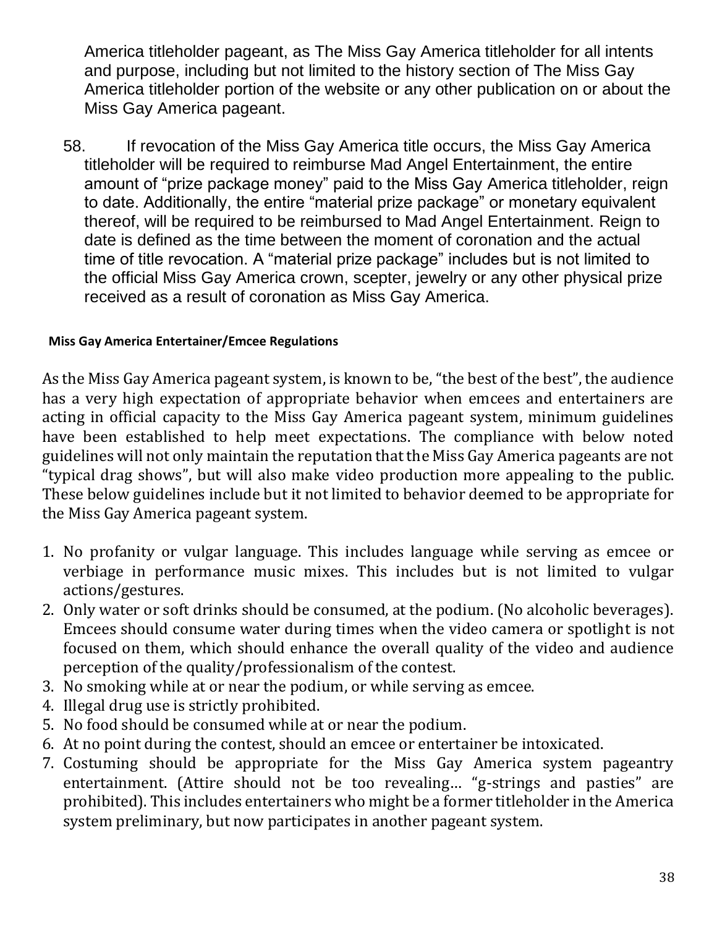America titleholder pageant, as The Miss Gay America titleholder for all intents and purpose, including but not limited to the history section of The Miss Gay America titleholder portion of the website or any other publication on or about the Miss Gay America pageant.

58. If revocation of the Miss Gay America title occurs, the Miss Gay America titleholder will be required to reimburse Mad Angel Entertainment, the entire amount of "prize package money" paid to the Miss Gay America titleholder, reign to date. Additionally, the entire "material prize package" or monetary equivalent thereof, will be required to be reimbursed to Mad Angel Entertainment. Reign to date is defined as the time between the moment of coronation and the actual time of title revocation. A "material prize package" includes but is not limited to the official Miss Gay America crown, scepter, jewelry or any other physical prize received as a result of coronation as Miss Gay America.

## **Miss Gay America Entertainer/Emcee Regulations**

As the Miss Gay America pageant system, is known to be, "the best of the best", the audience has a very high expectation of appropriate behavior when emcees and entertainers are acting in official capacity to the Miss Gay America pageant system, minimum guidelines have been established to help meet expectations. The compliance with below noted guidelines will not only maintain the reputation that the Miss Gay America pageants are not "typical drag shows", but will also make video production more appealing to the public. These below guidelines include but it not limited to behavior deemed to be appropriate for the Miss Gay America pageant system.

- 1. No profanity or vulgar language. This includes language while serving as emcee or verbiage in performance music mixes. This includes but is not limited to vulgar actions/gestures.
- 2. Only water or soft drinks should be consumed, at the podium. (No alcoholic beverages). Emcees should consume water during times when the video camera or spotlight is not focused on them, which should enhance the overall quality of the video and audience perception of the quality/professionalism of the contest.
- 3. No smoking while at or near the podium, or while serving as emcee.
- 4. Illegal drug use is strictly prohibited.
- 5. No food should be consumed while at or near the podium.
- 6. At no point during the contest, should an emcee or entertainer be intoxicated.
- 7. Costuming should be appropriate for the Miss Gay America system pageantry entertainment. (Attire should not be too revealing… "g-strings and pasties" are prohibited). This includes entertainers who might be a former titleholder in the America system preliminary, but now participates in another pageant system.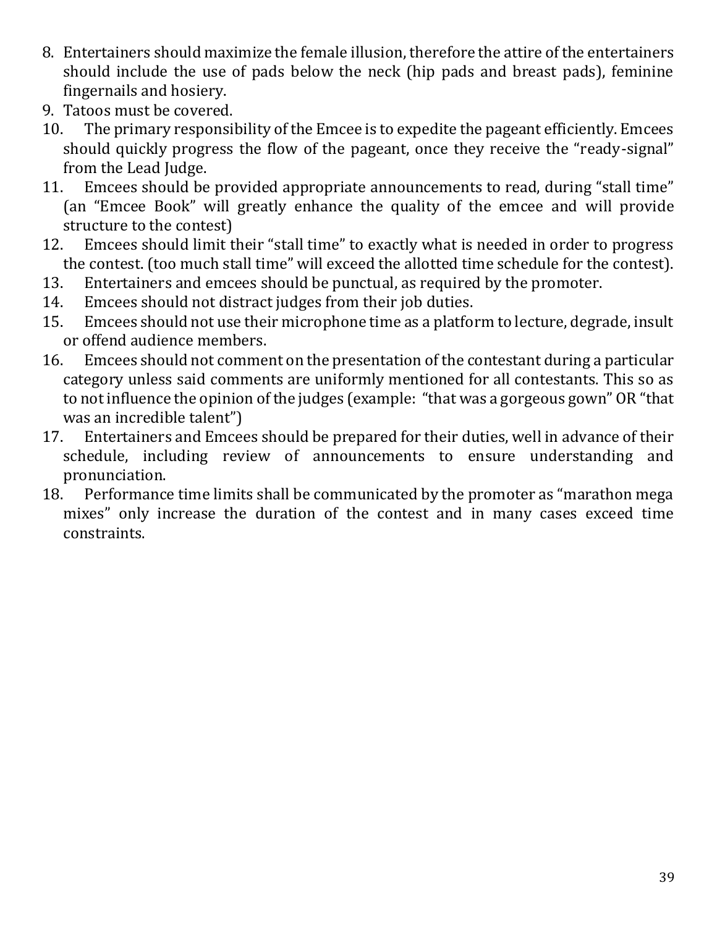- 8. Entertainers should maximize the female illusion, therefore the attire of the entertainers should include the use of pads below the neck (hip pads and breast pads), feminine fingernails and hosiery.
- 9. Tatoos must be covered.
- 10. The primary responsibility of the Emcee is to expedite the pageant efficiently. Emcees should quickly progress the flow of the pageant, once they receive the "ready-signal" from the Lead Judge.
- 11. Emcees should be provided appropriate announcements to read, during "stall time" (an "Emcee Book" will greatly enhance the quality of the emcee and will provide structure to the contest)
- 12. Emcees should limit their "stall time" to exactly what is needed in order to progress the contest. (too much stall time" will exceed the allotted time schedule for the contest).
- 13. Entertainers and emcees should be punctual, as required by the promoter.
- 14. Emcees should not distract judges from their job duties.
- 15. Emcees should not use their microphone time as a platform to lecture, degrade, insult or offend audience members.
- 16. Emcees should not comment on the presentation of the contestant during a particular category unless said comments are uniformly mentioned for all contestants. This so as to not influence the opinion of the judges (example: "that was a gorgeous gown" OR "that was an incredible talent")
- 17. Entertainers and Emcees should be prepared for their duties, well in advance of their schedule, including review of announcements to ensure understanding and pronunciation.
- 18. Performance time limits shall be communicated by the promoter as "marathon mega mixes" only increase the duration of the contest and in many cases exceed time constraints.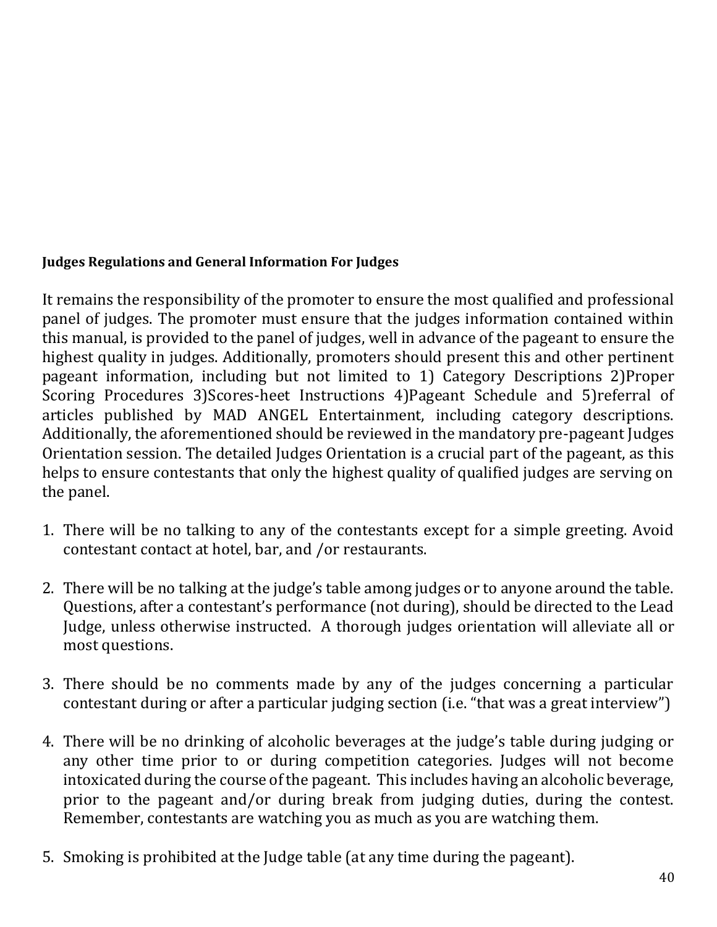## **Judges Regulations and General Information For Judges**

It remains the responsibility of the promoter to ensure the most qualified and professional panel of judges. The promoter must ensure that the judges information contained within this manual, is provided to the panel of judges, well in advance of the pageant to ensure the highest quality in judges. Additionally, promoters should present this and other pertinent pageant information, including but not limited to 1) Category Descriptions 2)Proper Scoring Procedures 3)Scores-heet Instructions 4)Pageant Schedule and 5)referral of articles published by MAD ANGEL Entertainment, including category descriptions. Additionally, the aforementioned should be reviewed in the mandatory pre-pageant Judges Orientation session. The detailed Judges Orientation is a crucial part of the pageant, as this helps to ensure contestants that only the highest quality of qualified judges are serving on the panel.

- 1. There will be no talking to any of the contestants except for a simple greeting. Avoid contestant contact at hotel, bar, and /or restaurants.
- 2. There will be no talking at the judge's table among judges or to anyone around the table. Questions, after a contestant's performance (not during), should be directed to the Lead Judge, unless otherwise instructed. A thorough judges orientation will alleviate all or most questions.
- 3. There should be no comments made by any of the judges concerning a particular contestant during or after a particular judging section (i.e. "that was a great interview")
- 4. There will be no drinking of alcoholic beverages at the judge's table during judging or any other time prior to or during competition categories. Judges will not become intoxicated during the course of the pageant. This includes having an alcoholic beverage, prior to the pageant and/or during break from judging duties, during the contest. Remember, contestants are watching you as much as you are watching them.
- 5. Smoking is prohibited at the Judge table (at any time during the pageant).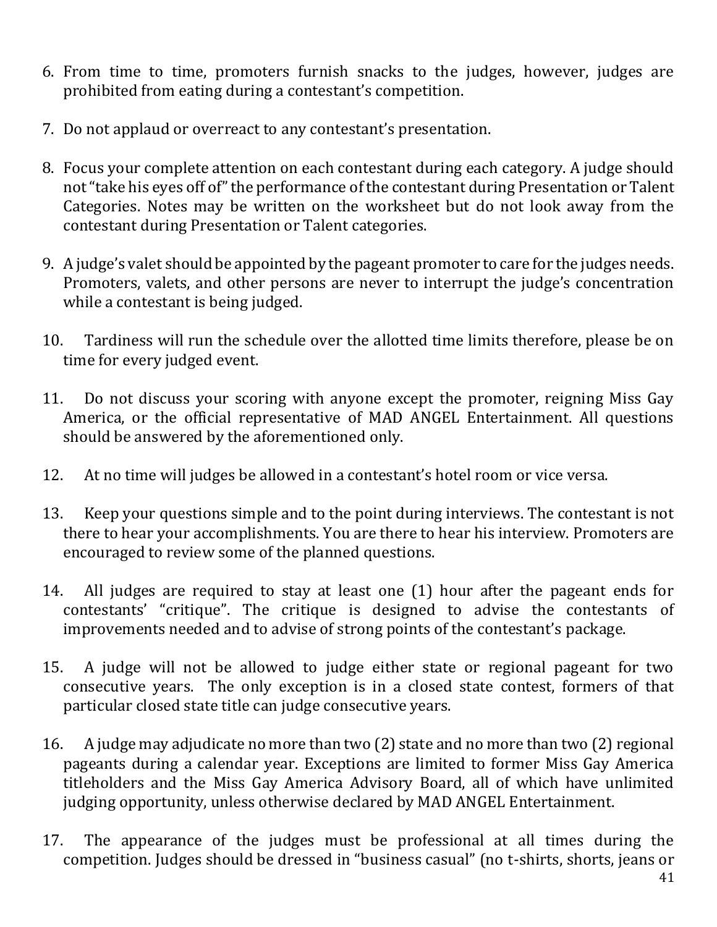- 6. From time to time, promoters furnish snacks to the judges, however, judges are prohibited from eating during a contestant's competition.
- 7. Do not applaud or overreact to any contestant's presentation.
- 8. Focus your complete attention on each contestant during each category. A judge should not "take his eyes off of" the performance of the contestant during Presentation or Talent Categories. Notes may be written on the worksheet but do not look away from the contestant during Presentation or Talent categories.
- 9. A judge's valet should be appointed by the pageant promoter to care for the judges needs. Promoters, valets, and other persons are never to interrupt the judge's concentration while a contestant is being judged.
- 10. Tardiness will run the schedule over the allotted time limits therefore, please be on time for every judged event.
- 11. Do not discuss your scoring with anyone except the promoter, reigning Miss Gay America, or the official representative of MAD ANGEL Entertainment. All questions should be answered by the aforementioned only.
- 12. At no time will judges be allowed in a contestant's hotel room or vice versa.
- 13. Keep your questions simple and to the point during interviews. The contestant is not there to hear your accomplishments. You are there to hear his interview. Promoters are encouraged to review some of the planned questions.
- 14. All judges are required to stay at least one (1) hour after the pageant ends for contestants' "critique". The critique is designed to advise the contestants of improvements needed and to advise of strong points of the contestant's package.
- 15. A judge will not be allowed to judge either state or regional pageant for two consecutive years. The only exception is in a closed state contest, formers of that particular closed state title can judge consecutive years.
- 16. A judge may adjudicate no more than two (2) state and no more than two (2) regional pageants during a calendar year. Exceptions are limited to former Miss Gay America titleholders and the Miss Gay America Advisory Board, all of which have unlimited judging opportunity, unless otherwise declared by MAD ANGEL Entertainment.
- 17. The appearance of the judges must be professional at all times during the competition. Judges should be dressed in "business casual" (no t-shirts, shorts, jeans or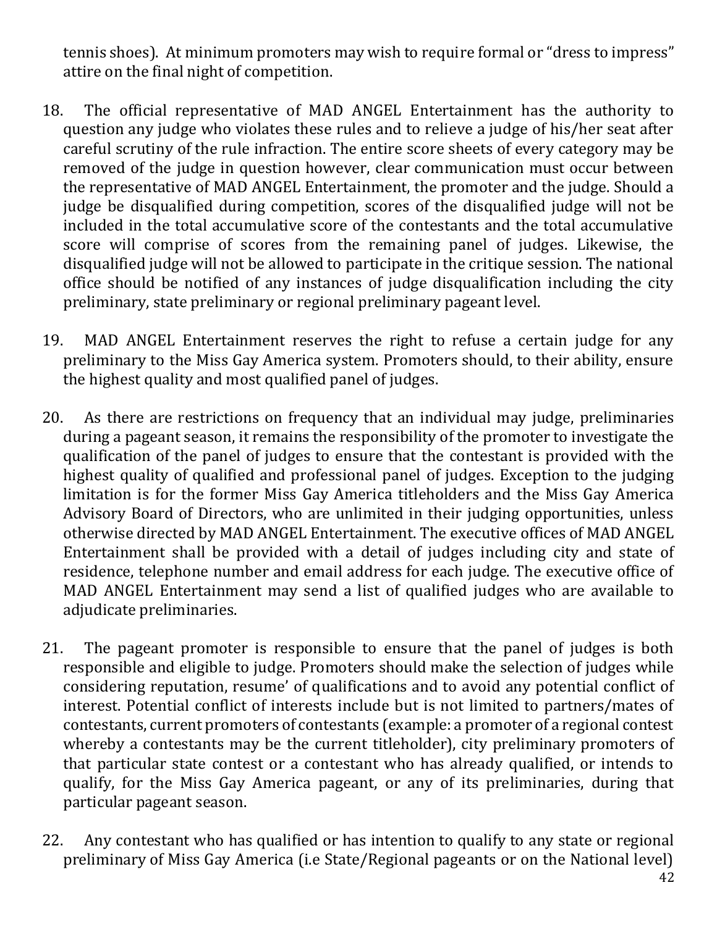tennis shoes). At minimum promoters may wish to require formal or "dress to impress" attire on the final night of competition.

- 18. The official representative of MAD ANGEL Entertainment has the authority to question any judge who violates these rules and to relieve a judge of his/her seat after careful scrutiny of the rule infraction. The entire score sheets of every category may be removed of the judge in question however, clear communication must occur between the representative of MAD ANGEL Entertainment, the promoter and the judge. Should a judge be disqualified during competition, scores of the disqualified judge will not be included in the total accumulative score of the contestants and the total accumulative score will comprise of scores from the remaining panel of judges. Likewise, the disqualified judge will not be allowed to participate in the critique session. The national office should be notified of any instances of judge disqualification including the city preliminary, state preliminary or regional preliminary pageant level.
- 19. MAD ANGEL Entertainment reserves the right to refuse a certain judge for any preliminary to the Miss Gay America system. Promoters should, to their ability, ensure the highest quality and most qualified panel of judges.
- 20. As there are restrictions on frequency that an individual may judge, preliminaries during a pageant season, it remains the responsibility of the promoter to investigate the qualification of the panel of judges to ensure that the contestant is provided with the highest quality of qualified and professional panel of judges. Exception to the judging limitation is for the former Miss Gay America titleholders and the Miss Gay America Advisory Board of Directors, who are unlimited in their judging opportunities, unless otherwise directed by MAD ANGEL Entertainment. The executive offices of MAD ANGEL Entertainment shall be provided with a detail of judges including city and state of residence, telephone number and email address for each judge. The executive office of MAD ANGEL Entertainment may send a list of qualified judges who are available to adjudicate preliminaries.
- 21. The pageant promoter is responsible to ensure that the panel of judges is both responsible and eligible to judge. Promoters should make the selection of judges while considering reputation, resume' of qualifications and to avoid any potential conflict of interest. Potential conflict of interests include but is not limited to partners/mates of contestants, current promoters of contestants (example: a promoter of a regional contest whereby a contestants may be the current titleholder), city preliminary promoters of that particular state contest or a contestant who has already qualified, or intends to qualify, for the Miss Gay America pageant, or any of its preliminaries, during that particular pageant season.
- 22. Any contestant who has qualified or has intention to qualify to any state or regional preliminary of Miss Gay America (i.e State/Regional pageants or on the National level)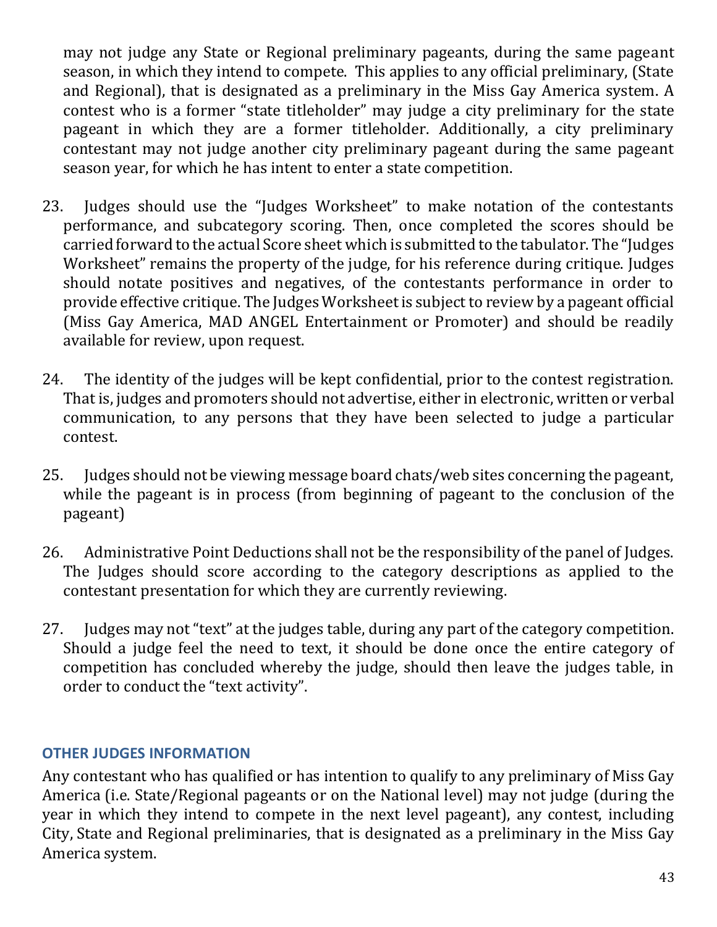may not judge any State or Regional preliminary pageants, during the same pageant season, in which they intend to compete. This applies to any official preliminary, (State and Regional), that is designated as a preliminary in the Miss Gay America system. A contest who is a former "state titleholder" may judge a city preliminary for the state pageant in which they are a former titleholder. Additionally, a city preliminary contestant may not judge another city preliminary pageant during the same pageant season year, for which he has intent to enter a state competition.

- 23. Judges should use the "Judges Worksheet" to make notation of the contestants performance, and subcategory scoring. Then, once completed the scores should be carried forward to the actual Score sheet which is submitted to the tabulator. The "Judges Worksheet" remains the property of the judge, for his reference during critique. Judges should notate positives and negatives, of the contestants performance in order to provide effective critique. The Judges Worksheet is subject to review by a pageant official (Miss Gay America, MAD ANGEL Entertainment or Promoter) and should be readily available for review, upon request.
- 24. The identity of the judges will be kept confidential, prior to the contest registration. That is, judges and promoters should not advertise, either in electronic, written or verbal communication, to any persons that they have been selected to judge a particular contest.
- 25. Judges should not be viewing message board chats/web sites concerning the pageant, while the pageant is in process (from beginning of pageant to the conclusion of the pageant)
- 26. Administrative Point Deductions shall not be the responsibility of the panel of Judges. The Judges should score according to the category descriptions as applied to the contestant presentation for which they are currently reviewing.
- 27. Judges may not "text" at the judges table, during any part of the category competition. Should a judge feel the need to text, it should be done once the entire category of competition has concluded whereby the judge, should then leave the judges table, in order to conduct the "text activity".

## **OTHER JUDGES INFORMATION**

Any contestant who has qualified or has intention to qualify to any preliminary of Miss Gay America (i.e. State/Regional pageants or on the National level) may not judge (during the year in which they intend to compete in the next level pageant), any contest, including City, State and Regional preliminaries, that is designated as a preliminary in the Miss Gay America system.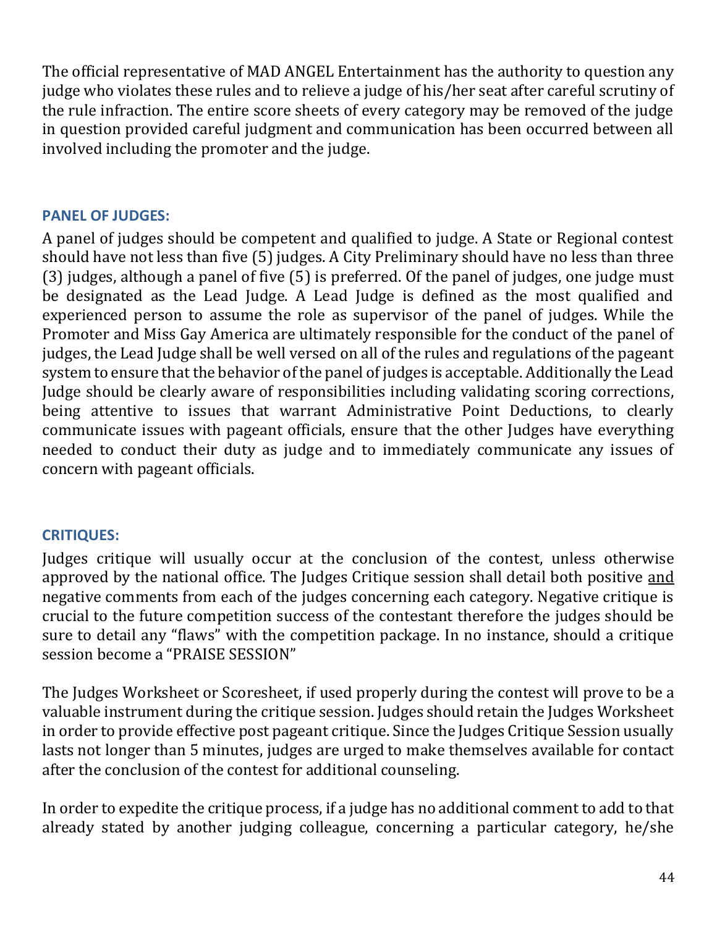The official representative of MAD ANGEL Entertainment has the authority to question any judge who violates these rules and to relieve a judge of his/her seat after careful scrutiny of the rule infraction. The entire score sheets of every category may be removed of the judge in question provided careful judgment and communication has been occurred between all involved including the promoter and the judge.

## **PANEL OF JUDGES:**

A panel of judges should be competent and qualified to judge. A State or Regional contest should have not less than five (5) judges. A City Preliminary should have no less than three (3) judges, although a panel of five (5) is preferred. Of the panel of judges, one judge must be designated as the Lead Judge. A Lead Judge is defined as the most qualified and experienced person to assume the role as supervisor of the panel of judges. While the Promoter and Miss Gay America are ultimately responsible for the conduct of the panel of judges, the Lead Judge shall be well versed on all of the rules and regulations of the pageant system to ensure that the behavior of the panel of judges is acceptable. Additionally the Lead Judge should be clearly aware of responsibilities including validating scoring corrections, being attentive to issues that warrant Administrative Point Deductions, to clearly communicate issues with pageant officials, ensure that the other Judges have everything needed to conduct their duty as judge and to immediately communicate any issues of concern with pageant officials.

## **CRITIQUES:**

Judges critique will usually occur at the conclusion of the contest, unless otherwise approved by the national office. The Judges Critique session shall detail both positive and negative comments from each of the judges concerning each category. Negative critique is crucial to the future competition success of the contestant therefore the judges should be sure to detail any "flaws" with the competition package. In no instance, should a critique session become a "PRAISE SESSION"

The Judges Worksheet or Scoresheet, if used properly during the contest will prove to be a valuable instrument during the critique session. Judges should retain the Judges Worksheet in order to provide effective post pageant critique. Since the Judges Critique Session usually lasts not longer than 5 minutes, judges are urged to make themselves available for contact after the conclusion of the contest for additional counseling.

In order to expedite the critique process, if a judge has no additional comment to add to that already stated by another judging colleague, concerning a particular category, he/she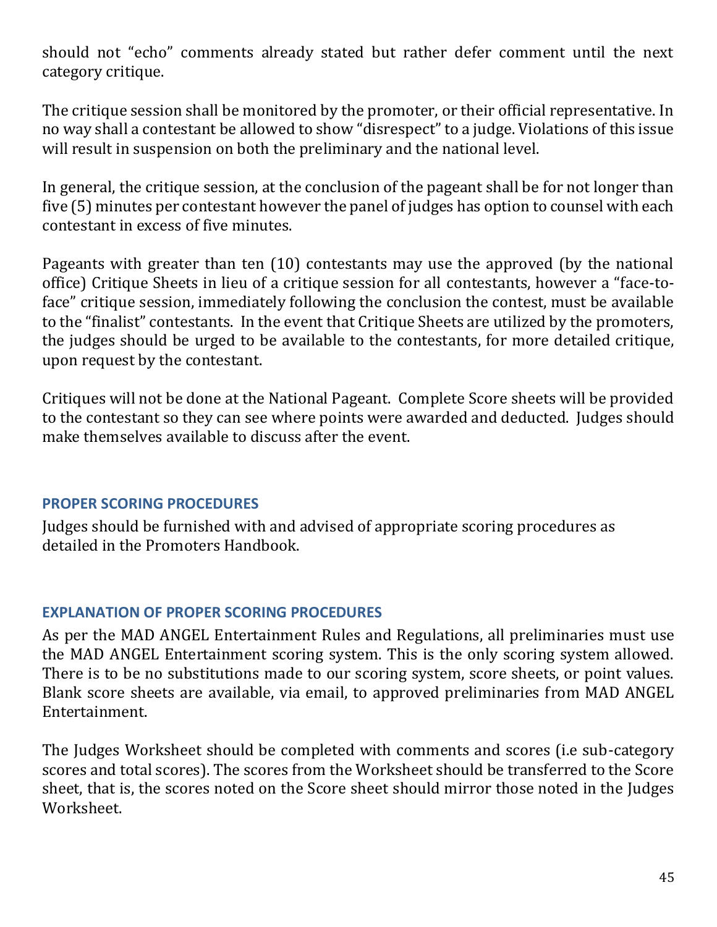should not "echo" comments already stated but rather defer comment until the next category critique.

The critique session shall be monitored by the promoter, or their official representative. In no way shall a contestant be allowed to show "disrespect" to a judge. Violations of this issue will result in suspension on both the preliminary and the national level.

In general, the critique session, at the conclusion of the pageant shall be for not longer than five (5) minutes per contestant however the panel of judges has option to counsel with each contestant in excess of five minutes.

Pageants with greater than ten (10) contestants may use the approved (by the national office) Critique Sheets in lieu of a critique session for all contestants, however a "face-toface" critique session, immediately following the conclusion the contest, must be available to the "finalist" contestants. In the event that Critique Sheets are utilized by the promoters, the judges should be urged to be available to the contestants, for more detailed critique, upon request by the contestant.

Critiques will not be done at the National Pageant. Complete Score sheets will be provided to the contestant so they can see where points were awarded and deducted. Judges should make themselves available to discuss after the event.

## **PROPER SCORING PROCEDURES**

Judges should be furnished with and advised of appropriate scoring procedures as detailed in the Promoters Handbook.

## **EXPLANATION OF PROPER SCORING PROCEDURES**

As per the MAD ANGEL Entertainment Rules and Regulations, all preliminaries must use the MAD ANGEL Entertainment scoring system. This is the only scoring system allowed. There is to be no substitutions made to our scoring system, score sheets, or point values. Blank score sheets are available, via email, to approved preliminaries from MAD ANGEL Entertainment.

The Judges Worksheet should be completed with comments and scores (i.e sub-category scores and total scores). The scores from the Worksheet should be transferred to the Score sheet, that is, the scores noted on the Score sheet should mirror those noted in the Judges Worksheet.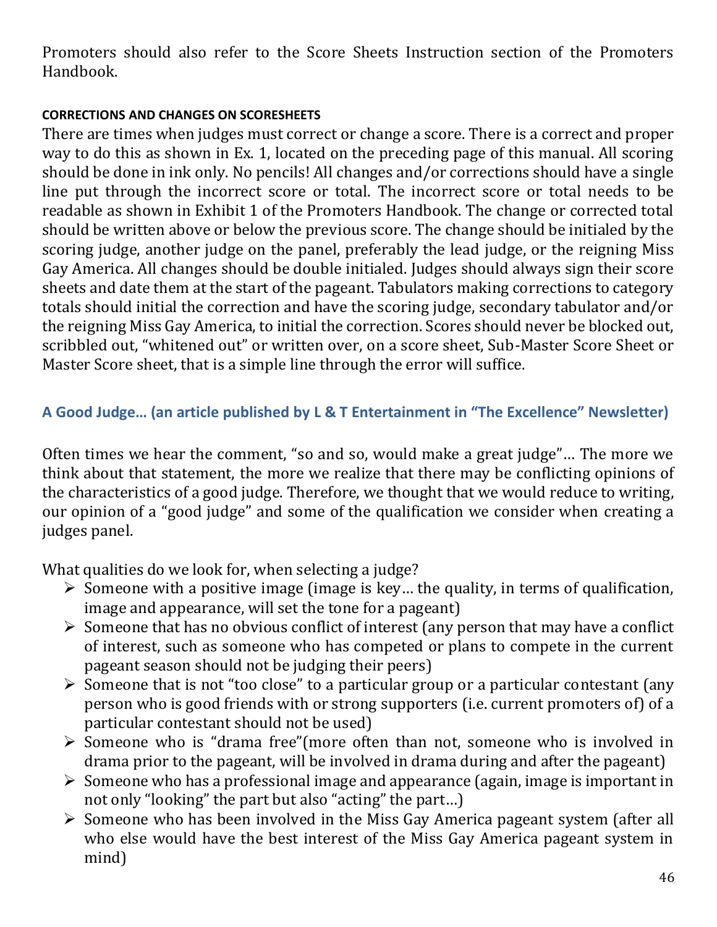Promoters should also refer to the Score Sheets Instruction section of the Promoters Handbook.

## **CORRECTIONS AND CHANGES ON SCORESHEETS**

There are times when judges must correct or change a score. There is a correct and proper way to do this as shown in Ex. 1, located on the preceding page of this manual. All scoring should be done in ink only. No pencils! All changes and/or corrections should have a single line put through the incorrect score or total. The incorrect score or total needs to be readable as shown in Exhibit 1 of the Promoters Handbook. The change or corrected total should be written above or below the previous score. The change should be initialed by the scoring judge, another judge on the panel, preferably the lead judge, or the reigning Miss Gay America. All changes should be double initialed. Judges should always sign their score sheets and date them at the start of the pageant. Tabulators making corrections to category totals should initial the correction and have the scoring judge, secondary tabulator and/or the reigning Miss Gay America, to initial the correction. Scores should never be blocked out, scribbled out, "whitened out" or written over, on a score sheet, Sub-Master Score Sheet or Master Score sheet, that is a simple line through the error will suffice.

## **A Good Judge… (an article published by L & T Entertainment in "The Excellence" Newsletter)**

Often times we hear the comment, "so and so, would make a great judge"… The more we think about that statement, the more we realize that there may be conflicting opinions of the characteristics of a good judge. Therefore, we thought that we would reduce to writing, our opinion of a "good judge" and some of the qualification we consider when creating a judges panel.

What qualities do we look for, when selecting a judge?

- $\triangleright$  Someone with a positive image (image is key... the quality, in terms of qualification, image and appearance, will set the tone for a pageant)
- $\triangleright$  Someone that has no obvious conflict of interest (any person that may have a conflict of interest, such as someone who has competed or plans to compete in the current pageant season should not be judging their peers)
- ➢ Someone that is not "too close" to a particular group or a particular contestant (any person who is good friends with or strong supporters (i.e. current promoters of) of a particular contestant should not be used)
- ➢ Someone who is "drama free"(more often than not, someone who is involved in drama prior to the pageant, will be involved in drama during and after the pageant)
- ➢ Someone who has a professional image and appearance (again, image is important in not only "looking" the part but also "acting" the part…)
- ➢ Someone who has been involved in the Miss Gay America pageant system (after all who else would have the best interest of the Miss Gay America pageant system in mind)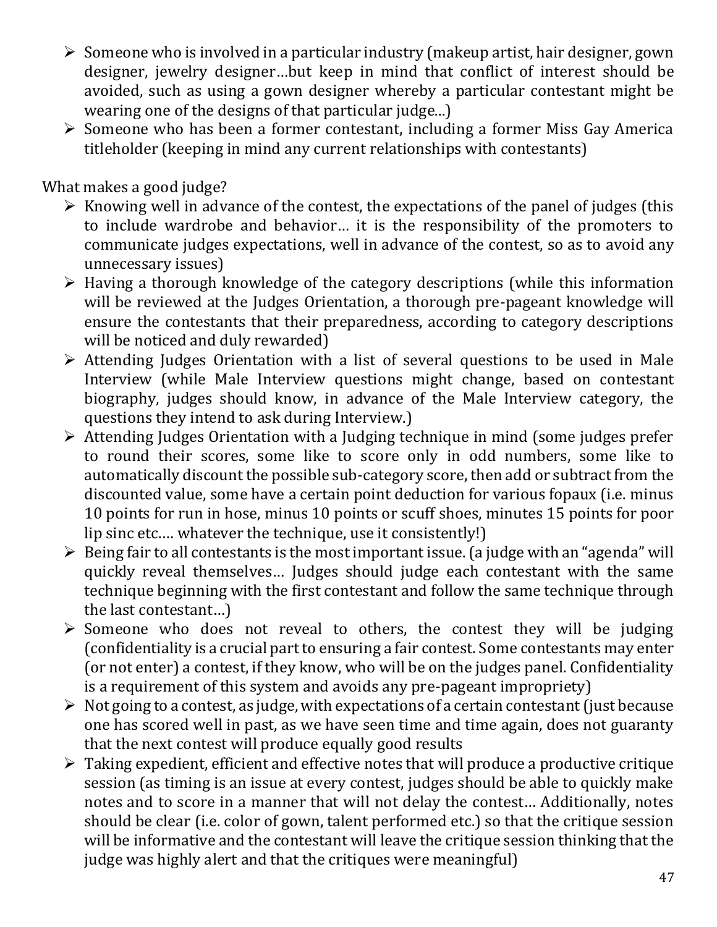- ➢ Someone who is involved in a particular industry (makeup artist, hair designer, gown designer, jewelry designer…but keep in mind that conflict of interest should be avoided, such as using a gown designer whereby a particular contestant might be wearing one of the designs of that particular judge...)
- ➢ Someone who has been a former contestant, including a former Miss Gay America titleholder (keeping in mind any current relationships with contestants)

What makes a good judge?

- $\triangleright$  Knowing well in advance of the contest, the expectations of the panel of judges (this to include wardrobe and behavior… it is the responsibility of the promoters to communicate judges expectations, well in advance of the contest, so as to avoid any unnecessary issues)
- ➢ Having a thorough knowledge of the category descriptions (while this information will be reviewed at the Judges Orientation, a thorough pre-pageant knowledge will ensure the contestants that their preparedness, according to category descriptions will be noticed and duly rewarded)
- ➢ Attending Judges Orientation with a list of several questions to be used in Male Interview (while Male Interview questions might change, based on contestant biography, judges should know, in advance of the Male Interview category, the questions they intend to ask during Interview.)
- ➢ Attending Judges Orientation with a Judging technique in mind (some judges prefer to round their scores, some like to score only in odd numbers, some like to automatically discount the possible sub-category score, then add or subtract from the discounted value, some have a certain point deduction for various fopaux (i.e. minus 10 points for run in hose, minus 10 points or scuff shoes, minutes 15 points for poor lip sinc etc.… whatever the technique, use it consistently!)
- $\triangleright$  Being fair to all contestants is the most important issue. (a judge with an "agenda" will quickly reveal themselves… Judges should judge each contestant with the same technique beginning with the first contestant and follow the same technique through the last contestant…)
- ➢ Someone who does not reveal to others, the contest they will be judging (confidentiality is a crucial part to ensuring a fair contest. Some contestants may enter (or not enter) a contest, if they know, who will be on the judges panel. Confidentiality is a requirement of this system and avoids any pre-pageant impropriety)
- ➢ Not going to a contest, as judge, with expectations of a certain contestant (just because one has scored well in past, as we have seen time and time again, does not guaranty that the next contest will produce equally good results
- ➢ Taking expedient, efficient and effective notes that will produce a productive critique session (as timing is an issue at every contest, judges should be able to quickly make notes and to score in a manner that will not delay the contest… Additionally, notes should be clear (i.e. color of gown, talent performed etc.) so that the critique session will be informative and the contestant will leave the critique session thinking that the judge was highly alert and that the critiques were meaningful)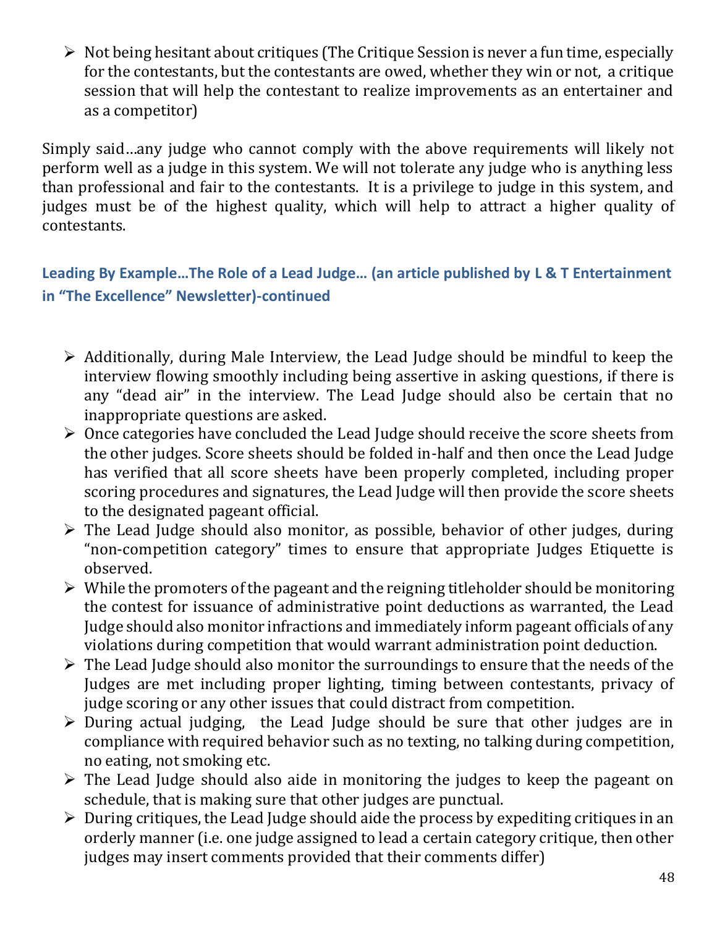➢ Not being hesitant about critiques (The Critique Session is never a fun time, especially for the contestants, but the contestants are owed, whether they win or not, a critique session that will help the contestant to realize improvements as an entertainer and as a competitor)

Simply said…any judge who cannot comply with the above requirements will likely not perform well as a judge in this system. We will not tolerate any judge who is anything less than professional and fair to the contestants. It is a privilege to judge in this system, and judges must be of the highest quality, which will help to attract a higher quality of contestants.

**Leading By Example…The Role of a Lead Judge… (an article published by L & T Entertainment in "The Excellence" Newsletter)-continued**

- ➢ Additionally, during Male Interview, the Lead Judge should be mindful to keep the interview flowing smoothly including being assertive in asking questions, if there is any "dead air" in the interview. The Lead Judge should also be certain that no inappropriate questions are asked.
- $\triangleright$  Once categories have concluded the Lead Judge should receive the score sheets from the other judges. Score sheets should be folded in-half and then once the Lead Judge has verified that all score sheets have been properly completed, including proper scoring procedures and signatures, the Lead Judge will then provide the score sheets to the designated pageant official.
- $\triangleright$  The Lead Judge should also monitor, as possible, behavior of other judges, during "non-competition category" times to ensure that appropriate Judges Etiquette is observed.
- $\triangleright$  While the promoters of the pageant and the reigning titleholder should be monitoring the contest for issuance of administrative point deductions as warranted, the Lead Judge should also monitor infractions and immediately inform pageant officials of any violations during competition that would warrant administration point deduction.
- $\triangleright$  The Lead Judge should also monitor the surroundings to ensure that the needs of the Judges are met including proper lighting, timing between contestants, privacy of judge scoring or any other issues that could distract from competition.
- ➢ During actual judging, the Lead Judge should be sure that other judges are in compliance with required behavior such as no texting, no talking during competition, no eating, not smoking etc.
- ➢ The Lead Judge should also aide in monitoring the judges to keep the pageant on schedule, that is making sure that other judges are punctual.
- $\triangleright$  During critiques, the Lead Judge should aide the process by expediting critiques in an orderly manner (i.e. one judge assigned to lead a certain category critique, then other judges may insert comments provided that their comments differ)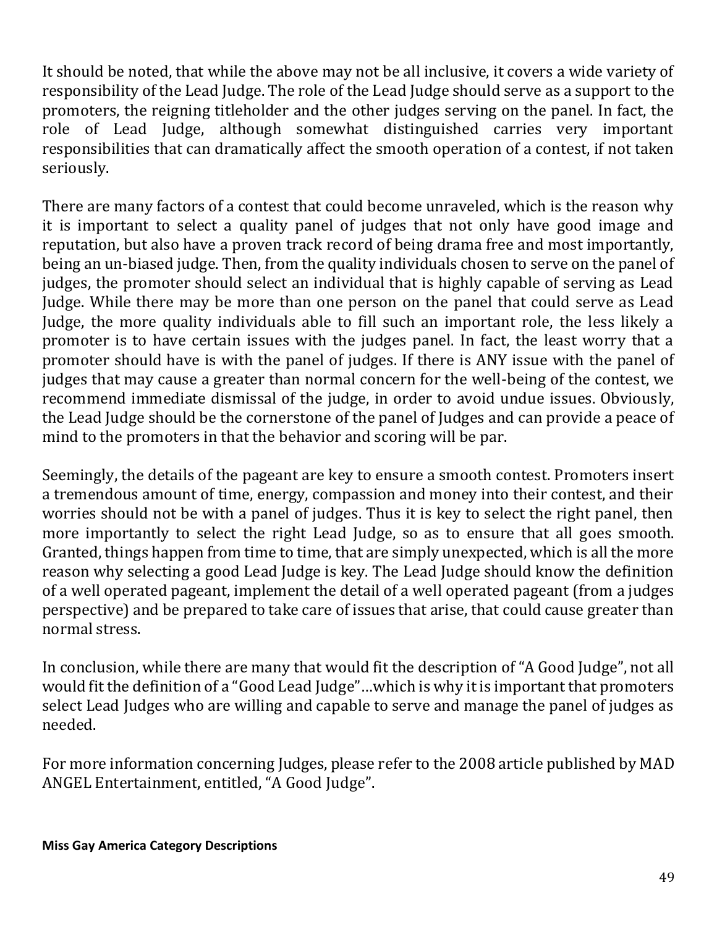It should be noted, that while the above may not be all inclusive, it covers a wide variety of responsibility of the Lead Judge. The role of the Lead Judge should serve as a support to the promoters, the reigning titleholder and the other judges serving on the panel. In fact, the role of Lead Judge, although somewhat distinguished carries very important responsibilities that can dramatically affect the smooth operation of a contest, if not taken seriously.

There are many factors of a contest that could become unraveled, which is the reason why it is important to select a quality panel of judges that not only have good image and reputation, but also have a proven track record of being drama free and most importantly, being an un-biased judge. Then, from the quality individuals chosen to serve on the panel of judges, the promoter should select an individual that is highly capable of serving as Lead Judge. While there may be more than one person on the panel that could serve as Lead Judge, the more quality individuals able to fill such an important role, the less likely a promoter is to have certain issues with the judges panel. In fact, the least worry that a promoter should have is with the panel of judges. If there is ANY issue with the panel of judges that may cause a greater than normal concern for the well-being of the contest, we recommend immediate dismissal of the judge, in order to avoid undue issues. Obviously, the Lead Judge should be the cornerstone of the panel of Judges and can provide a peace of mind to the promoters in that the behavior and scoring will be par.

Seemingly, the details of the pageant are key to ensure a smooth contest. Promoters insert a tremendous amount of time, energy, compassion and money into their contest, and their worries should not be with a panel of judges. Thus it is key to select the right panel, then more importantly to select the right Lead Judge, so as to ensure that all goes smooth. Granted, things happen from time to time, that are simply unexpected, which is all the more reason why selecting a good Lead Judge is key. The Lead Judge should know the definition of a well operated pageant, implement the detail of a well operated pageant (from a judges perspective) and be prepared to take care of issues that arise, that could cause greater than normal stress.

In conclusion, while there are many that would fit the description of "A Good Judge", not all would fit the definition of a "Good Lead Judge"…which is why it is important that promoters select Lead Judges who are willing and capable to serve and manage the panel of judges as needed.

For more information concerning Judges, please refer to the 2008 article published by MAD ANGEL Entertainment, entitled, "A Good Judge".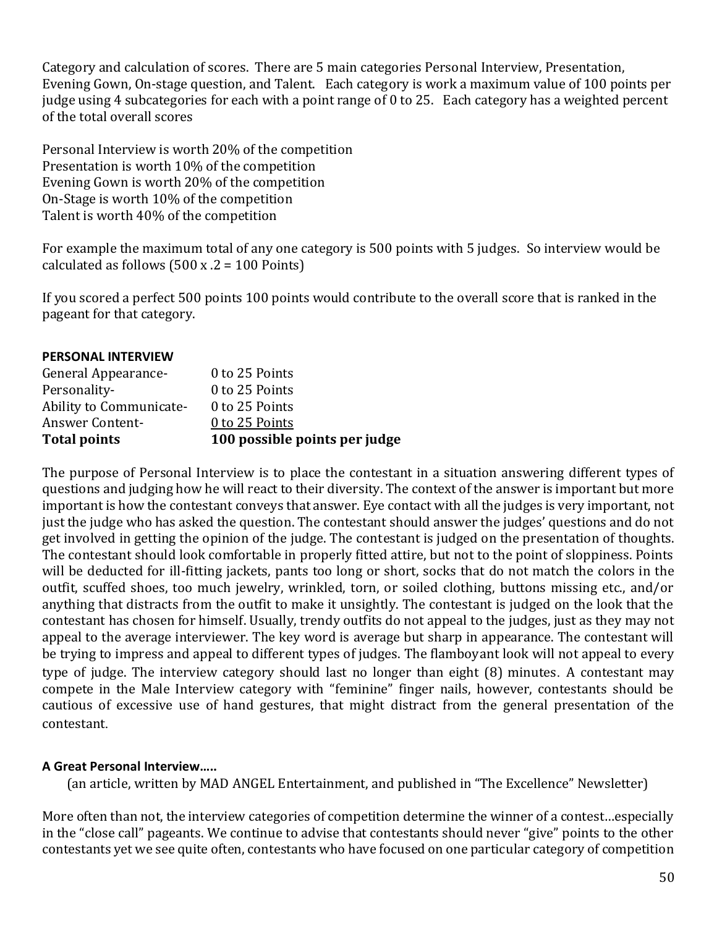Category and calculation of scores. There are 5 main categories Personal Interview, Presentation, Evening Gown, On-stage question, and Talent. Each category is work a maximum value of 100 points per judge using 4 subcategories for each with a point range of 0 to 25. Each category has a weighted percent of the total overall scores

Personal Interview is worth 20% of the competition Presentation is worth 10% of the competition Evening Gown is worth 20% of the competition On-Stage is worth 10% of the competition Talent is worth 40% of the competition

For example the maximum total of any one category is 500 points with 5 judges. So interview would be calculated as follows  $(500 \times .2 = 100 \text{ Points})$ 

If you scored a perfect 500 points 100 points would contribute to the overall score that is ranked in the pageant for that category.

| <b>PERSONAL INTERVIEW</b> |
|---------------------------|
|---------------------------|

| <b>Total points</b>     | 100 possible points per judge |
|-------------------------|-------------------------------|
| <b>Answer Content-</b>  | 0 to 25 Points                |
| Ability to Communicate- | 0 to 25 Points                |
| Personality-            | 0 to 25 Points                |
| General Appearance-     | 0 to 25 Points                |

The purpose of Personal Interview is to place the contestant in a situation answering different types of questions and judging how he will react to their diversity. The context of the answer is important but more important is how the contestant conveys that answer. Eye contact with all the judges is very important, not just the judge who has asked the question. The contestant should answer the judges' questions and do not get involved in getting the opinion of the judge. The contestant is judged on the presentation of thoughts. The contestant should look comfortable in properly fitted attire, but not to the point of sloppiness. Points will be deducted for ill-fitting jackets, pants too long or short, socks that do not match the colors in the outfit, scuffed shoes, too much jewelry, wrinkled, torn, or soiled clothing, buttons missing etc., and/or anything that distracts from the outfit to make it unsightly. The contestant is judged on the look that the contestant has chosen for himself. Usually, trendy outfits do not appeal to the judges, just as they may not appeal to the average interviewer. The key word is average but sharp in appearance. The contestant will be trying to impress and appeal to different types of judges. The flamboyant look will not appeal to every type of judge. The interview category should last no longer than eight (8) minutes. A contestant may compete in the Male Interview category with "feminine" finger nails, however, contestants should be cautious of excessive use of hand gestures, that might distract from the general presentation of the contestant.

### **A Great Personal Interview…..**

(an article, written by MAD ANGEL Entertainment, and published in "The Excellence" Newsletter)

More often than not, the interview categories of competition determine the winner of a contest…especially in the "close call" pageants. We continue to advise that contestants should never "give" points to the other contestants yet we see quite often, contestants who have focused on one particular category of competition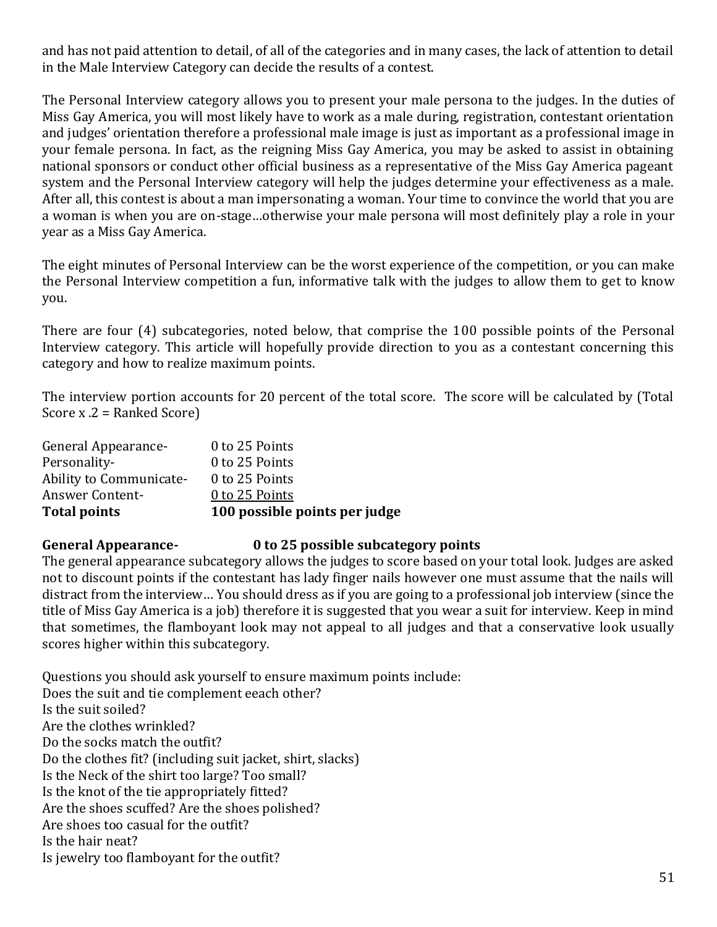and has not paid attention to detail, of all of the categories and in many cases, the lack of attention to detail in the Male Interview Category can decide the results of a contest.

The Personal Interview category allows you to present your male persona to the judges. In the duties of Miss Gay America, you will most likely have to work as a male during, registration, contestant orientation and judges' orientation therefore a professional male image is just as important as a professional image in your female persona. In fact, as the reigning Miss Gay America, you may be asked to assist in obtaining national sponsors or conduct other official business as a representative of the Miss Gay America pageant system and the Personal Interview category will help the judges determine your effectiveness as a male. After all, this contest is about a man impersonating a woman. Your time to convince the world that you are a woman is when you are on-stage…otherwise your male persona will most definitely play a role in your year as a Miss Gay America.

The eight minutes of Personal Interview can be the worst experience of the competition, or you can make the Personal Interview competition a fun, informative talk with the judges to allow them to get to know you.

There are four (4) subcategories, noted below, that comprise the 100 possible points of the Personal Interview category. This article will hopefully provide direction to you as a contestant concerning this category and how to realize maximum points.

The interview portion accounts for 20 percent of the total score. The score will be calculated by (Total Score x .2 = Ranked Score)

| <b>Total points</b>     | 100 possible points per judge |
|-------------------------|-------------------------------|
| <b>Answer Content-</b>  | 0 to 25 Points                |
| Ability to Communicate- | 0 to 25 Points                |
| Personality-            | 0 to 25 Points                |
| General Appearance-     | 0 to 25 Points                |

#### **General Appearance- 0 to 25 possible subcategory points**

The general appearance subcategory allows the judges to score based on your total look. Judges are asked not to discount points if the contestant has lady finger nails however one must assume that the nails will distract from the interview… You should dress as if you are going to a professional job interview (since the title of Miss Gay America is a job) therefore it is suggested that you wear a suit for interview. Keep in mind that sometimes, the flamboyant look may not appeal to all judges and that a conservative look usually scores higher within this subcategory.

Questions you should ask yourself to ensure maximum points include: Does the suit and tie complement eeach other? Is the suit soiled? Are the clothes wrinkled? Do the socks match the outfit? Do the clothes fit? (including suit jacket, shirt, slacks) Is the Neck of the shirt too large? Too small? Is the knot of the tie appropriately fitted? Are the shoes scuffed? Are the shoes polished? Are shoes too casual for the outfit? Is the hair neat? Is jewelry too flamboyant for the outfit?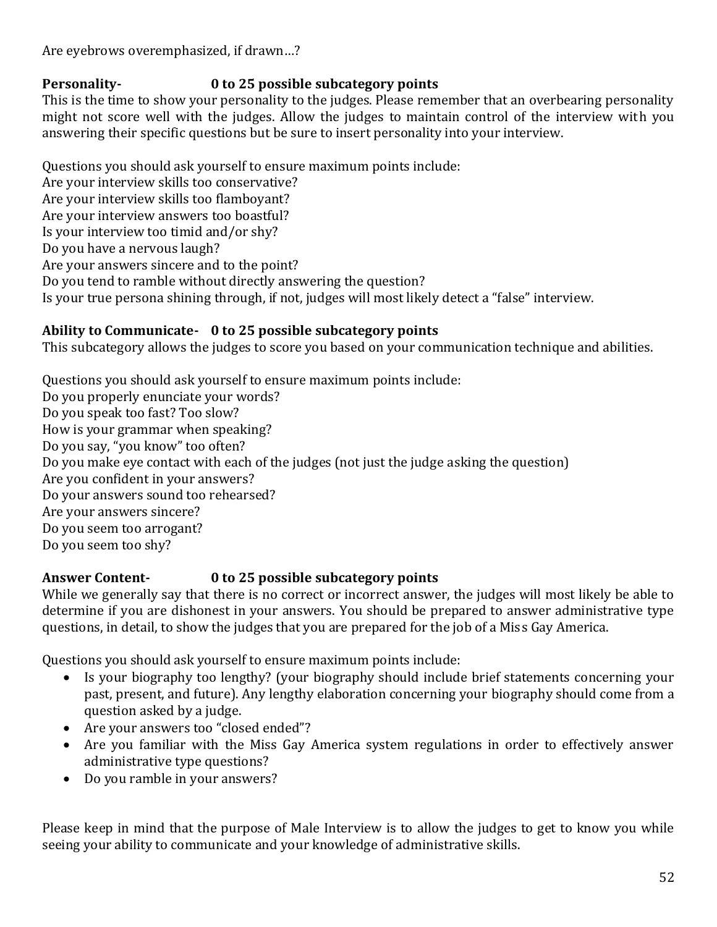Are eyebrows overemphasized, if drawn…?

## **Personality- 0 to 25 possible subcategory points**

This is the time to show your personality to the judges. Please remember that an overbearing personality might not score well with the judges. Allow the judges to maintain control of the interview with you answering their specific questions but be sure to insert personality into your interview.

Questions you should ask yourself to ensure maximum points include: Are your interview skills too conservative? Are your interview skills too flamboyant? Are your interview answers too boastful? Is your interview too timid and/or shy? Do you have a nervous laugh? Are your answers sincere and to the point? Do you tend to ramble without directly answering the question? Is your true persona shining through, if not, judges will most likely detect a "false" interview.

## **Ability to Communicate- 0 to 25 possible subcategory points**

This subcategory allows the judges to score you based on your communication technique and abilities.

Questions you should ask yourself to ensure maximum points include: Do you properly enunciate your words? Do you speak too fast? Too slow? How is your grammar when speaking? Do you say, "you know" too often? Do you make eye contact with each of the judges (not just the judge asking the question) Are you confident in your answers? Do your answers sound too rehearsed? Are your answers sincere? Do you seem too arrogant? Do you seem too shy?

## **Answer Content- 0 to 25 possible subcategory points**

While we generally say that there is no correct or incorrect answer, the judges will most likely be able to determine if you are dishonest in your answers. You should be prepared to answer administrative type questions, in detail, to show the judges that you are prepared for the job of a Miss Gay America.

Questions you should ask yourself to ensure maximum points include:

- Is your biography too lengthy? (your biography should include brief statements concerning your past, present, and future). Any lengthy elaboration concerning your biography should come from a question asked by a judge.
- Are your answers too "closed ended"?
- Are you familiar with the Miss Gay America system regulations in order to effectively answer administrative type questions?
- Do you ramble in your answers?

Please keep in mind that the purpose of Male Interview is to allow the judges to get to know you while seeing your ability to communicate and your knowledge of administrative skills.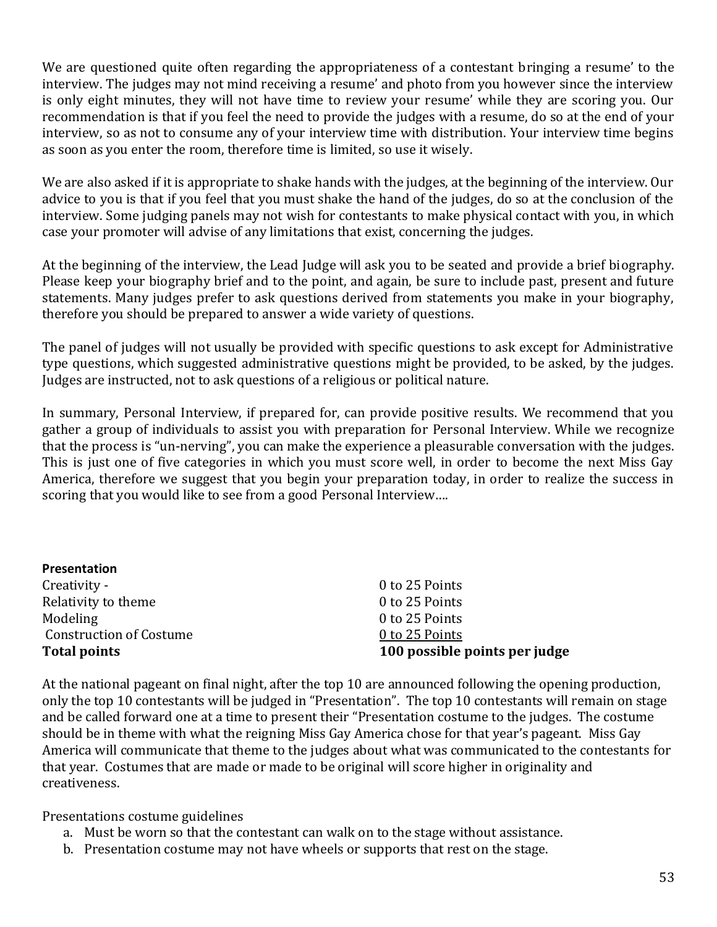We are questioned quite often regarding the appropriateness of a contestant bringing a resume' to the interview. The judges may not mind receiving a resume' and photo from you however since the interview is only eight minutes, they will not have time to review your resume' while they are scoring you. Our recommendation is that if you feel the need to provide the judges with a resume, do so at the end of your interview, so as not to consume any of your interview time with distribution. Your interview time begins as soon as you enter the room, therefore time is limited, so use it wisely.

We are also asked if it is appropriate to shake hands with the judges, at the beginning of the interview. Our advice to you is that if you feel that you must shake the hand of the judges, do so at the conclusion of the interview. Some judging panels may not wish for contestants to make physical contact with you, in which case your promoter will advise of any limitations that exist, concerning the judges.

At the beginning of the interview, the Lead Judge will ask you to be seated and provide a brief biography. Please keep your biography brief and to the point, and again, be sure to include past, present and future statements. Many judges prefer to ask questions derived from statements you make in your biography, therefore you should be prepared to answer a wide variety of questions.

The panel of judges will not usually be provided with specific questions to ask except for Administrative type questions, which suggested administrative questions might be provided, to be asked, by the judges. Judges are instructed, not to ask questions of a religious or political nature.

In summary, Personal Interview, if prepared for, can provide positive results. We recommend that you gather a group of individuals to assist you with preparation for Personal Interview. While we recognize that the process is "un-nerving", you can make the experience a pleasurable conversation with the judges. This is just one of five categories in which you must score well, in order to become the next Miss Gay America, therefore we suggest that you begin your preparation today, in order to realize the success in scoring that you would like to see from a good Personal Interview….

| Presentation                   |                               |
|--------------------------------|-------------------------------|
| Creativity -                   | 0 to 25 Points                |
| Relativity to theme            | 0 to 25 Points                |
| Modeling                       | 0 to 25 Points                |
| <b>Construction of Costume</b> | 0 to 25 Points                |
| <b>Total points</b>            | 100 possible points per judge |

At the national pageant on final night, after the top 10 are announced following the opening production, only the top 10 contestants will be judged in "Presentation". The top 10 contestants will remain on stage and be called forward one at a time to present their "Presentation costume to the judges. The costume should be in theme with what the reigning Miss Gay America chose for that year's pageant. Miss Gay America will communicate that theme to the judges about what was communicated to the contestants for that year. Costumes that are made or made to be original will score higher in originality and creativeness.

Presentations costume guidelines

- a. Must be worn so that the contestant can walk on to the stage without assistance.
- b. Presentation costume may not have wheels or supports that rest on the stage.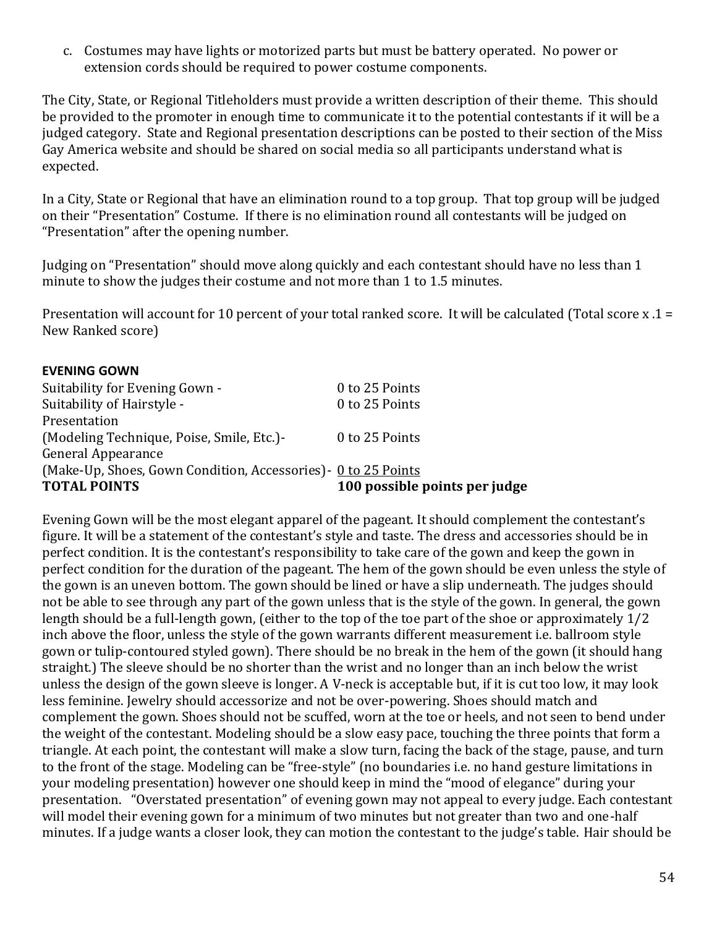c. Costumes may have lights or motorized parts but must be battery operated. No power or extension cords should be required to power costume components.

The City, State, or Regional Titleholders must provide a written description of their theme. This should be provided to the promoter in enough time to communicate it to the potential contestants if it will be a judged category. State and Regional presentation descriptions can be posted to their section of the Miss Gay America website and should be shared on social media so all participants understand what is expected.

In a City, State or Regional that have an elimination round to a top group. That top group will be judged on their "Presentation" Costume. If there is no elimination round all contestants will be judged on "Presentation" after the opening number.

Judging on "Presentation" should move along quickly and each contestant should have no less than 1 minute to show the judges their costume and not more than 1 to 1.5 minutes.

Presentation will account for 10 percent of your total ranked score. It will be calculated (Total score x .1 = New Ranked score)

| 0 to 25 Points                                                 |
|----------------------------------------------------------------|
| 0 to 25 Points                                                 |
|                                                                |
| 0 to 25 Points                                                 |
|                                                                |
| (Make-Up, Shoes, Gown Condition, Accessories) - 0 to 25 Points |
| 100 possible points per judge                                  |
|                                                                |

Evening Gown will be the most elegant apparel of the pageant. It should complement the contestant's figure. It will be a statement of the contestant's style and taste. The dress and accessories should be in perfect condition. It is the contestant's responsibility to take care of the gown and keep the gown in perfect condition for the duration of the pageant. The hem of the gown should be even unless the style of the gown is an uneven bottom. The gown should be lined or have a slip underneath. The judges should not be able to see through any part of the gown unless that is the style of the gown. In general, the gown length should be a full-length gown, (either to the top of the toe part of the shoe or approximately 1/2 inch above the floor, unless the style of the gown warrants different measurement i.e. ballroom style gown or tulip-contoured styled gown). There should be no break in the hem of the gown (it should hang straight.) The sleeve should be no shorter than the wrist and no longer than an inch below the wrist unless the design of the gown sleeve is longer. A V-neck is acceptable but, if it is cut too low, it may look less feminine. Jewelry should accessorize and not be over-powering. Shoes should match and complement the gown. Shoes should not be scuffed, worn at the toe or heels, and not seen to bend under the weight of the contestant. Modeling should be a slow easy pace, touching the three points that form a triangle. At each point, the contestant will make a slow turn, facing the back of the stage, pause, and turn to the front of the stage. Modeling can be "free-style" (no boundaries i.e. no hand gesture limitations in your modeling presentation) however one should keep in mind the "mood of elegance" during your presentation. "Overstated presentation" of evening gown may not appeal to every judge. Each contestant will model their evening gown for a minimum of two minutes but not greater than two and one-half minutes. If a judge wants a closer look, they can motion the contestant to the judge's table. Hair should be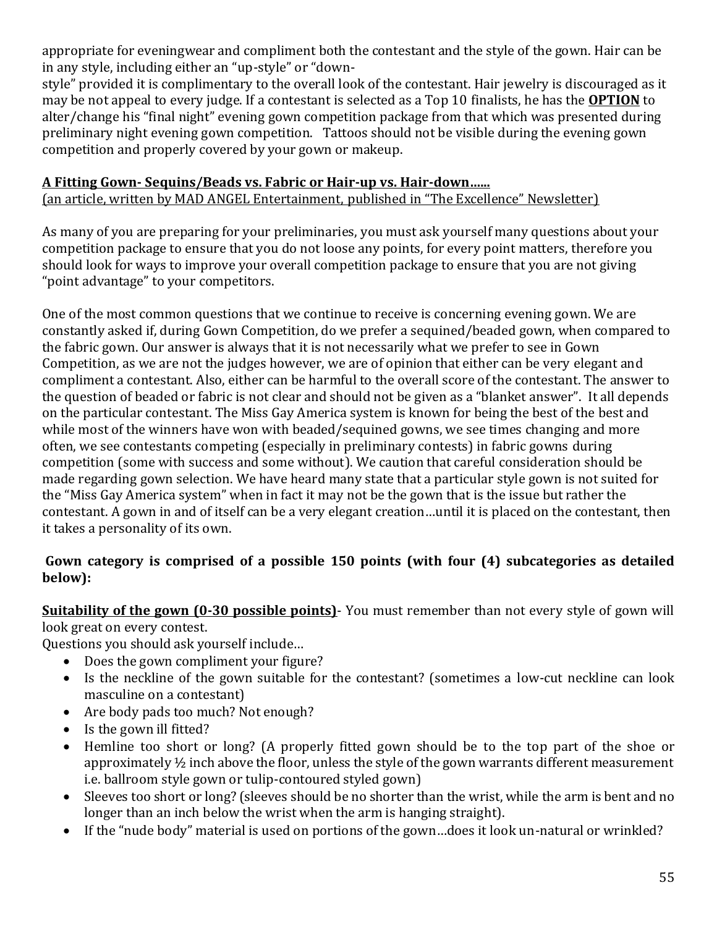appropriate for eveningwear and compliment both the contestant and the style of the gown. Hair can be in any style, including either an "up-style" or "down-

style" provided it is complimentary to the overall look of the contestant. Hair jewelry is discouraged as it may be not appeal to every judge. If a contestant is selected as a Top 10 finalists, he has the **OPTION** to alter/change his "final night" evening gown competition package from that which was presented during preliminary night evening gown competition. Tattoos should not be visible during the evening gown competition and properly covered by your gown or makeup.

### **A Fitting Gown- Sequins/Beads vs. Fabric or Hair-up vs. Hair-down…...**

(an article, written by MAD ANGEL Entertainment, published in "The Excellence" Newsletter)

As many of you are preparing for your preliminaries, you must ask yourself many questions about your competition package to ensure that you do not loose any points, for every point matters, therefore you should look for ways to improve your overall competition package to ensure that you are not giving "point advantage" to your competitors.

One of the most common questions that we continue to receive is concerning evening gown. We are constantly asked if, during Gown Competition, do we prefer a sequined/beaded gown, when compared to the fabric gown. Our answer is always that it is not necessarily what we prefer to see in Gown Competition, as we are not the judges however, we are of opinion that either can be very elegant and compliment a contestant. Also, either can be harmful to the overall score of the contestant. The answer to the question of beaded or fabric is not clear and should not be given as a "blanket answer". It all depends on the particular contestant. The Miss Gay America system is known for being the best of the best and while most of the winners have won with beaded/sequined gowns, we see times changing and more often, we see contestants competing (especially in preliminary contests) in fabric gowns during competition (some with success and some without). We caution that careful consideration should be made regarding gown selection. We have heard many state that a particular style gown is not suited for the "Miss Gay America system" when in fact it may not be the gown that is the issue but rather the contestant. A gown in and of itself can be a very elegant creation…until it is placed on the contestant, then it takes a personality of its own.

## **Gown category is comprised of a possible 150 points (with four (4) subcategories as detailed below):**

**Suitability of the gown (0-30 possible points)**- You must remember than not every style of gown will look great on every contest.

Questions you should ask yourself include…

- Does the gown compliment your figure?
- Is the neckline of the gown suitable for the contestant? (sometimes a low-cut neckline can look masculine on a contestant)
- Are body pads too much? Not enough?
- Is the gown ill fitted?
- Hemline too short or long? (A properly fitted gown should be to the top part of the shoe or approximately ½ inch above the floor, unless the style of the gown warrants different measurement i.e. ballroom style gown or tulip-contoured styled gown)
- Sleeves too short or long? (sleeves should be no shorter than the wrist, while the arm is bent and no longer than an inch below the wrist when the arm is hanging straight).
- If the "nude body" material is used on portions of the gown…does it look un-natural or wrinkled?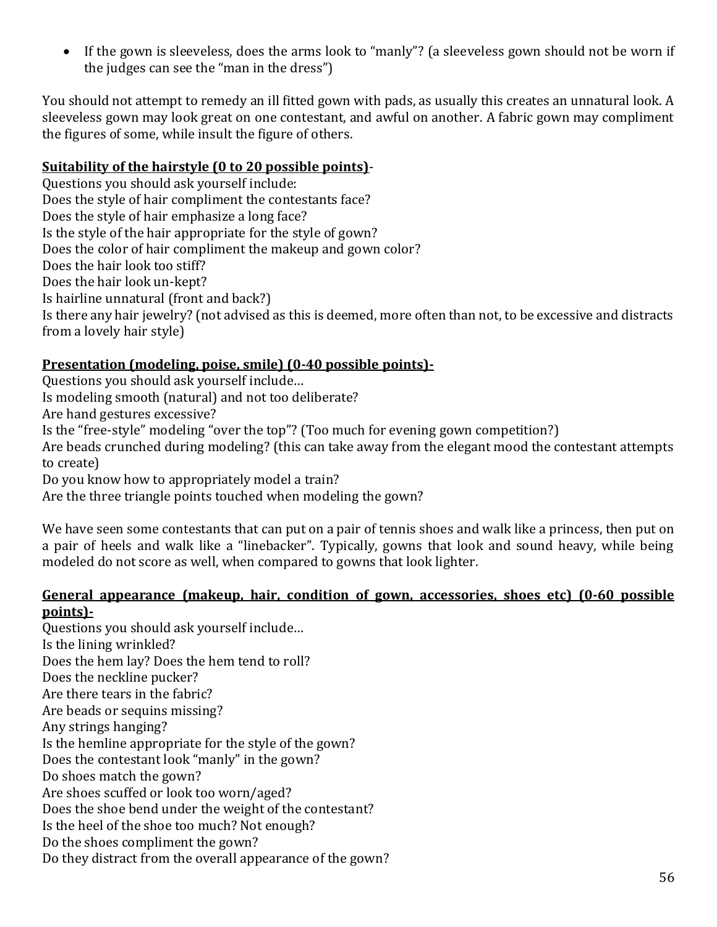• If the gown is sleeveless, does the arms look to "manly"? (a sleeveless gown should not be worn if the judges can see the "man in the dress")

You should not attempt to remedy an ill fitted gown with pads, as usually this creates an unnatural look. A sleeveless gown may look great on one contestant, and awful on another. A fabric gown may compliment the figures of some, while insult the figure of others.

#### **Suitability of the hairstyle (0 to 20 possible points)**-

Questions you should ask yourself include: Does the style of hair compliment the contestants face? Does the style of hair emphasize a long face? Is the style of the hair appropriate for the style of gown? Does the color of hair compliment the makeup and gown color? Does the hair look too stiff? Does the hair look un-kept? Is hairline unnatural (front and back?) Is there any hair jewelry? (not advised as this is deemed, more often than not, to be excessive and distracts from a lovely hair style)

### **Presentation (modeling, poise, smile) (0-40 possible points)-**

Questions you should ask yourself include…

Is modeling smooth (natural) and not too deliberate?

Are hand gestures excessive?

Is the "free-style" modeling "over the top"? (Too much for evening gown competition?)

Are beads crunched during modeling? (this can take away from the elegant mood the contestant attempts to create)

Do you know how to appropriately model a train?

Are the three triangle points touched when modeling the gown?

We have seen some contestants that can put on a pair of tennis shoes and walk like a princess, then put on a pair of heels and walk like a "linebacker". Typically, gowns that look and sound heavy, while being modeled do not score as well, when compared to gowns that look lighter.

#### **General appearance (makeup, hair, condition of gown, accessories, shoes etc) (0-60 possible points)-**

Questions you should ask yourself include… Is the lining wrinkled? Does the hem lay? Does the hem tend to roll? Does the neckline pucker? Are there tears in the fabric? Are beads or sequins missing? Any strings hanging? Is the hemline appropriate for the style of the gown? Does the contestant look "manly" in the gown? Do shoes match the gown? Are shoes scuffed or look too worn/aged? Does the shoe bend under the weight of the contestant? Is the heel of the shoe too much? Not enough? Do the shoes compliment the gown? Do they distract from the overall appearance of the gown?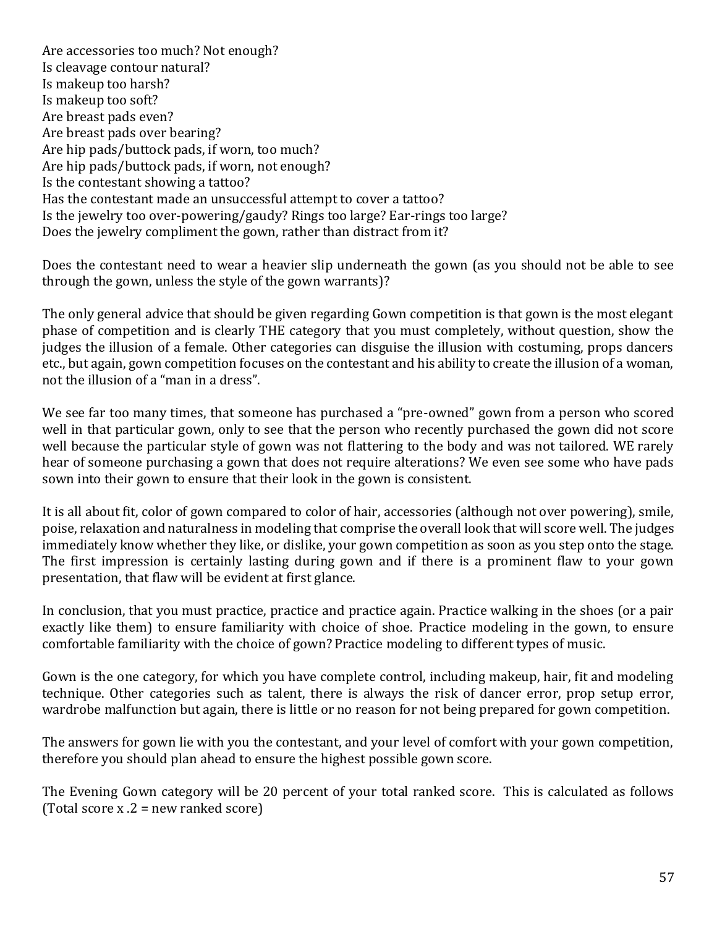Are accessories too much? Not enough? Is cleavage contour natural? Is makeup too harsh? Is makeup too soft? Are breast pads even? Are breast pads over bearing? Are hip pads/buttock pads, if worn, too much? Are hip pads/buttock pads, if worn, not enough? Is the contestant showing a tattoo? Has the contestant made an unsuccessful attempt to cover a tattoo? Is the jewelry too over-powering/gaudy? Rings too large? Ear-rings too large? Does the jewelry compliment the gown, rather than distract from it?

Does the contestant need to wear a heavier slip underneath the gown (as you should not be able to see through the gown, unless the style of the gown warrants)?

The only general advice that should be given regarding Gown competition is that gown is the most elegant phase of competition and is clearly THE category that you must completely, without question, show the judges the illusion of a female. Other categories can disguise the illusion with costuming, props dancers etc., but again, gown competition focuses on the contestant and his ability to create the illusion of a woman, not the illusion of a "man in a dress".

We see far too many times, that someone has purchased a "pre-owned" gown from a person who scored well in that particular gown, only to see that the person who recently purchased the gown did not score well because the particular style of gown was not flattering to the body and was not tailored. WE rarely hear of someone purchasing a gown that does not require alterations? We even see some who have pads sown into their gown to ensure that their look in the gown is consistent.

It is all about fit, color of gown compared to color of hair, accessories (although not over powering), smile, poise, relaxation and naturalness in modeling that comprise the overall look that will score well. The judges immediately know whether they like, or dislike, your gown competition as soon as you step onto the stage. The first impression is certainly lasting during gown and if there is a prominent flaw to your gown presentation, that flaw will be evident at first glance.

In conclusion, that you must practice, practice and practice again. Practice walking in the shoes (or a pair exactly like them) to ensure familiarity with choice of shoe. Practice modeling in the gown, to ensure comfortable familiarity with the choice of gown? Practice modeling to different types of music.

Gown is the one category, for which you have complete control, including makeup, hair, fit and modeling technique. Other categories such as talent, there is always the risk of dancer error, prop setup error, wardrobe malfunction but again, there is little or no reason for not being prepared for gown competition.

The answers for gown lie with you the contestant, and your level of comfort with your gown competition, therefore you should plan ahead to ensure the highest possible gown score.

The Evening Gown category will be 20 percent of your total ranked score. This is calculated as follows (Total score  $x \cdot 2$  = new ranked score)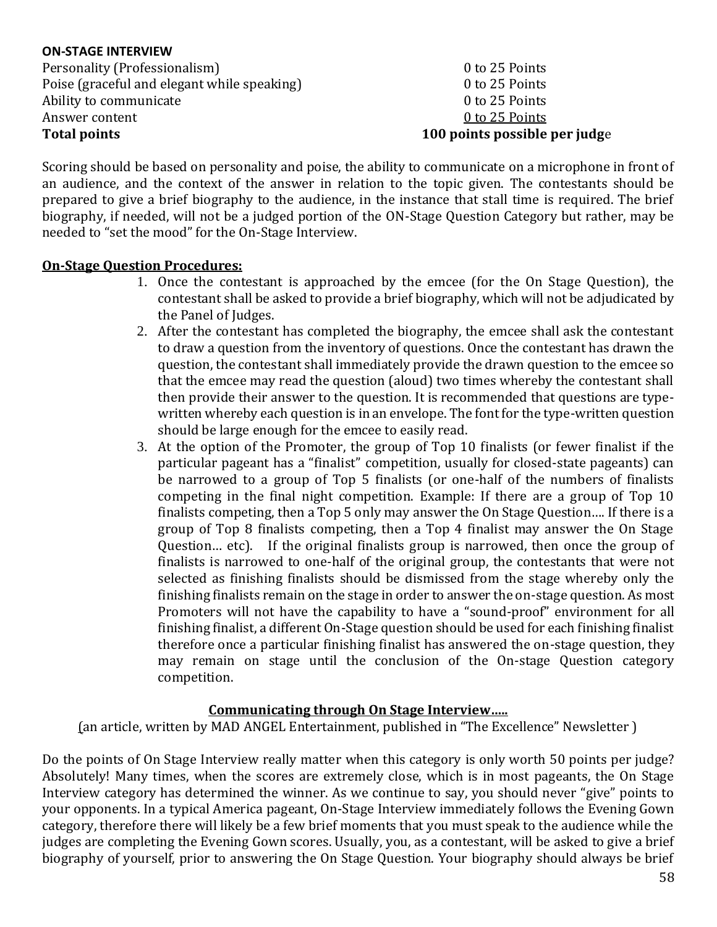#### **ON-STAGE INTERVIEW** Personality (Professionalism) 8. 25 Points Poise (graceful and elegant while speaking) 0 to 25 Points Ability to communicate a set of the communicate of the communicate of the communicate of the communicate of the communicate of the communicate of the communicate of the communicate of the communicate of the communicate of Answer content 0 to 25 Points **Total points 100 points possible per judg**e

Scoring should be based on personality and poise, the ability to communicate on a microphone in front of an audience, and the context of the answer in relation to the topic given. The contestants should be prepared to give a brief biography to the audience, in the instance that stall time is required. The brief biography, if needed, will not be a judged portion of the ON-Stage Question Category but rather, may be needed to "set the mood" for the On-Stage Interview.

### **On-Stage Question Procedures:**

- 1. Once the contestant is approached by the emcee (for the On Stage Question), the contestant shall be asked to provide a brief biography, which will not be adjudicated by the Panel of Judges.
- 2. After the contestant has completed the biography, the emcee shall ask the contestant to draw a question from the inventory of questions. Once the contestant has drawn the question, the contestant shall immediately provide the drawn question to the emcee so that the emcee may read the question (aloud) two times whereby the contestant shall then provide their answer to the question. It is recommended that questions are typewritten whereby each question is in an envelope. The font for the type-written question should be large enough for the emcee to easily read.
- 3. At the option of the Promoter, the group of Top 10 finalists (or fewer finalist if the particular pageant has a "finalist" competition, usually for closed-state pageants) can be narrowed to a group of Top 5 finalists (or one-half of the numbers of finalists competing in the final night competition. Example: If there are a group of Top 10 finalists competing, then a Top 5 only may answer the On Stage Question…. If there is a group of Top 8 finalists competing, then a Top 4 finalist may answer the On Stage Question… etc). If the original finalists group is narrowed, then once the group of finalists is narrowed to one-half of the original group, the contestants that were not selected as finishing finalists should be dismissed from the stage whereby only the finishing finalists remain on the stage in order to answer the on-stage question. As most Promoters will not have the capability to have a "sound-proof" environment for all finishing finalist, a different On-Stage question should be used for each finishing finalist therefore once a particular finishing finalist has answered the on-stage question, they may remain on stage until the conclusion of the On-stage Question category competition.

#### **Communicating through On Stage Interview…..**

(an article, written by MAD ANGEL Entertainment, published in "The Excellence" Newsletter )

Do the points of On Stage Interview really matter when this category is only worth 50 points per judge? Absolutely! Many times, when the scores are extremely close, which is in most pageants, the On Stage Interview category has determined the winner. As we continue to say, you should never "give" points to your opponents. In a typical America pageant, On-Stage Interview immediately follows the Evening Gown category, therefore there will likely be a few brief moments that you must speak to the audience while the judges are completing the Evening Gown scores. Usually, you, as a contestant, will be asked to give a brief biography of yourself, prior to answering the On Stage Question. Your biography should always be brief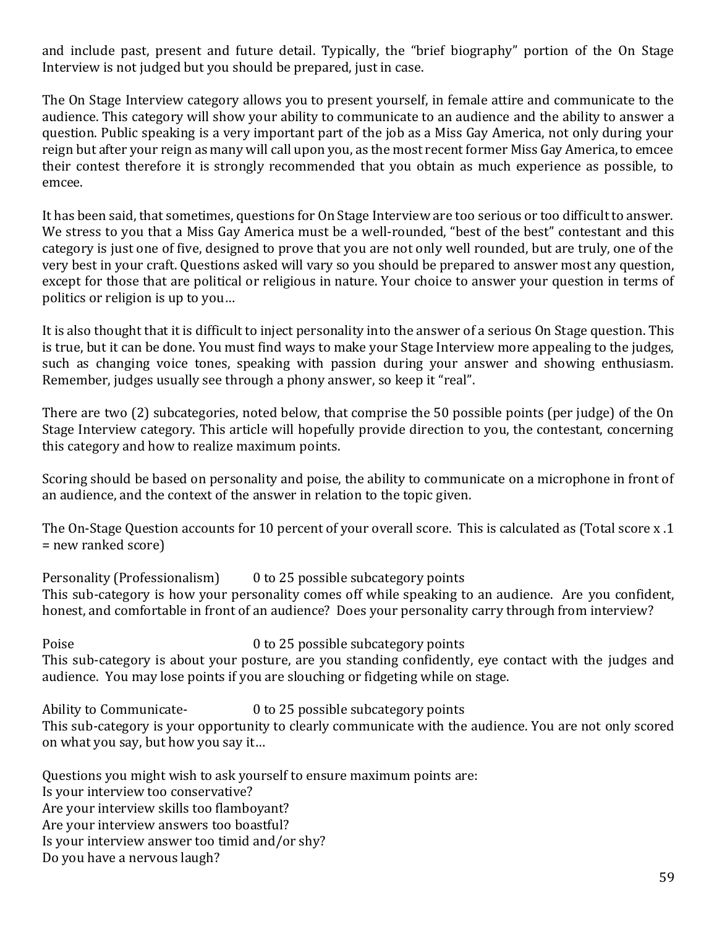and include past, present and future detail. Typically, the "brief biography" portion of the On Stage Interview is not judged but you should be prepared, just in case.

The On Stage Interview category allows you to present yourself, in female attire and communicate to the audience. This category will show your ability to communicate to an audience and the ability to answer a question. Public speaking is a very important part of the job as a Miss Gay America, not only during your reign but after your reign as many will call upon you, as the most recent former Miss Gay America, to emcee their contest therefore it is strongly recommended that you obtain as much experience as possible, to emcee.

It has been said, that sometimes, questions for On Stage Interview are too serious or too difficult to answer. We stress to you that a Miss Gay America must be a well-rounded, "best of the best" contestant and this category is just one of five, designed to prove that you are not only well rounded, but are truly, one of the very best in your craft. Questions asked will vary so you should be prepared to answer most any question, except for those that are political or religious in nature. Your choice to answer your question in terms of politics or religion is up to you…

It is also thought that it is difficult to inject personality into the answer of a serious On Stage question. This is true, but it can be done. You must find ways to make your Stage Interview more appealing to the judges, such as changing voice tones, speaking with passion during your answer and showing enthusiasm. Remember, judges usually see through a phony answer, so keep it "real".

There are two (2) subcategories, noted below, that comprise the 50 possible points (per judge) of the On Stage Interview category. This article will hopefully provide direction to you, the contestant, concerning this category and how to realize maximum points.

Scoring should be based on personality and poise, the ability to communicate on a microphone in front of an audience, and the context of the answer in relation to the topic given.

The On-Stage Question accounts for 10 percent of your overall score. This is calculated as (Total score x .1 = new ranked score)

Personality (Professionalism) 0 to 25 possible subcategory points This sub-category is how your personality comes off while speaking to an audience. Are you confident, honest, and comfortable in front of an audience? Does your personality carry through from interview?

Poise 0 to 25 possible subcategory points This sub-category is about your posture, are you standing confidently, eye contact with the judges and audience. You may lose points if you are slouching or fidgeting while on stage.

Ability to Communicate- 0 to 25 possible subcategory points This sub-category is your opportunity to clearly communicate with the audience. You are not only scored on what you say, but how you say it…

Questions you might wish to ask yourself to ensure maximum points are: Is your interview too conservative? Are your interview skills too flamboyant? Are your interview answers too boastful? Is your interview answer too timid and/or shy? Do you have a nervous laugh?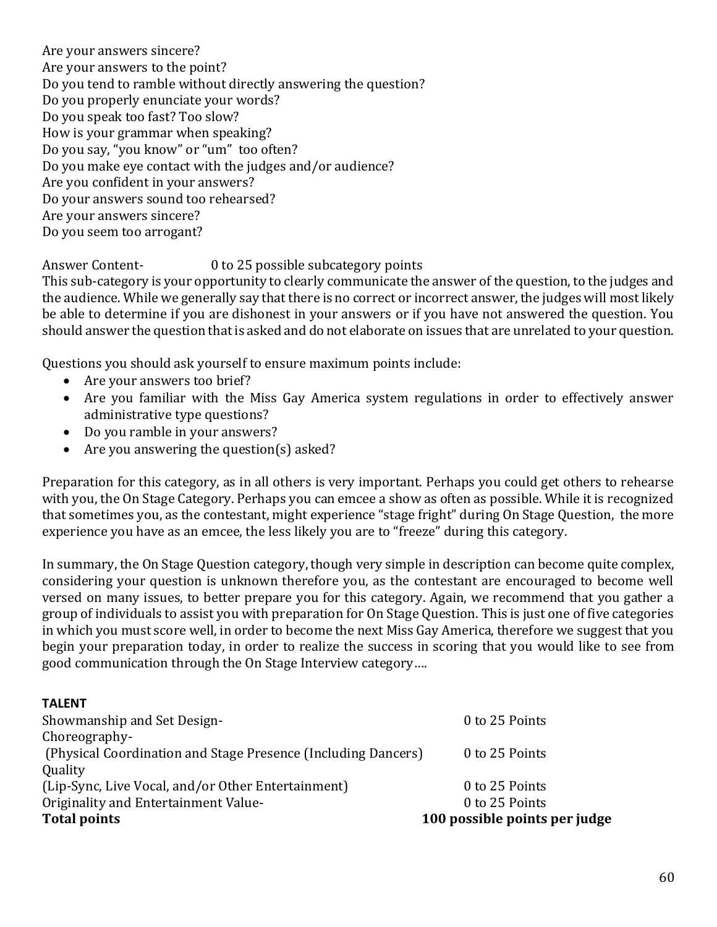Are your answers sincere? Are your answers to the point? Do you tend to ramble without directly answering the question? Do you properly enunciate your words? Do you speak too fast? Too slow? How is your grammar when speaking? Do you say, "you know" or "um" too often? Do you make eye contact with the judges and/or audience? Are you confident in your answers? Do your answers sound too rehearsed? Are your answers sincere? Do you seem too arrogant?

Answer Content- 0 to 25 possible subcategory points

This sub-category is your opportunity to clearly communicate the answer of the question, to the judges and the audience. While we generally say that there is no correct or incorrect answer, the judges will most likely be able to determine if you are dishonest in your answers or if you have not answered the question. You should answer the question that is asked and do not elaborate on issues that are unrelated to your question.

Questions you should ask yourself to ensure maximum points include:

- Are your answers too brief?
- Are you familiar with the Miss Gay America system regulations in order to effectively answer administrative type questions?
- Do you ramble in your answers?
- Are you answering the question(s) asked?

Preparation for this category, as in all others is very important. Perhaps you could get others to rehearse with you, the On Stage Category. Perhaps you can emcee a show as often as possible. While it is recognized that sometimes you, as the contestant, might experience "stage fright" during On Stage Question, the more experience you have as an emcee, the less likely you are to "freeze" during this category.

In summary, the On Stage Question category, though very simple in description can become quite complex, considering your question is unknown therefore you, as the contestant are encouraged to become well versed on many issues, to better prepare you for this category. Again, we recommend that you gather a group of individuals to assist you with preparation for On Stage Question. This is just one of five categories in which you must score well, in order to become the next Miss Gay America, therefore we suggest that you begin your preparation today, in order to realize the success in scoring that you would like to see from good communication through the On Stage Interview category….

#### **TALENT**

| <b>Total points</b>                                           | 100 possible points per judge |
|---------------------------------------------------------------|-------------------------------|
| Originality and Entertainment Value-                          | 0 to 25 Points                |
| (Lip-Sync, Live Vocal, and/or Other Entertainment)            | 0 to 25 Points                |
| Quality                                                       |                               |
| (Physical Coordination and Stage Presence (Including Dancers) | 0 to 25 Points                |
| Choreography-                                                 |                               |
| Showmanship and Set Design-                                   | 0 to 25 Points                |
|                                                               |                               |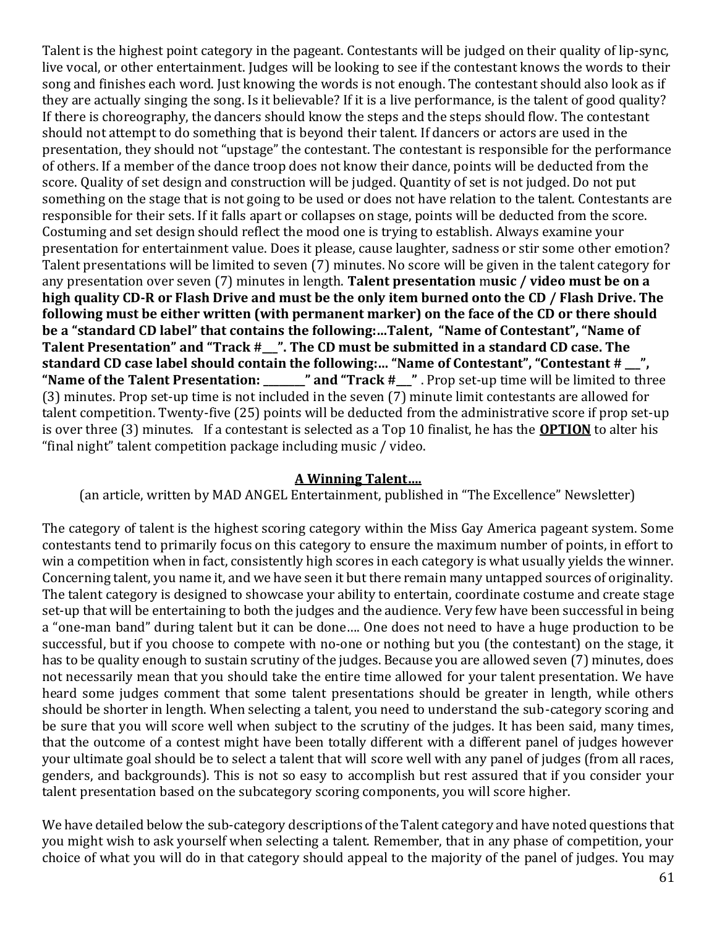Talent is the highest point category in the pageant. Contestants will be judged on their quality of lip-sync, live vocal, or other entertainment. Judges will be looking to see if the contestant knows the words to their song and finishes each word. Just knowing the words is not enough. The contestant should also look as if they are actually singing the song. Is it believable? If it is a live performance, is the talent of good quality? If there is choreography, the dancers should know the steps and the steps should flow. The contestant should not attempt to do something that is beyond their talent. If dancers or actors are used in the presentation, they should not "upstage" the contestant. The contestant is responsible for the performance of others. If a member of the dance troop does not know their dance, points will be deducted from the score. Quality of set design and construction will be judged. Quantity of set is not judged. Do not put something on the stage that is not going to be used or does not have relation to the talent. Contestants are responsible for their sets. If it falls apart or collapses on stage, points will be deducted from the score. Costuming and set design should reflect the mood one is trying to establish. Always examine your presentation for entertainment value. Does it please, cause laughter, sadness or stir some other emotion? Talent presentations will be limited to seven (7) minutes. No score will be given in the talent category for any presentation over seven (7) minutes in length. **Talent presentation** m**usic / video must be on a high quality CD-R or Flash Drive and must be the only item burned onto the CD / Flash Drive. The following must be either written (with permanent marker) on the face of the CD or there should be a "standard CD label" that contains the following:…Talent, "Name of Contestant", "Name of Talent Presentation" and "Track #\_\_\_". The CD must be submitted in a standard CD case. The**  standard CD case label should contain the following:... "Name of Contestant", "Contestant # <sup>"</sup>, **"Name of the Talent Presentation: \_\_\_\_\_\_\_\_" and "Track #\_\_\_"** . Prop set-up time will be limited to three (3) minutes. Prop set-up time is not included in the seven (7) minute limit contestants are allowed for talent competition. Twenty-five (25) points will be deducted from the administrative score if prop set-up is over three (3) minutes. If a contestant is selected as a Top 10 finalist, he has the **OPTION** to alter his "final night" talent competition package including music / video.

#### **A Winning Talent….**

(an article, written by MAD ANGEL Entertainment, published in "The Excellence" Newsletter)

The category of talent is the highest scoring category within the Miss Gay America pageant system. Some contestants tend to primarily focus on this category to ensure the maximum number of points, in effort to win a competition when in fact, consistently high scores in each category is what usually yields the winner. Concerning talent, you name it, and we have seen it but there remain many untapped sources of originality. The talent category is designed to showcase your ability to entertain, coordinate costume and create stage set-up that will be entertaining to both the judges and the audience. Very few have been successful in being a "one-man band" during talent but it can be done…. One does not need to have a huge production to be successful, but if you choose to compete with no-one or nothing but you (the contestant) on the stage, it has to be quality enough to sustain scrutiny of the judges. Because you are allowed seven (7) minutes, does not necessarily mean that you should take the entire time allowed for your talent presentation. We have heard some judges comment that some talent presentations should be greater in length, while others should be shorter in length. When selecting a talent, you need to understand the sub-category scoring and be sure that you will score well when subject to the scrutiny of the judges. It has been said, many times, that the outcome of a contest might have been totally different with a different panel of judges however your ultimate goal should be to select a talent that will score well with any panel of judges (from all races, genders, and backgrounds). This is not so easy to accomplish but rest assured that if you consider your talent presentation based on the subcategory scoring components, you will score higher.

We have detailed below the sub-category descriptions of the Talent category and have noted questions that you might wish to ask yourself when selecting a talent. Remember, that in any phase of competition, your choice of what you will do in that category should appeal to the majority of the panel of judges. You may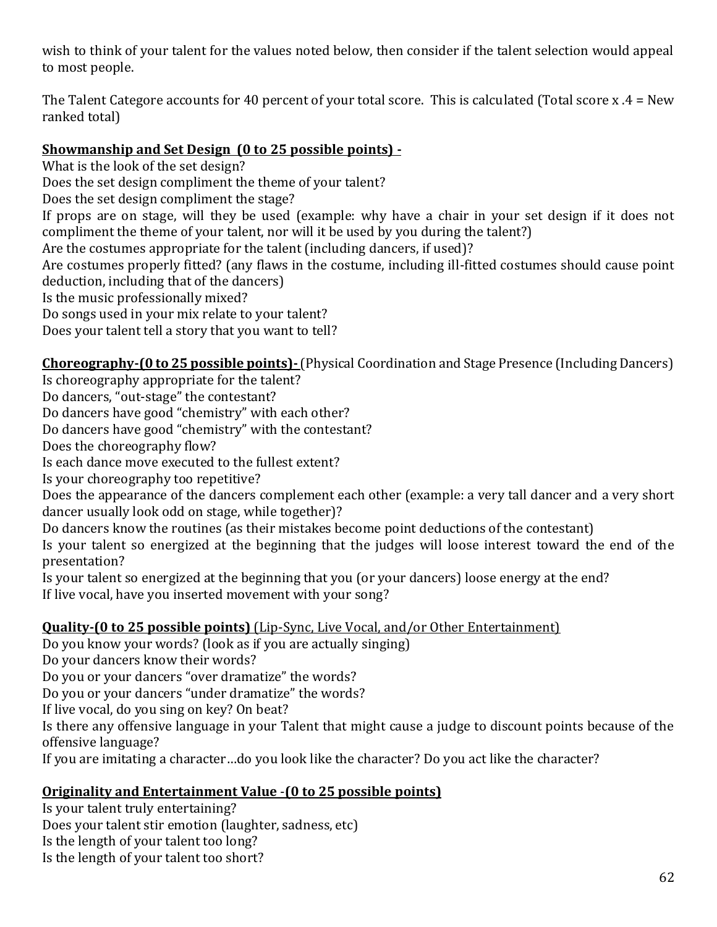wish to think of your talent for the values noted below, then consider if the talent selection would appeal to most people.

The Talent Categore accounts for 40 percent of your total score. This is calculated (Total score x .4 = New ranked total)

## **Showmanship and Set Design (0 to 25 possible points) -**

What is the look of the set design?

Does the set design compliment the theme of your talent?

Does the set design compliment the stage?

If props are on stage, will they be used (example: why have a chair in your set design if it does not compliment the theme of your talent, nor will it be used by you during the talent?)

Are the costumes appropriate for the talent (including dancers, if used)?

Are costumes properly fitted? (any flaws in the costume, including ill-fitted costumes should cause point deduction, including that of the dancers)

Is the music professionally mixed?

Do songs used in your mix relate to your talent?

Does your talent tell a story that you want to tell?

## **Choreography-(0 to 25 possible points)-**(Physical Coordination and Stage Presence (Including Dancers)

Is choreography appropriate for the talent?

Do dancers, "out-stage" the contestant?

Do dancers have good "chemistry" with each other?

Do dancers have good "chemistry" with the contestant?

Does the choreography flow?

Is each dance move executed to the fullest extent?

Is your choreography too repetitive?

Does the appearance of the dancers complement each other (example: a very tall dancer and a very short dancer usually look odd on stage, while together)?

Do dancers know the routines (as their mistakes become point deductions of the contestant)

Is your talent so energized at the beginning that the judges will loose interest toward the end of the presentation?

Is your talent so energized at the beginning that you (or your dancers) loose energy at the end? If live vocal, have you inserted movement with your song?

## **Quality-(0 to 25 possible points)** (Lip-Sync, Live Vocal, and/or Other Entertainment)

Do you know your words? (look as if you are actually singing)

Do your dancers know their words?

Do you or your dancers "over dramatize" the words?

Do you or your dancers "under dramatize" the words?

If live vocal, do you sing on key? On beat?

Is there any offensive language in your Talent that might cause a judge to discount points because of the offensive language?

If you are imitating a character…do you look like the character? Do you act like the character?

## **Originality and Entertainment Value** -**(0 to 25 possible points)**

Is your talent truly entertaining? Does your talent stir emotion (laughter, sadness, etc) Is the length of your talent too long? Is the length of your talent too short?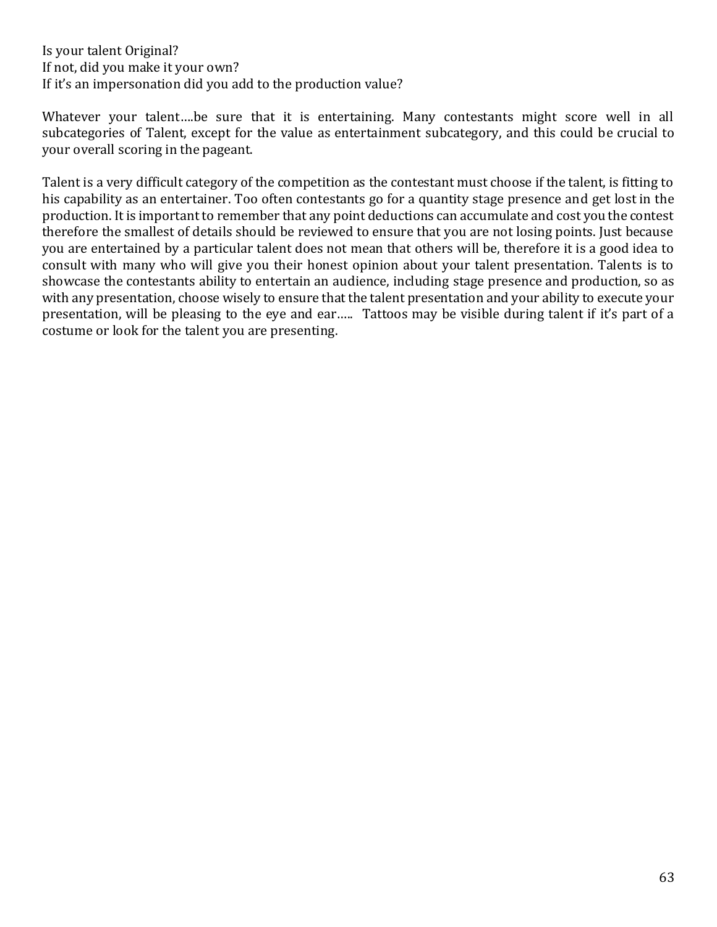Is your talent Original? If not, did you make it your own? If it's an impersonation did you add to the production value?

Whatever your talent….be sure that it is entertaining. Many contestants might score well in all subcategories of Talent, except for the value as entertainment subcategory, and this could be crucial to your overall scoring in the pageant.

Talent is a very difficult category of the competition as the contestant must choose if the talent, is fitting to his capability as an entertainer. Too often contestants go for a quantity stage presence and get lost in the production. It is important to remember that any point deductions can accumulate and cost you the contest therefore the smallest of details should be reviewed to ensure that you are not losing points. Just because you are entertained by a particular talent does not mean that others will be, therefore it is a good idea to consult with many who will give you their honest opinion about your talent presentation. Talents is to showcase the contestants ability to entertain an audience, including stage presence and production, so as with any presentation, choose wisely to ensure that the talent presentation and your ability to execute your presentation, will be pleasing to the eye and ear….. Tattoos may be visible during talent if it's part of a costume or look for the talent you are presenting.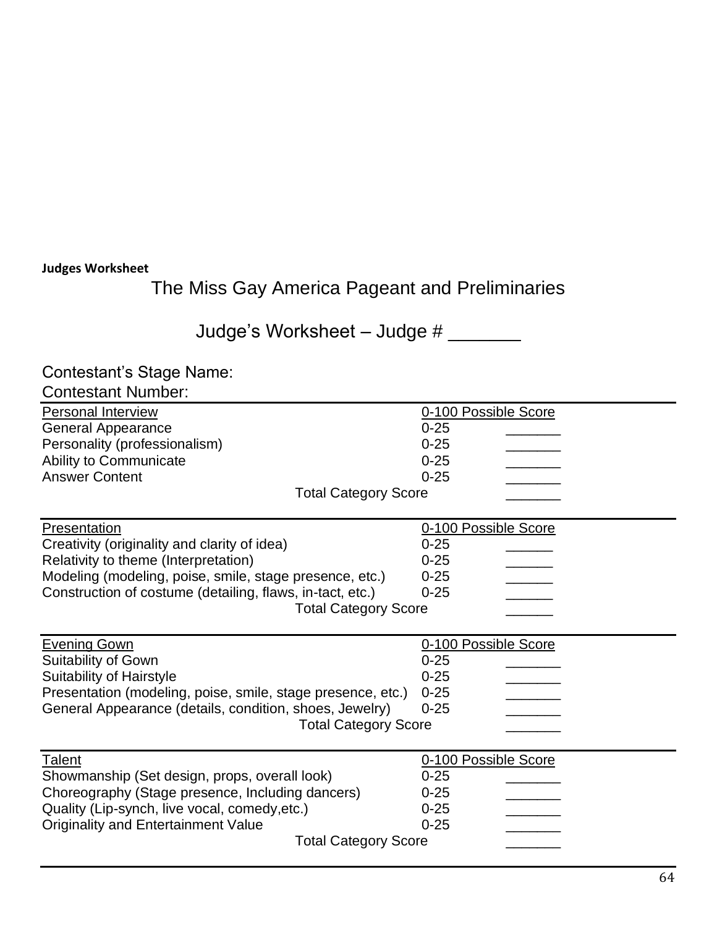## **Judges Worksheet**

The Miss Gay America Pageant and Preliminaries

Judge's Worksheet - Judge # \_\_\_\_\_\_\_

# Contestant's Stage Name:

| <b>Contestant Number:</b>                                                              |                      |  |  |
|----------------------------------------------------------------------------------------|----------------------|--|--|
| <b>Personal Interview</b>                                                              | 0-100 Possible Score |  |  |
| <b>General Appearance</b>                                                              | $0 - 25$             |  |  |
| Personality (professionalism)                                                          | $0 - 25$             |  |  |
| Ability to Communicate                                                                 | $0 - 25$             |  |  |
| <b>Answer Content</b>                                                                  | $0 - 25$             |  |  |
| <b>Total Category Score</b>                                                            |                      |  |  |
| Presentation                                                                           | 0-100 Possible Score |  |  |
| Creativity (originality and clarity of idea)                                           | $0 - 25$             |  |  |
| Relativity to theme (Interpretation)                                                   | $0 - 25$             |  |  |
| Modeling (modeling, poise, smile, stage presence, etc.)                                | $0 - 25$             |  |  |
| Construction of costume (detailing, flaws, in-tact, etc.)                              | $0 - 25$             |  |  |
| <b>Total Category Score</b>                                                            |                      |  |  |
|                                                                                        |                      |  |  |
| <b>Evening Gown</b>                                                                    | 0-100 Possible Score |  |  |
| <b>Suitability of Gown</b>                                                             | $0 - 25$<br>$0 - 25$ |  |  |
| Suitability of Hairstyle                                                               | $0 - 25$             |  |  |
| Presentation (modeling, poise, smile, stage presence, etc.)                            | $0 - 25$             |  |  |
| General Appearance (details, condition, shoes, Jewelry)<br><b>Total Category Score</b> |                      |  |  |
|                                                                                        |                      |  |  |
| <b>Talent</b>                                                                          | 0-100 Possible Score |  |  |
| Showmanship (Set design, props, overall look)                                          | $0 - 25$             |  |  |
| Choreography (Stage presence, Including dancers)                                       | $0 - 25$             |  |  |
| Quality (Lip-synch, live vocal, comedy, etc.)                                          | $0 - 25$             |  |  |
| <b>Originality and Entertainment Value</b>                                             | $0 - 25$             |  |  |
| <b>Total Category Score</b>                                                            |                      |  |  |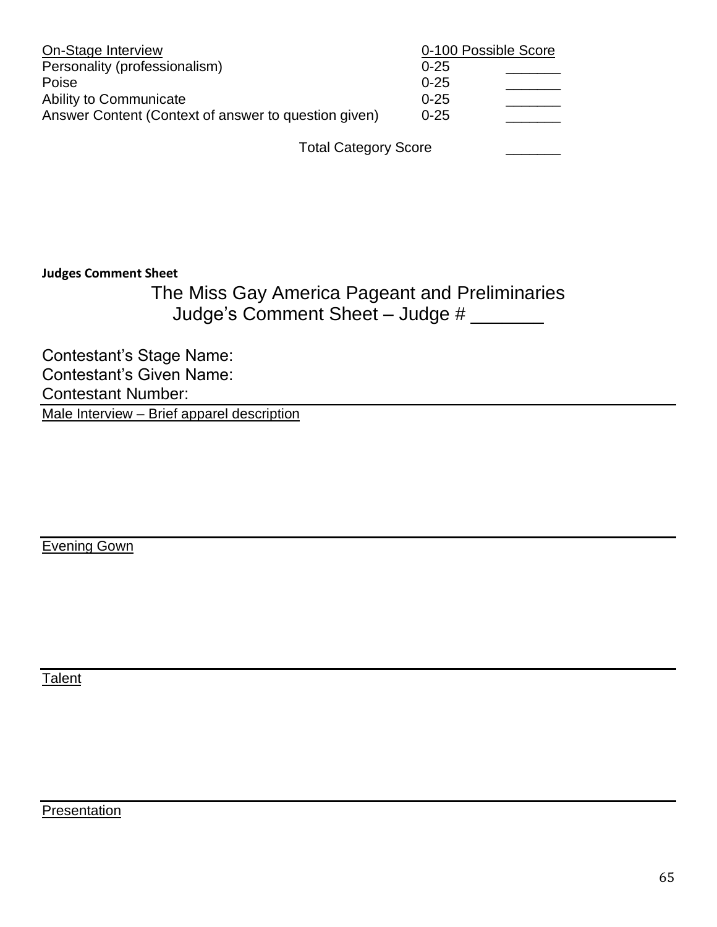| On-Stage Interview                                   | 0-100 Possible Score |
|------------------------------------------------------|----------------------|
| Personality (professionalism)                        | $0 - 25$             |
| Poise                                                | $0 - 25$             |
| Ability to Communicate                               | $0 - 25$             |
| Answer Content (Context of answer to question given) | $0 - 25$             |
|                                                      |                      |

Total Category Score

#### **Judges Comment Sheet**

The Miss Gay America Pageant and Preliminaries Judge's Comment Sheet – Judge # \_\_\_\_\_\_\_

Contestant's Stage Name: Contestant's Given Name: Contestant Number: Male Interview – Brief apparel description

Evening Gown

**Talent** 

**Presentation**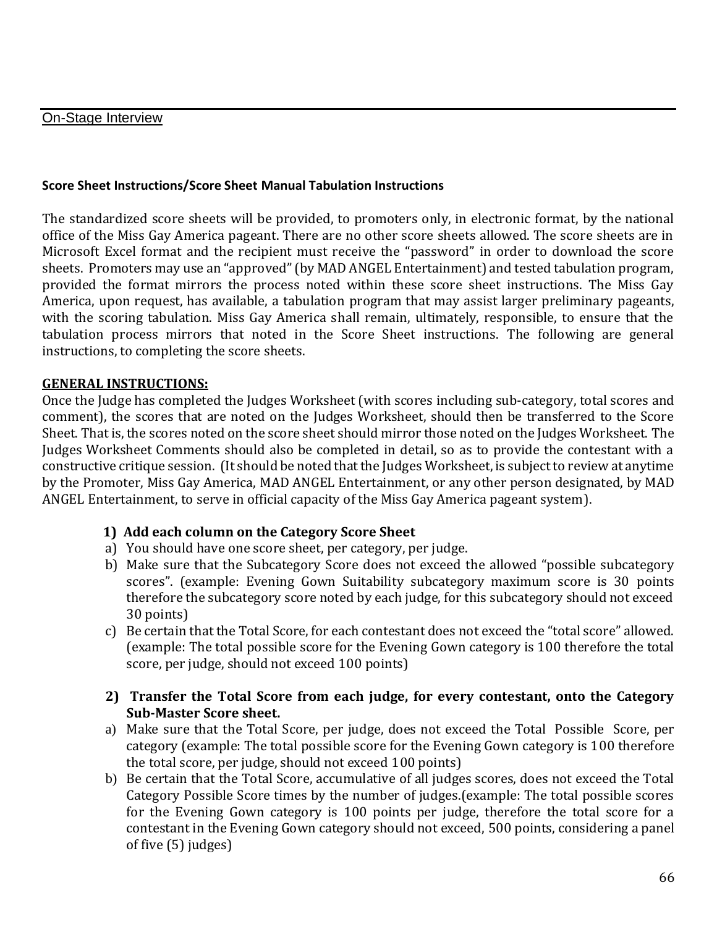#### On-Stage Interview

#### **Score Sheet Instructions/Score Sheet Manual Tabulation Instructions**

The standardized score sheets will be provided, to promoters only, in electronic format, by the national office of the Miss Gay America pageant. There are no other score sheets allowed. The score sheets are in Microsoft Excel format and the recipient must receive the "password" in order to download the score sheets. Promoters may use an "approved" (by MAD ANGEL Entertainment) and tested tabulation program, provided the format mirrors the process noted within these score sheet instructions. The Miss Gay America, upon request, has available, a tabulation program that may assist larger preliminary pageants, with the scoring tabulation. Miss Gay America shall remain, ultimately, responsible, to ensure that the tabulation process mirrors that noted in the Score Sheet instructions. The following are general instructions, to completing the score sheets.

#### **GENERAL INSTRUCTIONS:**

Once the Judge has completed the Judges Worksheet (with scores including sub-category, total scores and comment), the scores that are noted on the Judges Worksheet, should then be transferred to the Score Sheet. That is, the scores noted on the score sheet should mirror those noted on the Judges Worksheet. The Judges Worksheet Comments should also be completed in detail, so as to provide the contestant with a constructive critique session. (It should be noted that the Judges Worksheet, is subject to review at anytime by the Promoter, Miss Gay America, MAD ANGEL Entertainment, or any other person designated, by MAD ANGEL Entertainment, to serve in official capacity of the Miss Gay America pageant system).

#### **1) Add each column on the Category Score Sheet**

- a) You should have one score sheet, per category, per judge.
- b) Make sure that the Subcategory Score does not exceed the allowed "possible subcategory scores". (example: Evening Gown Suitability subcategory maximum score is 30 points therefore the subcategory score noted by each judge, for this subcategory should not exceed 30 points)
- c) Be certain that the Total Score, for each contestant does not exceed the "total score" allowed. (example: The total possible score for the Evening Gown category is 100 therefore the total score, per judge, should not exceed 100 points)
- **2) Transfer the Total Score from each judge, for every contestant, onto the Category Sub-Master Score sheet.**
- a) Make sure that the Total Score, per judge, does not exceed the Total Possible Score, per category (example: The total possible score for the Evening Gown category is 100 therefore the total score, per judge, should not exceed 100 points)
- b) Be certain that the Total Score, accumulative of all judges scores, does not exceed the Total Category Possible Score times by the number of judges.(example: The total possible scores for the Evening Gown category is 100 points per judge, therefore the total score for a contestant in the Evening Gown category should not exceed, 500 points, considering a panel of five (5) judges)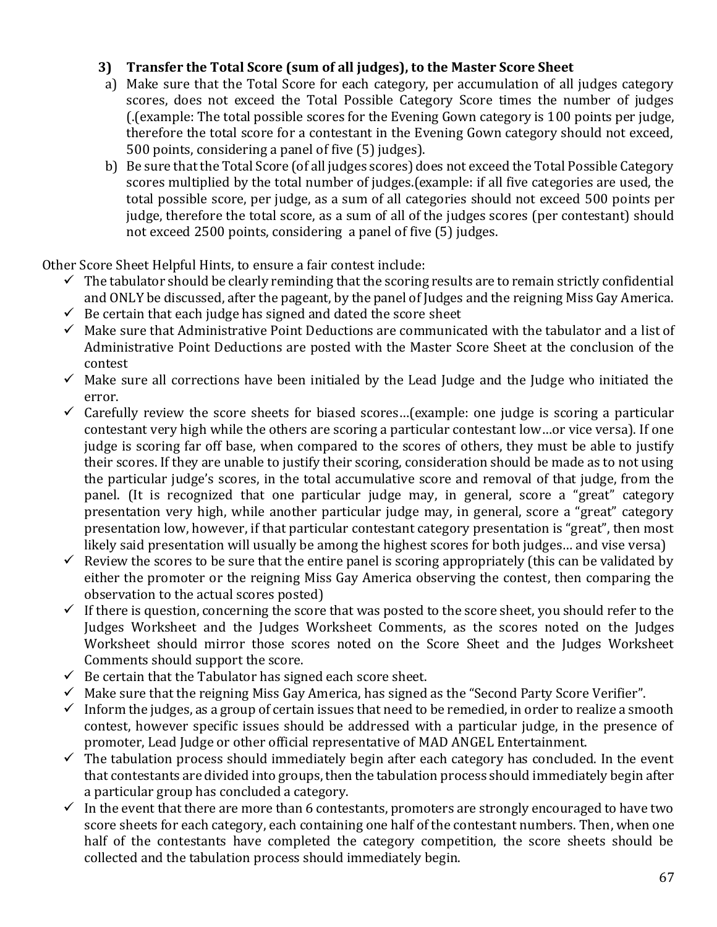### **3) Transfer the Total Score (sum of all judges), to the Master Score Sheet**

- a) Make sure that the Total Score for each category, per accumulation of all judges category scores, does not exceed the Total Possible Category Score times the number of judges (.(example: The total possible scores for the Evening Gown category is 100 points per judge, therefore the total score for a contestant in the Evening Gown category should not exceed, 500 points, considering a panel of five (5) judges).
- b) Be sure that the Total Score (of all judges scores) does not exceed the Total Possible Category scores multiplied by the total number of judges.(example: if all five categories are used, the total possible score, per judge, as a sum of all categories should not exceed 500 points per judge, therefore the total score, as a sum of all of the judges scores (per contestant) should not exceed 2500 points, considering a panel of five (5) judges.

Other Score Sheet Helpful Hints, to ensure a fair contest include:

- $\checkmark$  The tabulator should be clearly reminding that the scoring results are to remain strictly confidential and ONLY be discussed, after the pageant, by the panel of Judges and the reigning Miss Gay America.
- $\checkmark$  Be certain that each judge has signed and dated the score sheet
- $\checkmark$  Make sure that Administrative Point Deductions are communicated with the tabulator and a list of Administrative Point Deductions are posted with the Master Score Sheet at the conclusion of the contest
- $\checkmark$  Make sure all corrections have been initialed by the Lead Judge and the Judge who initiated the error.
- $\checkmark$  Carefully review the score sheets for biased scores...(example: one judge is scoring a particular contestant very high while the others are scoring a particular contestant low…or vice versa). If one judge is scoring far off base, when compared to the scores of others, they must be able to justify their scores. If they are unable to justify their scoring, consideration should be made as to not using the particular judge's scores, in the total accumulative score and removal of that judge, from the panel. (It is recognized that one particular judge may, in general, score a "great" category presentation very high, while another particular judge may, in general, score a "great" category presentation low, however, if that particular contestant category presentation is "great", then most likely said presentation will usually be among the highest scores for both judges… and vise versa)
- $\checkmark$  Review the scores to be sure that the entire panel is scoring appropriately (this can be validated by either the promoter or the reigning Miss Gay America observing the contest, then comparing the observation to the actual scores posted)
- $\checkmark$  If there is question, concerning the score that was posted to the score sheet, you should refer to the Judges Worksheet and the Judges Worksheet Comments, as the scores noted on the Judges Worksheet should mirror those scores noted on the Score Sheet and the Judges Worksheet Comments should support the score.
- $\checkmark$  Be certain that the Tabulator has signed each score sheet.
- $\checkmark$  Make sure that the reigning Miss Gay America, has signed as the "Second Party Score Verifier".
- $\checkmark$  Inform the judges, as a group of certain issues that need to be remedied, in order to realize a smooth contest, however specific issues should be addressed with a particular judge, in the presence of promoter, Lead Judge or other official representative of MAD ANGEL Entertainment.
- $\checkmark$  The tabulation process should immediately begin after each category has concluded. In the event that contestants are divided into groups, then the tabulation process should immediately begin after a particular group has concluded a category.
- $\checkmark$  In the event that there are more than 6 contestants, promoters are strongly encouraged to have two score sheets for each category, each containing one half of the contestant numbers. Then, when one half of the contestants have completed the category competition, the score sheets should be collected and the tabulation process should immediately begin.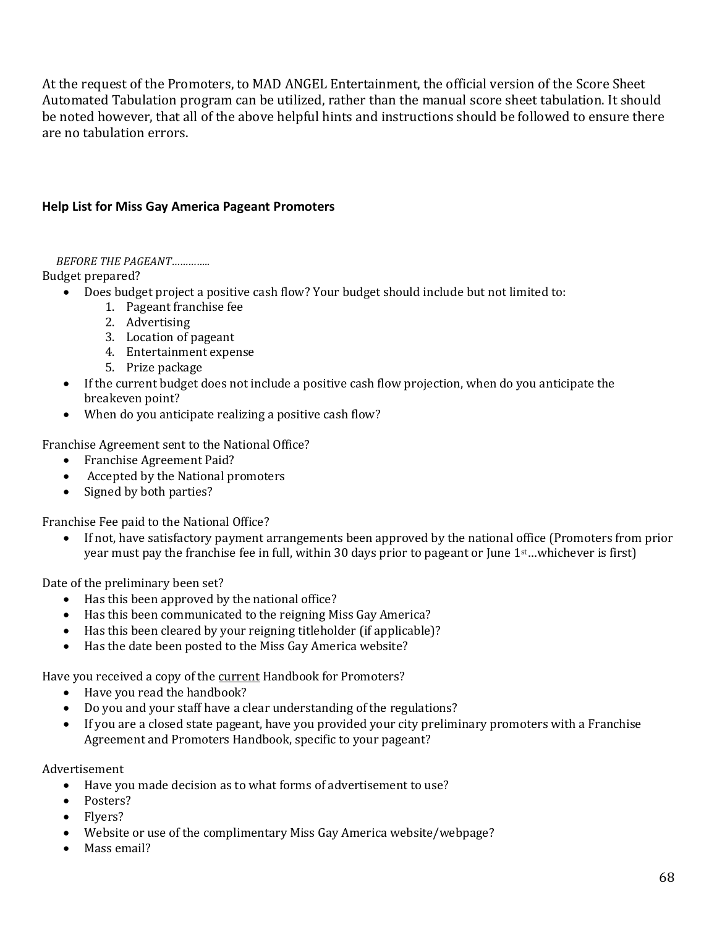At the request of the Promoters, to MAD ANGEL Entertainment, the official version of the Score Sheet Automated Tabulation program can be utilized, rather than the manual score sheet tabulation. It should be noted however, that all of the above helpful hints and instructions should be followed to ensure there are no tabulation errors.

#### **Help List for Miss Gay America Pageant Promoters**

*BEFORE THE PAGEANT…………..*

Budget prepared?

- Does budget project a positive cash flow? Your budget should include but not limited to:
	- 1. Pageant franchise fee
	- 2. Advertising
	- 3. Location of pageant
	- 4. Entertainment expense
	- 5. Prize package
- If the current budget does not include a positive cash flow projection, when do you anticipate the breakeven point?
- When do you anticipate realizing a positive cash flow?

Franchise Agreement sent to the National Office?

- Franchise Agreement Paid?
- Accepted by the National promoters
- Signed by both parties?

Franchise Fee paid to the National Office?

• If not, have satisfactory payment arrangements been approved by the national office (Promoters from prior year must pay the franchise fee in full, within 30 days prior to pageant or June 1<sup>st</sup>...whichever is first)

Date of the preliminary been set?

- Has this been approved by the national office?
- Has this been communicated to the reigning Miss Gay America?
- Has this been cleared by your reigning titleholder (if applicable)?
- Has the date been posted to the Miss Gay America website?

Have you received a copy of the current Handbook for Promoters?

- Have you read the handbook?
- Do you and your staff have a clear understanding of the regulations?
- If you are a closed state pageant, have you provided your city preliminary promoters with a Franchise Agreement and Promoters Handbook, specific to your pageant?

Advertisement

- Have you made decision as to what forms of advertisement to use?
- Posters?
- Flyers?
- Website or use of the complimentary Miss Gay America website/webpage?
- Mass email?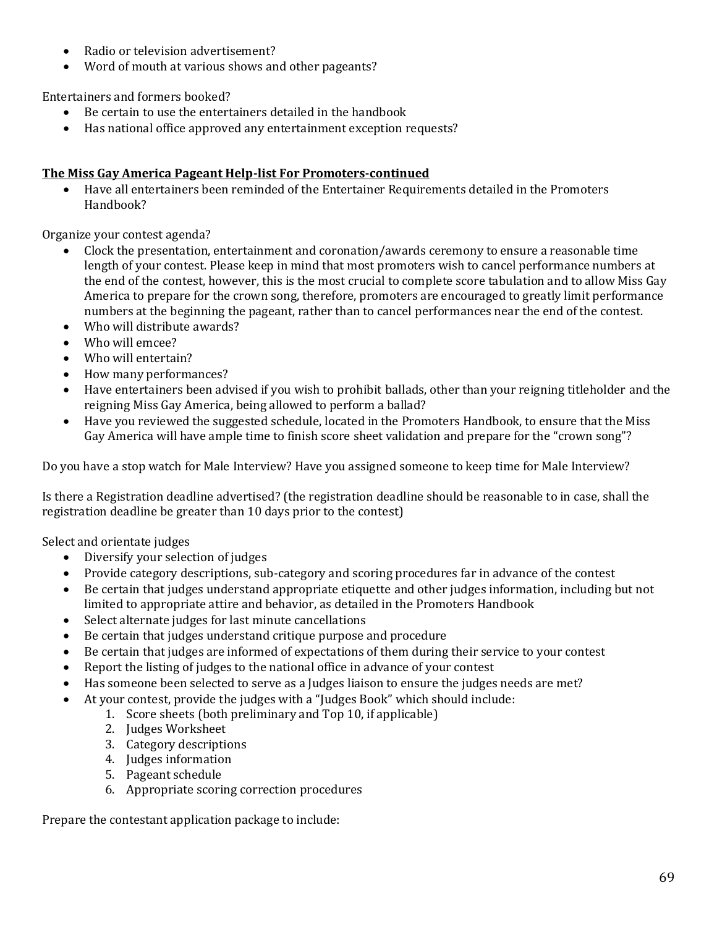- Radio or television advertisement?
- Word of mouth at various shows and other pageants?

Entertainers and formers booked?

- Be certain to use the entertainers detailed in the handbook
- Has national office approved any entertainment exception requests?

#### **The Miss Gay America Pageant Help-list For Promoters-continued**

• Have all entertainers been reminded of the Entertainer Requirements detailed in the Promoters Handbook?

Organize your contest agenda?

- Clock the presentation, entertainment and coronation/awards ceremony to ensure a reasonable time length of your contest. Please keep in mind that most promoters wish to cancel performance numbers at the end of the contest, however, this is the most crucial to complete score tabulation and to allow Miss Gay America to prepare for the crown song, therefore, promoters are encouraged to greatly limit performance numbers at the beginning the pageant, rather than to cancel performances near the end of the contest.
- Who will distribute awards?
- Who will emcee?
- Who will entertain?
- How many performances?
- Have entertainers been advised if you wish to prohibit ballads, other than your reigning titleholder and the reigning Miss Gay America, being allowed to perform a ballad?
- Have you reviewed the suggested schedule, located in the Promoters Handbook, to ensure that the Miss Gay America will have ample time to finish score sheet validation and prepare for the "crown song"?

Do you have a stop watch for Male Interview? Have you assigned someone to keep time for Male Interview?

Is there a Registration deadline advertised? (the registration deadline should be reasonable to in case, shall the registration deadline be greater than 10 days prior to the contest)

Select and orientate judges

- Diversify your selection of judges
- Provide category descriptions, sub-category and scoring procedures far in advance of the contest
- Be certain that judges understand appropriate etiquette and other judges information, including but not limited to appropriate attire and behavior, as detailed in the Promoters Handbook
- Select alternate judges for last minute cancellations
- Be certain that judges understand critique purpose and procedure
- Be certain that judges are informed of expectations of them during their service to your contest
- Report the listing of judges to the national office in advance of your contest
- Has someone been selected to serve as a Judges liaison to ensure the judges needs are met?
- At your contest, provide the judges with a "Judges Book" which should include:
	- 1. Score sheets (both preliminary and Top 10, if applicable)
		- 2. Judges Worksheet
		- 3. Category descriptions
		- 4. Judges information
		- 5. Pageant schedule
		- 6. Appropriate scoring correction procedures

Prepare the contestant application package to include: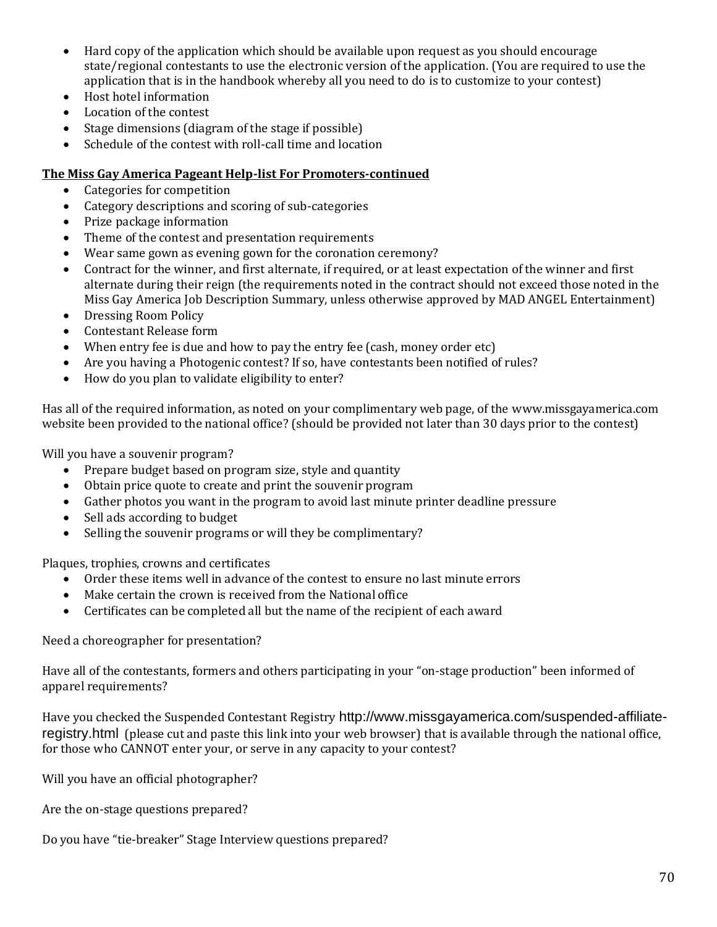- Hard copy of the application which should be available upon request as you should encourage state/regional contestants to use the electronic version of the application. (You are required to use the application that is in the handbook whereby all you need to do is to customize to your contest)
- Host hotel information
- Location of the contest
- Stage dimensions (diagram of the stage if possible)
- Schedule of the contest with roll-call time and location

#### **The Miss Gay America Pageant Help-list For Promoters-continued**

- Categories for competition
- Category descriptions and scoring of sub-categories
- Prize package information
- Theme of the contest and presentation requirements
- Wear same gown as evening gown for the coronation ceremony?
- Contract for the winner, and first alternate, if required, or at least expectation of the winner and first alternate during their reign (the requirements noted in the contract should not exceed those noted in the Miss Gay America Job Description Summary, unless otherwise approved by MAD ANGEL Entertainment)
- Dressing Room Policy
- Contestant Release form
- When entry fee is due and how to pay the entry fee (cash, money order etc)
- Are you having a Photogenic contest? If so, have contestants been notified of rules?
- How do you plan to validate eligibility to enter?

Has all of the required information, as noted on your complimentary web page, of the [www.missgayamerica.com](http://www.missgayamerica.com/) website been provided to the national office? (should be provided not later than 30 days prior to the contest)

Will you have a souvenir program?

- Prepare budget based on program size, style and quantity
- Obtain price quote to create and print the souvenir program
- Gather photos you want in the program to avoid last minute printer deadline pressure
- Sell ads according to budget
- Selling the souvenir programs or will they be complimentary?

Plaques, trophies, crowns and certificates

- Order these items well in advance of the contest to ensure no last minute errors
- Make certain the crown is received from the National office
- Certificates can be completed all but the name of the recipient of each award

Need a choreographer for presentation?

Have all of the contestants, formers and others participating in your "on-stage production" been informed of apparel requirements?

Have you checked the Suspended Contestant Registry [http://www.missgayamerica.com/suspended-affiliate](http://www.missgayamerica.com/suspended-affiliate-registry.html)[registry.html](http://www.missgayamerica.com/suspended-affiliate-registry.html) (please cut and paste this link into your web browser) that is available through the national office, for those who CANNOT enter your, or serve in any capacity to your contest?

Will you have an official photographer?

Are the on-stage questions prepared?

Do you have "tie-breaker" Stage Interview questions prepared?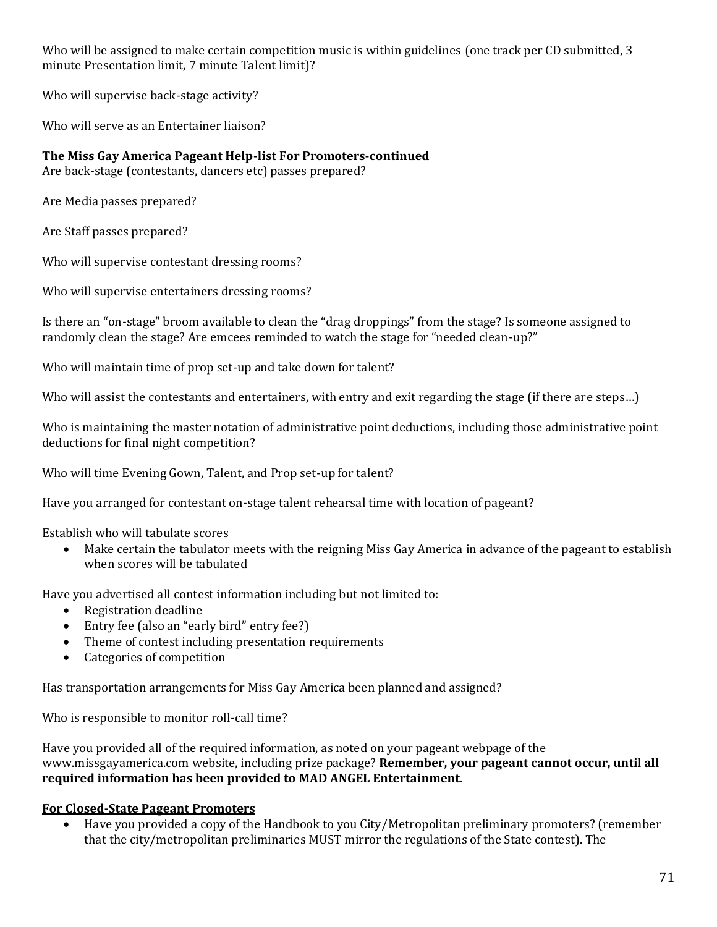Who will be assigned to make certain competition music is within guidelines (one track per CD submitted, 3 minute Presentation limit, 7 minute Talent limit)?

Who will supervise back-stage activity?

Who will serve as an Entertainer liaison?

**The Miss Gay America Pageant Help-list For Promoters-continued**

Are back-stage (contestants, dancers etc) passes prepared?

Are Media passes prepared?

Are Staff passes prepared?

Who will supervise contestant dressing rooms?

Who will supervise entertainers dressing rooms?

Is there an "on-stage" broom available to clean the "drag droppings" from the stage? Is someone assigned to randomly clean the stage? Are emcees reminded to watch the stage for "needed clean-up?"

Who will maintain time of prop set-up and take down for talent?

Who will assist the contestants and entertainers, with entry and exit regarding the stage (if there are steps…)

Who is maintaining the master notation of administrative point deductions, including those administrative point deductions for final night competition?

Who will time Evening Gown, Talent, and Prop set-up for talent?

Have you arranged for contestant on-stage talent rehearsal time with location of pageant?

Establish who will tabulate scores

• Make certain the tabulator meets with the reigning Miss Gay America in advance of the pageant to establish when scores will be tabulated

Have you advertised all contest information including but not limited to:

- Registration deadline
- Entry fee (also an "early bird" entry fee?)
- Theme of contest including presentation requirements
- Categories of competition

Has transportation arrangements for Miss Gay America been planned and assigned?

Who is responsible to monitor roll-call time?

Have you provided all of the required information, as noted on your pageant webpage of the [www.missgayamerica.com](http://www.missgayamerica.com/) website, including prize package? **Remember, your pageant cannot occur, until all required information has been provided to MAD ANGEL Entertainment.**

#### **For Closed-State Pageant Promoters**

• Have you provided a copy of the Handbook to you City/Metropolitan preliminary promoters? (remember that the city/metropolitan preliminaries MUST mirror the regulations of the State contest). The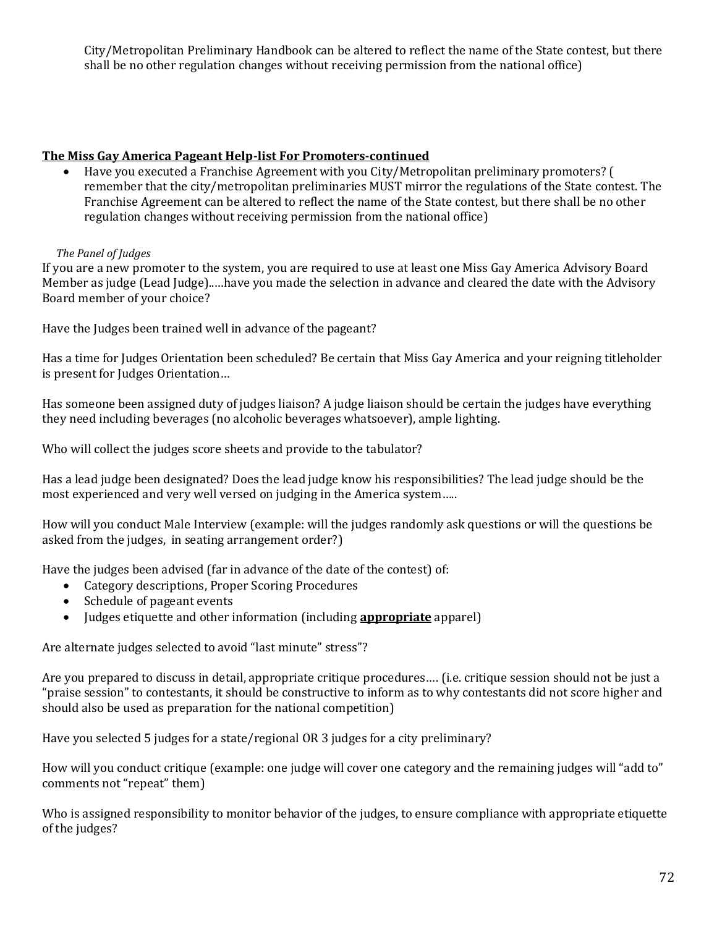City/Metropolitan Preliminary Handbook can be altered to reflect the name of the State contest, but there shall be no other regulation changes without receiving permission from the national office)

#### **The Miss Gay America Pageant Help-list For Promoters-continued**

• Have you executed a Franchise Agreement with you City/Metropolitan preliminary promoters? ( remember that the city/metropolitan preliminaries MUST mirror the regulations of the State contest. The Franchise Agreement can be altered to reflect the name of the State contest, but there shall be no other regulation changes without receiving permission from the national office)

#### *The Panel of Judges*

If you are a new promoter to the system, you are required to use at least one Miss Gay America Advisory Board Member as judge (Lead Judge)..…have you made the selection in advance and cleared the date with the Advisory Board member of your choice?

Have the Judges been trained well in advance of the pageant?

Has a time for Judges Orientation been scheduled? Be certain that Miss Gay America and your reigning titleholder is present for Judges Orientation…

Has someone been assigned duty of judges liaison? A judge liaison should be certain the judges have everything they need including beverages (no alcoholic beverages whatsoever), ample lighting.

Who will collect the judges score sheets and provide to the tabulator?

Has a lead judge been designated? Does the lead judge know his responsibilities? The lead judge should be the most experienced and very well versed on judging in the America system…..

How will you conduct Male Interview (example: will the judges randomly ask questions or will the questions be asked from the judges, in seating arrangement order?)

Have the judges been advised (far in advance of the date of the contest) of:

- Category descriptions, Proper Scoring Procedures
- Schedule of pageant events
- Judges etiquette and other information (including **appropriate** apparel)

Are alternate judges selected to avoid "last minute" stress"?

Are you prepared to discuss in detail, appropriate critique procedures…. (i.e. critique session should not be just a "praise session" to contestants, it should be constructive to inform as to why contestants did not score higher and should also be used as preparation for the national competition)

Have you selected 5 judges for a state/regional OR 3 judges for a city preliminary?

How will you conduct critique (example: one judge will cover one category and the remaining judges will "add to" comments not "repeat" them)

Who is assigned responsibility to monitor behavior of the judges, to ensure compliance with appropriate etiquette of the judges?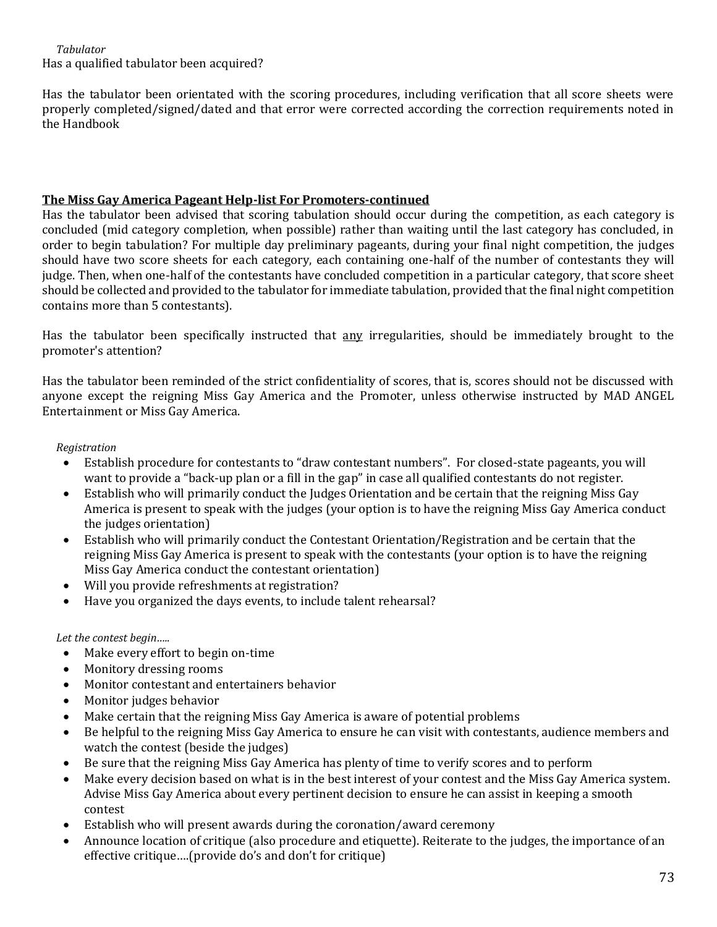*Tabulator* Has a qualified tabulator been acquired?

Has the tabulator been orientated with the scoring procedures, including verification that all score sheets were properly completed/signed/dated and that error were corrected according the correction requirements noted in the Handbook

### **The Miss Gay America Pageant Help-list For Promoters-continued**

Has the tabulator been advised that scoring tabulation should occur during the competition, as each category is concluded (mid category completion, when possible) rather than waiting until the last category has concluded, in order to begin tabulation? For multiple day preliminary pageants, during your final night competition, the judges should have two score sheets for each category, each containing one-half of the number of contestants they will judge. Then, when one-half of the contestants have concluded competition in a particular category, that score sheet should be collected and provided to the tabulator for immediate tabulation, provided that the final night competition contains more than 5 contestants).

Has the tabulator been specifically instructed that any irregularities, should be immediately brought to the promoter's attention?

Has the tabulator been reminded of the strict confidentiality of scores, that is, scores should not be discussed with anyone except the reigning Miss Gay America and the Promoter, unless otherwise instructed by MAD ANGEL Entertainment or Miss Gay America.

### *Registration*

- Establish procedure for contestants to "draw contestant numbers". For closed-state pageants, you will want to provide a "back-up plan or a fill in the gap" in case all qualified contestants do not register.
- Establish who will primarily conduct the Judges Orientation and be certain that the reigning Miss Gay America is present to speak with the judges (your option is to have the reigning Miss Gay America conduct the judges orientation)
- Establish who will primarily conduct the Contestant Orientation/Registration and be certain that the reigning Miss Gay America is present to speak with the contestants (your option is to have the reigning Miss Gay America conduct the contestant orientation)
- Will you provide refreshments at registration?
- Have you organized the days events, to include talent rehearsal?

### *Let the contest begin…..*

- Make every effort to begin on-time
- Monitory dressing rooms
- Monitor contestant and entertainers behavior
- Monitor judges behavior
- Make certain that the reigning Miss Gay America is aware of potential problems
- Be helpful to the reigning Miss Gay America to ensure he can visit with contestants, audience members and watch the contest (beside the judges)
- Be sure that the reigning Miss Gay America has plenty of time to verify scores and to perform
- Make every decision based on what is in the best interest of your contest and the Miss Gay America system. Advise Miss Gay America about every pertinent decision to ensure he can assist in keeping a smooth contest
- Establish who will present awards during the coronation/award ceremony
- Announce location of critique (also procedure and etiquette). Reiterate to the judges, the importance of an effective critique….(provide do's and don't for critique)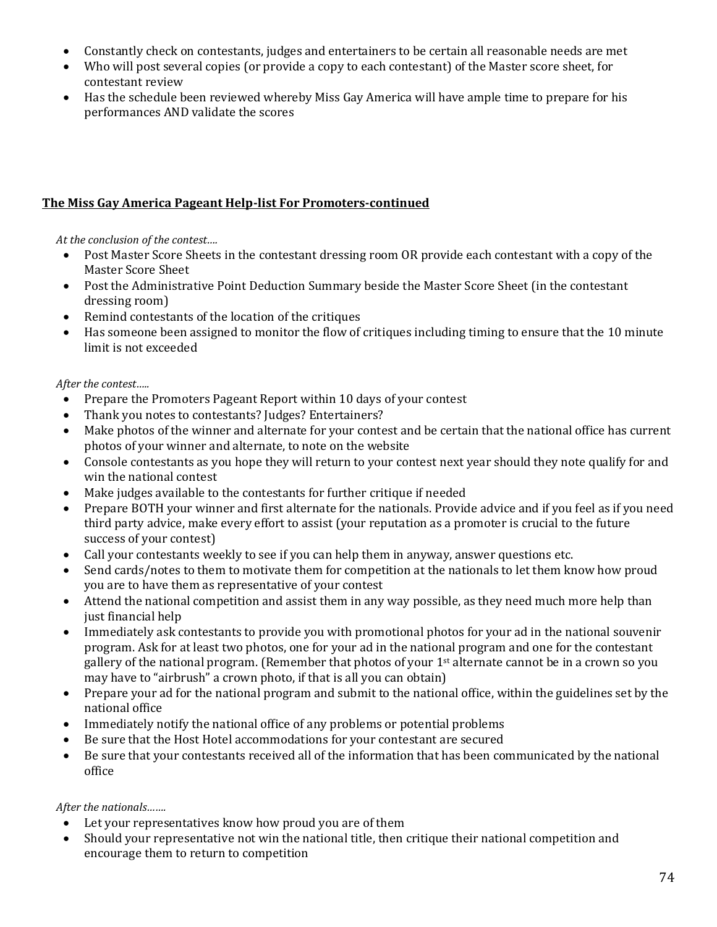- Constantly check on contestants, judges and entertainers to be certain all reasonable needs are met
- Who will post several copies (or provide a copy to each contestant) of the Master score sheet, for contestant review
- Has the schedule been reviewed whereby Miss Gay America will have ample time to prepare for his performances AND validate the scores

# **The Miss Gay America Pageant Help-list For Promoters-continued**

*At the conclusion of the contest….*

- Post Master Score Sheets in the contestant dressing room OR provide each contestant with a copy of the Master Score Sheet
- Post the Administrative Point Deduction Summary beside the Master Score Sheet (in the contestant dressing room)
- Remind contestants of the location of the critiques
- Has someone been assigned to monitor the flow of critiques including timing to ensure that the 10 minute limit is not exceeded

*After the contest…..*

- Prepare the Promoters Pageant Report within 10 days of your contest
- Thank you notes to contestants? Judges? Entertainers?
- Make photos of the winner and alternate for your contest and be certain that the national office has current photos of your winner and alternate, to note on the website
- Console contestants as you hope they will return to your contest next year should they note qualify for and win the national contest
- Make judges available to the contestants for further critique if needed
- Prepare BOTH your winner and first alternate for the nationals. Provide advice and if you feel as if you need third party advice, make every effort to assist (your reputation as a promoter is crucial to the future success of your contest)
- Call your contestants weekly to see if you can help them in anyway, answer questions etc.
- Send cards/notes to them to motivate them for competition at the nationals to let them know how proud you are to have them as representative of your contest
- Attend the national competition and assist them in any way possible, as they need much more help than just financial help
- Immediately ask contestants to provide you with promotional photos for your ad in the national souvenir program. Ask for at least two photos, one for your ad in the national program and one for the contestant gallery of the national program. (Remember that photos of your 1st alternate cannot be in a crown so you may have to "airbrush" a crown photo, if that is all you can obtain)
- Prepare your ad for the national program and submit to the national office, within the guidelines set by the national office
- Immediately notify the national office of any problems or potential problems
- Be sure that the Host Hotel accommodations for your contestant are secured
- Be sure that your contestants received all of the information that has been communicated by the national office

#### *After the nationals…….*

- Let your representatives know how proud you are of them
- Should your representative not win the national title, then critique their national competition and encourage them to return to competition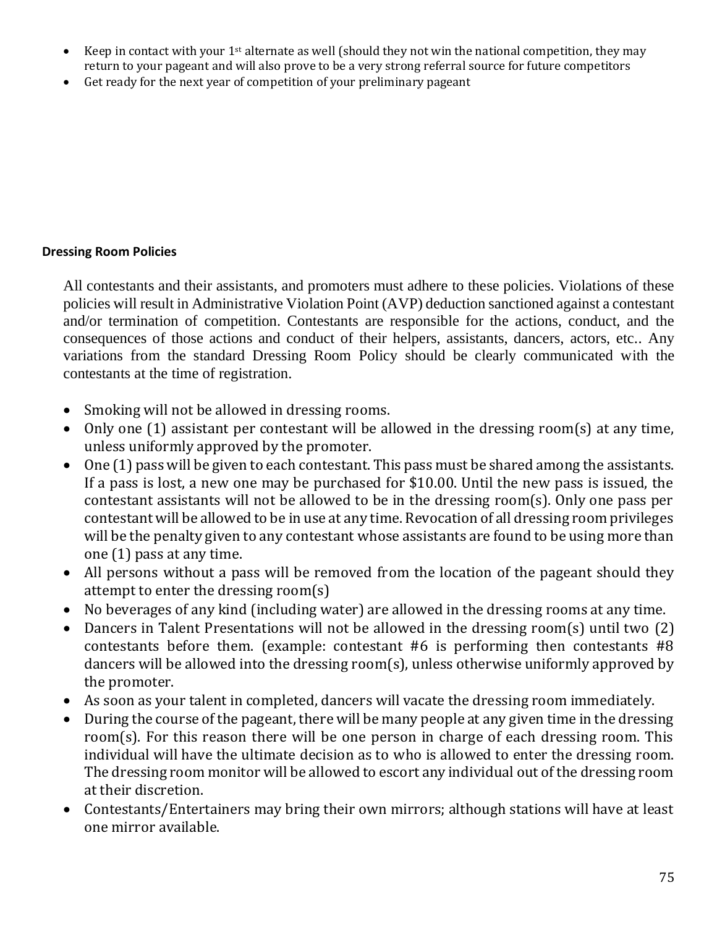- Keep in contact with your 1st alternate as well (should they not win the national competition, they may return to your pageant and will also prove to be a very strong referral source for future competitors
- Get ready for the next year of competition of your preliminary pageant

## **Dressing Room Policies**

All contestants and their assistants, and promoters must adhere to these policies. Violations of these policies will result in Administrative Violation Point (AVP) deduction sanctioned against a contestant and/or termination of competition. Contestants are responsible for the actions, conduct, and the consequences of those actions and conduct of their helpers, assistants, dancers, actors, etc.. Any variations from the standard Dressing Room Policy should be clearly communicated with the contestants at the time of registration.

- Smoking will not be allowed in dressing rooms.
- Only one (1) assistant per contestant will be allowed in the dressing room(s) at any time, unless uniformly approved by the promoter.
- One (1) pass will be given to each contestant. This pass must be shared among the assistants. If a pass is lost, a new one may be purchased for \$10.00. Until the new pass is issued, the contestant assistants will not be allowed to be in the dressing room(s). Only one pass per contestant will be allowed to be in use at any time. Revocation of all dressing room privileges will be the penalty given to any contestant whose assistants are found to be using more than one (1) pass at any time.
- All persons without a pass will be removed from the location of the pageant should they attempt to enter the dressing room(s)
- No beverages of any kind (including water) are allowed in the dressing rooms at any time.
- Dancers in Talent Presentations will not be allowed in the dressing room(s) until two (2) contestants before them. (example: contestant #6 is performing then contestants #8 dancers will be allowed into the dressing room(s), unless otherwise uniformly approved by the promoter.
- As soon as your talent in completed, dancers will vacate the dressing room immediately.
- During the course of the pageant, there will be many people at any given time in the dressing room(s). For this reason there will be one person in charge of each dressing room. This individual will have the ultimate decision as to who is allowed to enter the dressing room. The dressing room monitor will be allowed to escort any individual out of the dressing room at their discretion.
- Contestants/Entertainers may bring their own mirrors; although stations will have at least one mirror available.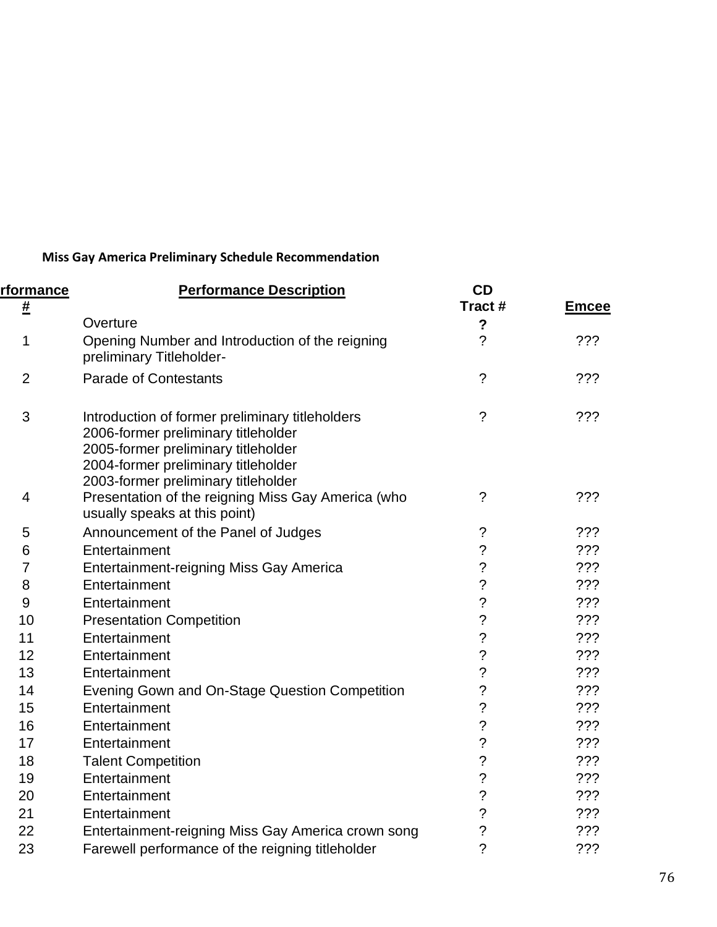# **Miss Gay America Preliminary Schedule Recommendation**

| rformance        | <b>Performance Description</b>                                                                                                                                                                              | <b>CD</b><br>Tract#      |              |
|------------------|-------------------------------------------------------------------------------------------------------------------------------------------------------------------------------------------------------------|--------------------------|--------------|
| #                | Overture                                                                                                                                                                                                    | $\boldsymbol{?}$         | <u>Emcee</u> |
| 1                | Opening Number and Introduction of the reigning<br>preliminary Titleholder-                                                                                                                                 | $\overline{\phantom{a}}$ | ???          |
| $\overline{2}$   | <b>Parade of Contestants</b>                                                                                                                                                                                | $\overline{?}$           | ???          |
| 3                | Introduction of former preliminary titleholders<br>2006-former preliminary titleholder<br>2005-former preliminary titleholder<br>2004-former preliminary titleholder<br>2003-former preliminary titleholder | $\tilde{?}$              | ???          |
| $\overline{4}$   | Presentation of the reigning Miss Gay America (who<br>usually speaks at this point)                                                                                                                         | $\tilde{?}$              | ???          |
| 5                | Announcement of the Panel of Judges                                                                                                                                                                         | ?                        | ???          |
| 6                | Entertainment                                                                                                                                                                                               | $\ddot{?}$               | ???          |
| $\overline{7}$   | <b>Entertainment-reigning Miss Gay America</b>                                                                                                                                                              | $\overline{\mathcal{C}}$ | 222          |
| 8                | Entertainment                                                                                                                                                                                               | $\overline{\mathcal{C}}$ | ???          |
| $\boldsymbol{9}$ | Entertainment                                                                                                                                                                                               | $\ddot{\text{?}}$        | 222          |
| 10               | <b>Presentation Competition</b>                                                                                                                                                                             | $\ddot{?}$               | 222          |
| 11               | Entertainment                                                                                                                                                                                               | $\overline{\mathcal{C}}$ | ???          |
| 12               | Entertainment                                                                                                                                                                                               | $\ddot{\text{ }2}$       | 222          |
| 13               | Entertainment                                                                                                                                                                                               | $\ddot{\text{?}}$        | ???          |
| 14               | Evening Gown and On-Stage Question Competition                                                                                                                                                              | $\ddot{\text{?}}$        | 222          |
| 15               | Entertainment                                                                                                                                                                                               | $\overline{\mathcal{C}}$ | ???          |
| 16               | Entertainment                                                                                                                                                                                               | $\overline{\mathcal{C}}$ | ???          |
| 17               | Entertainment                                                                                                                                                                                               | $\ddot{?}$               | 222          |
| 18               | <b>Talent Competition</b>                                                                                                                                                                                   | $\overline{?}$           | ???          |
| 19               | Entertainment                                                                                                                                                                                               | $\ddot{\text{ }2}$       | 222          |
| 20               | Entertainment                                                                                                                                                                                               | $\ddot{\text{?}}$        | ???          |
| 21               | Entertainment                                                                                                                                                                                               | $\ddot{\text{?}}$        | ???          |
| 22               | Entertainment-reigning Miss Gay America crown song                                                                                                                                                          | $\ddot{?}$               | ???          |
| 23               | Farewell performance of the reigning titleholder                                                                                                                                                            | $\overline{?}$           | ???          |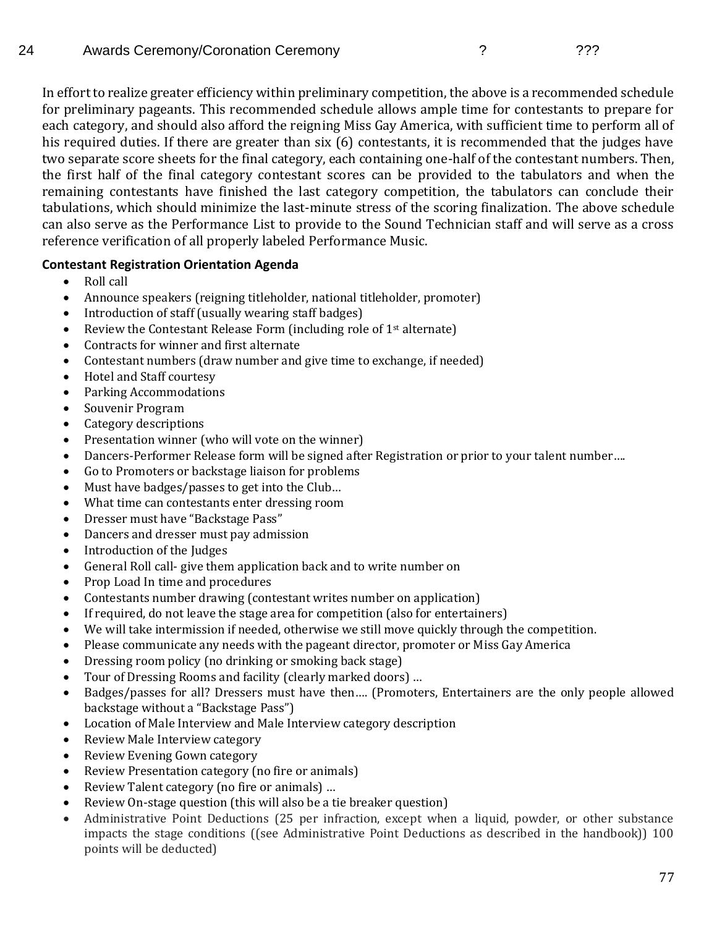In effort to realize greater efficiency within preliminary competition, the above is a recommended schedule for preliminary pageants. This recommended schedule allows ample time for contestants to prepare for each category, and should also afford the reigning Miss Gay America, with sufficient time to perform all of his required duties. If there are greater than six (6) contestants, it is recommended that the judges have two separate score sheets for the final category, each containing one-half of the contestant numbers. Then, the first half of the final category contestant scores can be provided to the tabulators and when the remaining contestants have finished the last category competition, the tabulators can conclude their tabulations, which should minimize the last-minute stress of the scoring finalization. The above schedule can also serve as the Performance List to provide to the Sound Technician staff and will serve as a cross reference verification of all properly labeled Performance Music.

### **Contestant Registration Orientation Agenda**

- Roll call
- Announce speakers (reigning titleholder, national titleholder, promoter)
- Introduction of staff (usually wearing staff badges)
- Review the Contestant Release Form (including role of  $1<sup>st</sup>$  alternate)
- Contracts for winner and first alternate
- Contestant numbers (draw number and give time to exchange, if needed)
- Hotel and Staff courtesy
- Parking Accommodations
- Souvenir Program
- Category descriptions
- Presentation winner (who will vote on the winner)
- Dancers-Performer Release form will be signed after Registration or prior to your talent number….
- Go to Promoters or backstage liaison for problems
- Must have badges/passes to get into the Club…
- What time can contestants enter dressing room
- Dresser must have "Backstage Pass"
- Dancers and dresser must pay admission
- Introduction of the Judges
- General Roll call- give them application back and to write number on
- Prop Load In time and procedures
- Contestants number drawing (contestant writes number on application)
- If required, do not leave the stage area for competition (also for entertainers)
- We will take intermission if needed, otherwise we still move quickly through the competition.
- Please communicate any needs with the pageant director, promoter or Miss Gay America
- Dressing room policy (no drinking or smoking back stage)
- Tour of Dressing Rooms and facility (clearly marked doors) …
- Badges/passes for all? Dressers must have then…. (Promoters, Entertainers are the only people allowed backstage without a "Backstage Pass")
- Location of Male Interview and Male Interview category description
- Review Male Interview category
- Review Evening Gown category
- Review Presentation category (no fire or animals)
- Review Talent category (no fire or animals) …
- Review On-stage question (this will also be a tie breaker question)
- Administrative Point Deductions (25 per infraction, except when a liquid, powder, or other substance impacts the stage conditions ((see Administrative Point Deductions as described in the handbook)) 100 points will be deducted)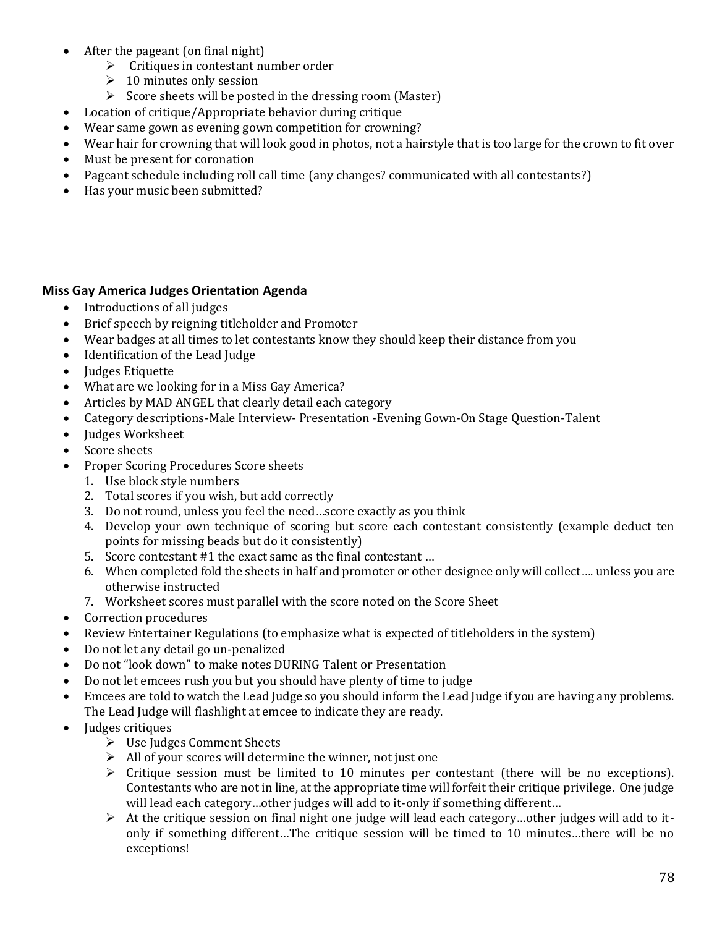- After the pageant (on final night)
	- ➢ Critiques in contestant number order
	- $\geq 10$  minutes only session
	- ➢ Score sheets will be posted in the dressing room (Master)
- Location of critique/Appropriate behavior during critique
- Wear same gown as evening gown competition for crowning?
- Wear hair for crowning that will look good in photos, not a hairstyle that is too large for the crown to fit over
- Must be present for coronation
- Pageant schedule including roll call time (any changes? communicated with all contestants?)
- Has your music been submitted?

#### **Miss Gay America Judges Orientation Agenda**

- Introductions of all judges
- Brief speech by reigning titleholder and Promoter
- Wear badges at all times to let contestants know they should keep their distance from you
- Identification of the Lead Judge
- Judges Etiquette
- What are we looking for in a Miss Gay America?
- Articles by MAD ANGEL that clearly detail each category
- Category descriptions-Male Interview- Presentation -Evening Gown-On Stage Question-Talent
- Judges Worksheet
- Score sheets
- Proper Scoring Procedures Score sheets
	- 1. Use block style numbers
	- 2. Total scores if you wish, but add correctly
	- 3. Do not round, unless you feel the need…score exactly as you think
	- 4. Develop your own technique of scoring but score each contestant consistently (example deduct ten points for missing beads but do it consistently)
	- 5. Score contestant #1 the exact same as the final contestant …
	- 6. When completed fold the sheets in half and promoter or other designee only will collect…. unless you are otherwise instructed
	- 7. Worksheet scores must parallel with the score noted on the Score Sheet
- Correction procedures
- Review Entertainer Regulations (to emphasize what is expected of titleholders in the system)
- Do not let any detail go un-penalized
- Do not "look down" to make notes DURING Talent or Presentation
- Do not let emcees rush you but you should have plenty of time to judge
- Emcees are told to watch the Lead Judge so you should inform the Lead Judge if you are having any problems. The Lead Judge will flashlight at emcee to indicate they are ready.
- Judges critiques
	- ➢ Use Judges Comment Sheets
	- $\triangleright$  All of your scores will determine the winner, not just one
	- ➢ Critique session must be limited to 10 minutes per contestant (there will be no exceptions). Contestants who are not in line, at the appropriate time will forfeit their critique privilege. One judge will lead each category…other judges will add to it-only if something different…
	- ➢ At the critique session on final night one judge will lead each category…other judges will add to itonly if something different…The critique session will be timed to 10 minutes…there will be no exceptions!